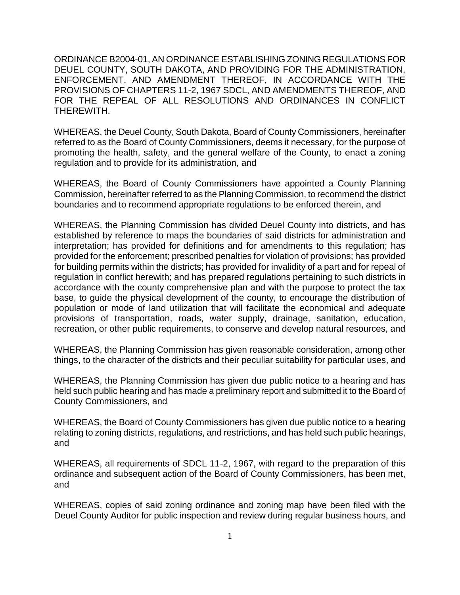ORDINANCE B2004-01, AN ORDINANCE ESTABLISHING ZONING REGULATIONS FOR DEUEL COUNTY, SOUTH DAKOTA, AND PROVIDING FOR THE ADMINISTRATION, ENFORCEMENT, AND AMENDMENT THEREOF, IN ACCORDANCE WITH THE PROVISIONS OF CHAPTERS 11-2, 1967 SDCL, AND AMENDMENTS THEREOF, AND FOR THE REPEAL OF ALL RESOLUTIONS AND ORDINANCES IN CONFLICT THEREWITH.

WHEREAS, the Deuel County, South Dakota, Board of County Commissioners, hereinafter referred to as the Board of County Commissioners, deems it necessary, for the purpose of promoting the health, safety, and the general welfare of the County, to enact a zoning regulation and to provide for its administration, and

WHEREAS, the Board of County Commissioners have appointed a County Planning Commission, hereinafter referred to as the Planning Commission, to recommend the district boundaries and to recommend appropriate regulations to be enforced therein, and

WHEREAS, the Planning Commission has divided Deuel County into districts, and has established by reference to maps the boundaries of said districts for administration and interpretation; has provided for definitions and for amendments to this regulation; has provided for the enforcement; prescribed penalties for violation of provisions; has provided for building permits within the districts; has provided for invalidity of a part and for repeal of regulation in conflict herewith; and has prepared regulations pertaining to such districts in accordance with the county comprehensive plan and with the purpose to protect the tax base, to guide the physical development of the county, to encourage the distribution of population or mode of land utilization that will facilitate the economical and adequate provisions of transportation, roads, water supply, drainage, sanitation, education, recreation, or other public requirements, to conserve and develop natural resources, and

WHEREAS, the Planning Commission has given reasonable consideration, among other things, to the character of the districts and their peculiar suitability for particular uses, and

WHEREAS, the Planning Commission has given due public notice to a hearing and has held such public hearing and has made a preliminary report and submitted it to the Board of County Commissioners, and

WHEREAS, the Board of County Commissioners has given due public notice to a hearing relating to zoning districts, regulations, and restrictions, and has held such public hearings, and

WHEREAS, all requirements of SDCL 11-2, 1967, with regard to the preparation of this ordinance and subsequent action of the Board of County Commissioners, has been met, and

WHEREAS, copies of said zoning ordinance and zoning map have been filed with the Deuel County Auditor for public inspection and review during regular business hours, and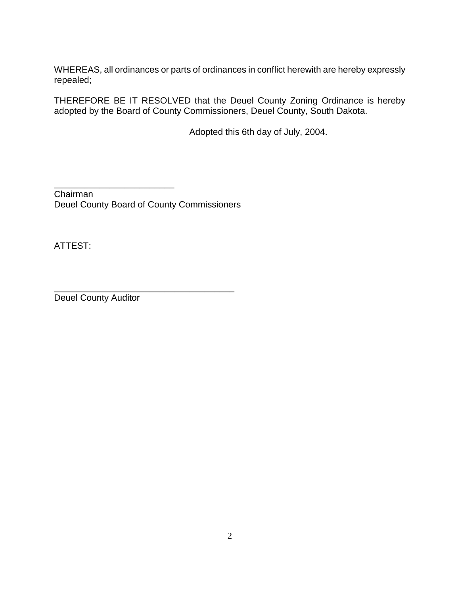WHEREAS, all ordinances or parts of ordinances in conflict herewith are hereby expressly repealed;

THEREFORE BE IT RESOLVED that the Deuel County Zoning Ordinance is hereby adopted by the Board of County Commissioners, Deuel County, South Dakota.

Adopted this 6th day of July, 2004.

\_\_\_\_\_\_\_\_\_\_\_\_\_\_\_\_\_\_\_\_\_\_\_\_ Chairman Deuel County Board of County Commissioners

\_\_\_\_\_\_\_\_\_\_\_\_\_\_\_\_\_\_\_\_\_\_\_\_\_\_\_\_\_\_\_\_\_\_\_\_

ATTEST:

Deuel County Auditor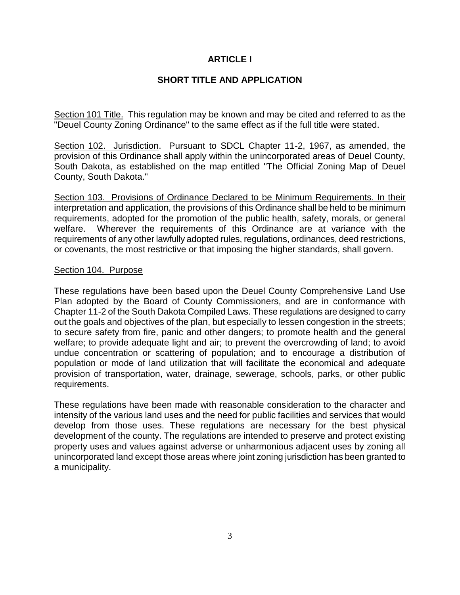## **ARTICLE I**

## **SHORT TITLE AND APPLICATION**

Section 101 Title. This regulation may be known and may be cited and referred to as the "Deuel County Zoning Ordinance" to the same effect as if the full title were stated.

Section 102. Jurisdiction. Pursuant to SDCL Chapter 11-2, 1967, as amended, the provision of this Ordinance shall apply within the unincorporated areas of Deuel County, South Dakota, as established on the map entitled "The Official Zoning Map of Deuel County, South Dakota."

Section 103. Provisions of Ordinance Declared to be Minimum Requirements. In their interpretation and application, the provisions of this Ordinance shall be held to be minimum requirements, adopted for the promotion of the public health, safety, morals, or general welfare. Wherever the requirements of this Ordinance are at variance with the requirements of any other lawfully adopted rules, regulations, ordinances, deed restrictions, or covenants, the most restrictive or that imposing the higher standards, shall govern.

#### Section 104. Purpose

These regulations have been based upon the Deuel County Comprehensive Land Use Plan adopted by the Board of County Commissioners, and are in conformance with Chapter 11-2 of the South Dakota Compiled Laws. These regulations are designed to carry out the goals and objectives of the plan, but especially to lessen congestion in the streets; to secure safety from fire, panic and other dangers; to promote health and the general welfare; to provide adequate light and air; to prevent the overcrowding of land; to avoid undue concentration or scattering of population; and to encourage a distribution of population or mode of land utilization that will facilitate the economical and adequate provision of transportation, water, drainage, sewerage, schools, parks, or other public requirements.

These regulations have been made with reasonable consideration to the character and intensity of the various land uses and the need for public facilities and services that would develop from those uses. These regulations are necessary for the best physical development of the county. The regulations are intended to preserve and protect existing property uses and values against adverse or unharmonious adjacent uses by zoning all unincorporated land except those areas where joint zoning jurisdiction has been granted to a municipality.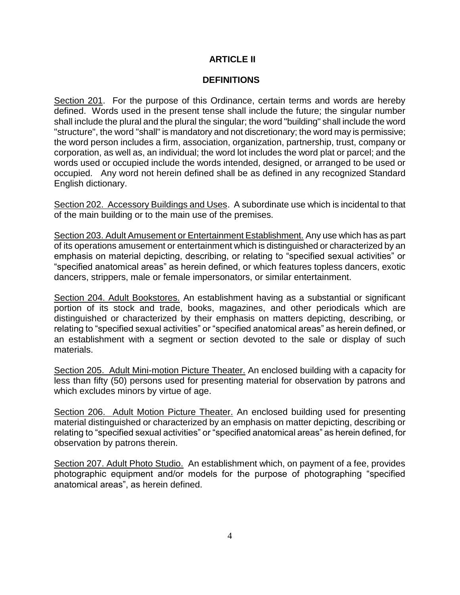## **ARTICLE II**

### **DEFINITIONS**

Section 201. For the purpose of this Ordinance, certain terms and words are hereby defined. Words used in the present tense shall include the future; the singular number shall include the plural and the plural the singular; the word "building" shall include the word "structure", the word "shall" is mandatory and not discretionary; the word may is permissive; the word person includes a firm, association, organization, partnership, trust, company or corporation, as well as, an individual; the word lot includes the word plat or parcel; and the words used or occupied include the words intended, designed, or arranged to be used or occupied. Any word not herein defined shall be as defined in any recognized Standard English dictionary.

Section 202. Accessory Buildings and Uses. A subordinate use which is incidental to that of the main building or to the main use of the premises.

Section 203. Adult Amusement or Entertainment Establishment. Any use which has as part of its operations amusement or entertainment which is distinguished or characterized by an emphasis on material depicting, describing, or relating to "specified sexual activities" or "specified anatomical areas" as herein defined, or which features topless dancers, exotic dancers, strippers, male or female impersonators, or similar entertainment.

Section 204. Adult Bookstores. An establishment having as a substantial or significant portion of its stock and trade, books, magazines, and other periodicals which are distinguished or characterized by their emphasis on matters depicting, describing, or relating to "specified sexual activities" or "specified anatomical areas" as herein defined, or an establishment with a segment or section devoted to the sale or display of such materials.

Section 205. Adult Mini-motion Picture Theater. An enclosed building with a capacity for less than fifty (50) persons used for presenting material for observation by patrons and which excludes minors by virtue of age.

Section 206. Adult Motion Picture Theater. An enclosed building used for presenting material distinguished or characterized by an emphasis on matter depicting, describing or relating to "specified sexual activities" or "specified anatomical areas" as herein defined, for observation by patrons therein.

Section 207. Adult Photo Studio. An establishment which, on payment of a fee, provides photographic equipment and/or models for the purpose of photographing "specified anatomical areas", as herein defined.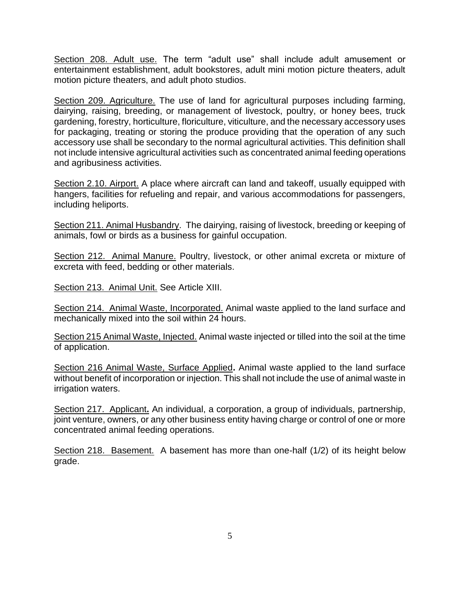Section 208. Adult use. The term "adult use" shall include adult amusement or entertainment establishment, adult bookstores, adult mini motion picture theaters, adult motion picture theaters, and adult photo studios.

Section 209. Agriculture. The use of land for agricultural purposes including farming, dairying, raising, breeding, or management of livestock, poultry, or honey bees, truck gardening, forestry, horticulture, floriculture, viticulture, and the necessary accessory uses for packaging, treating or storing the produce providing that the operation of any such accessory use shall be secondary to the normal agricultural activities. This definition shall not include intensive agricultural activities such as concentrated animal feeding operations and agribusiness activities.

Section 2.10. Airport. A place where aircraft can land and takeoff, usually equipped with hangers, facilities for refueling and repair, and various accommodations for passengers, including heliports.

Section 211. Animal Husbandry. The dairying, raising of livestock, breeding or keeping of animals, fowl or birds as a business for gainful occupation.

Section 212. Animal Manure. Poultry, livestock, or other animal excreta or mixture of excreta with feed, bedding or other materials.

Section 213. Animal Unit. See Article XIII.

Section 214. Animal Waste, Incorporated. Animal waste applied to the land surface and mechanically mixed into the soil within 24 hours.

Section 215 Animal Waste, Injected. Animal waste injected or tilled into the soil at the time of application.

Section 216 Animal Waste, Surface Applied**.** Animal waste applied to the land surface without benefit of incorporation or injection. This shall not include the use of animal waste in irrigation waters.

Section 217. Applicant**.** An individual, a corporation, a group of individuals, partnership, joint venture, owners, or any other business entity having charge or control of one or more concentrated animal feeding operations.

Section 218. Basement. A basement has more than one-half (1/2) of its height below grade.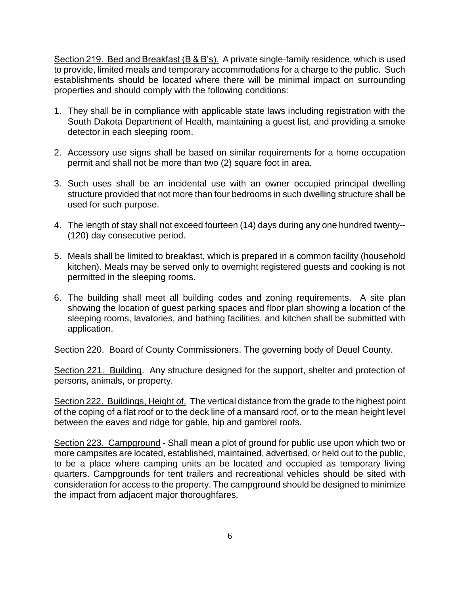Section 219. Bed and Breakfast (B & B's). A private single-family residence, which is used to provide, limited meals and temporary accommodations for a charge to the public. Such establishments should be located where there will be minimal impact on surrounding properties and should comply with the following conditions:

- 1. They shall be in compliance with applicable state laws including registration with the South Dakota Department of Health, maintaining a guest list, and providing a smoke detector in each sleeping room.
- 2. Accessory use signs shall be based on similar requirements for a home occupation permit and shall not be more than two (2) square foot in area.
- 3. Such uses shall be an incidental use with an owner occupied principal dwelling structure provided that not more than four bedrooms in such dwelling structure shall be used for such purpose.
- 4. The length of stay shall not exceed fourteen (14) days during any one hundred twenty-- (120) day consecutive period.
- 5. Meals shall be limited to breakfast, which is prepared in a common facility (household kitchen). Meals may be served only to overnight registered guests and cooking is not permitted in the sleeping rooms.
- 6. The building shall meet all building codes and zoning requirements. A site plan showing the location of guest parking spaces and floor plan showing a location of the sleeping rooms, lavatories, and bathing facilities, and kitchen shall be submitted with application.

Section 220. Board of County Commissioners. The governing body of Deuel County.

Section 221. Building. Any structure designed for the support, shelter and protection of persons, animals, or property.

Section 222. Buildings, Height of. The vertical distance from the grade to the highest point of the coping of a flat roof or to the deck line of a mansard roof, or to the mean height level between the eaves and ridge for gable, hip and gambrel roofs.

Section 223. Campground - Shall mean a plot of ground for public use upon which two or more campsites are located, established, maintained, advertised, or held out to the public, to be a place where camping units an be located and occupied as temporary living quarters. Campgrounds for tent trailers and recreational vehicles should be sited with consideration for access to the property. The campground should be designed to minimize the impact from adjacent major thoroughfares.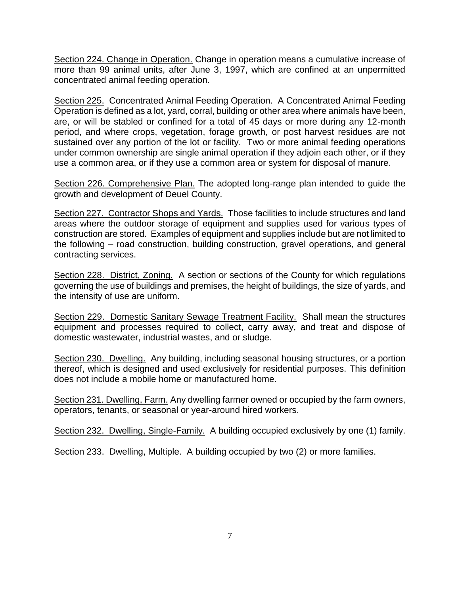Section 224. Change in Operation. Change in operation means a cumulative increase of more than 99 animal units, after June 3, 1997, which are confined at an unpermitted concentrated animal feeding operation.

Section 225. Concentrated Animal Feeding Operation. A Concentrated Animal Feeding Operation is defined as a lot, yard, corral, building or other area where animals have been, are, or will be stabled or confined for a total of 45 days or more during any 12-month period, and where crops, vegetation, forage growth, or post harvest residues are not sustained over any portion of the lot or facility. Two or more animal feeding operations under common ownership are single animal operation if they adjoin each other, or if they use a common area, or if they use a common area or system for disposal of manure.

Section 226. Comprehensive Plan. The adopted long-range plan intended to guide the growth and development of Deuel County.

Section 227. Contractor Shops and Yards. Those facilities to include structures and land areas where the outdoor storage of equipment and supplies used for various types of construction are stored. Examples of equipment and supplies include but are not limited to the following – road construction, building construction, gravel operations, and general contracting services.

Section 228. District, Zoning. A section or sections of the County for which regulations governing the use of buildings and premises, the height of buildings, the size of yards, and the intensity of use are uniform.

Section 229. Domestic Sanitary Sewage Treatment Facility. Shall mean the structures equipment and processes required to collect, carry away, and treat and dispose of domestic wastewater, industrial wastes, and or sludge.

Section 230. Dwelling. Any building, including seasonal housing structures, or a portion thereof, which is designed and used exclusively for residential purposes. This definition does not include a mobile home or manufactured home.

Section 231. Dwelling, Farm. Any dwelling farmer owned or occupied by the farm owners, operators, tenants, or seasonal or year-around hired workers.

Section 232. Dwelling, Single-Family. A building occupied exclusively by one (1) family.

Section 233. Dwelling, Multiple. A building occupied by two (2) or more families.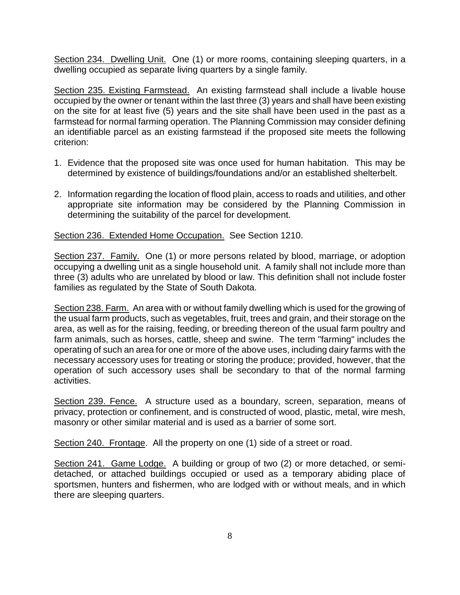Section 234. Dwelling Unit. One (1) or more rooms, containing sleeping quarters, in a dwelling occupied as separate living quarters by a single family.

Section 235. Existing Farmstead. An existing farmstead shall include a livable house occupied by the owner or tenant within the last three (3) years and shall have been existing on the site for at least five (5) years and the site shall have been used in the past as a farmstead for normal farming operation. The Planning Commission may consider defining an identifiable parcel as an existing farmstead if the proposed site meets the following criterion:

- 1. Evidence that the proposed site was once used for human habitation. This may be determined by existence of buildings/foundations and/or an established shelterbelt.
- 2. Information regarding the location of flood plain, access to roads and utilities, and other appropriate site information may be considered by the Planning Commission in determining the suitability of the parcel for development.

Section 236. Extended Home Occupation. See Section 1210.

Section 237. Family. One (1) or more persons related by blood, marriage, or adoption occupying a dwelling unit as a single household unit. A family shall not include more than three (3) adults who are unrelated by blood or law. This definition shall not include foster families as regulated by the State of South Dakota.

Section 238. Farm. An area with or without family dwelling which is used for the growing of the usual farm products, such as vegetables, fruit, trees and grain, and their storage on the area, as well as for the raising, feeding, or breeding thereon of the usual farm poultry and farm animals, such as horses, cattle, sheep and swine. The term "farming" includes the operating of such an area for one or more of the above uses, including dairy farms with the necessary accessory uses for treating or storing the produce; provided, however, that the operation of such accessory uses shall be secondary to that of the normal farming activities.

Section 239. Fence. A structure used as a boundary, screen, separation, means of privacy, protection or confinement, and is constructed of wood, plastic, metal, wire mesh, masonry or other similar material and is used as a barrier of some sort.

Section 240. Frontage. All the property on one (1) side of a street or road.

Section 241. Game Lodge. A building or group of two (2) or more detached, or semidetached, or attached buildings occupied or used as a temporary abiding place of sportsmen, hunters and fishermen, who are lodged with or without meals, and in which there are sleeping quarters.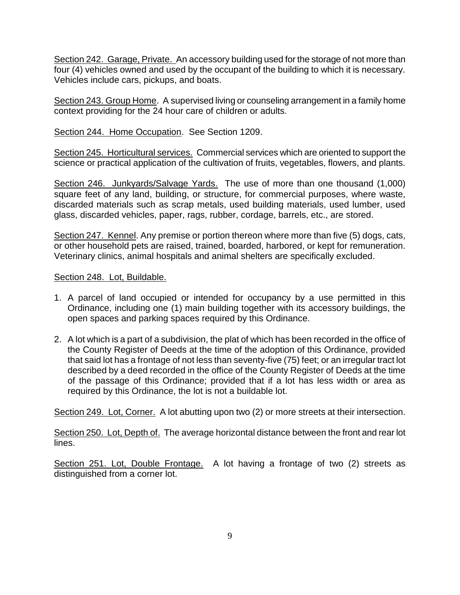Section 242. Garage, Private. An accessory building used for the storage of not more than four (4) vehicles owned and used by the occupant of the building to which it is necessary. Vehicles include cars, pickups, and boats.

Section 243. Group Home. A supervised living or counseling arrangement in a family home context providing for the 24 hour care of children or adults.

Section 244. Home Occupation. See Section 1209.

Section 245. Horticultural services. Commercial services which are oriented to support the science or practical application of the cultivation of fruits, vegetables, flowers, and plants.

Section 246. Junkyards/Salvage Yards. The use of more than one thousand (1,000) square feet of any land, building, or structure, for commercial purposes, where waste, discarded materials such as scrap metals, used building materials, used lumber, used glass, discarded vehicles, paper, rags, rubber, cordage, barrels, etc., are stored.

Section 247. Kennel. Any premise or portion thereon where more than five (5) dogs, cats, or other household pets are raised, trained, boarded, harbored, or kept for remuneration. Veterinary clinics, animal hospitals and animal shelters are specifically excluded.

Section 248. Lot, Buildable.

- 1. A parcel of land occupied or intended for occupancy by a use permitted in this Ordinance, including one (1) main building together with its accessory buildings, the open spaces and parking spaces required by this Ordinance.
- 2. A lot which is a part of a subdivision, the plat of which has been recorded in the office of the County Register of Deeds at the time of the adoption of this Ordinance, provided that said lot has a frontage of not less than seventy-five (75) feet; or an irregular tract lot described by a deed recorded in the office of the County Register of Deeds at the time of the passage of this Ordinance; provided that if a lot has less width or area as required by this Ordinance, the lot is not a buildable lot.

Section 249. Lot, Corner. A lot abutting upon two (2) or more streets at their intersection.

Section 250. Lot, Depth of. The average horizontal distance between the front and rear lot lines.

Section 251. Lot, Double Frontage. A lot having a frontage of two (2) streets as distinguished from a corner lot.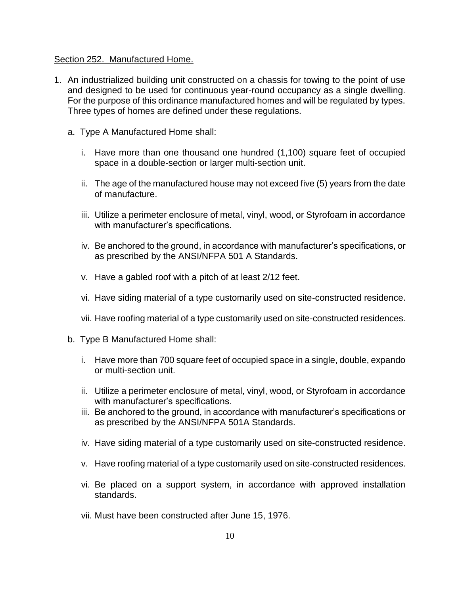#### Section 252. Manufactured Home.

- 1. An industrialized building unit constructed on a chassis for towing to the point of use and designed to be used for continuous year-round occupancy as a single dwelling. For the purpose of this ordinance manufactured homes and will be regulated by types. Three types of homes are defined under these regulations.
	- a. Type A Manufactured Home shall:
		- i. Have more than one thousand one hundred (1,100) square feet of occupied space in a double-section or larger multi-section unit.
		- ii. The age of the manufactured house may not exceed five (5) years from the date of manufacture.
		- iii. Utilize a perimeter enclosure of metal, vinyl, wood, or Styrofoam in accordance with manufacturer's specifications.
		- iv. Be anchored to the ground, in accordance with manufacturer's specifications, or as prescribed by the ANSI/NFPA 501 A Standards.
		- v. Have a gabled roof with a pitch of at least 2/12 feet.
		- vi. Have siding material of a type customarily used on site-constructed residence.
		- vii. Have roofing material of a type customarily used on site-constructed residences.
	- b. Type B Manufactured Home shall:
		- i. Have more than 700 square feet of occupied space in a single, double, expando or multi-section unit.
		- ii. Utilize a perimeter enclosure of metal, vinyl, wood, or Styrofoam in accordance with manufacturer's specifications.
		- iii. Be anchored to the ground, in accordance with manufacturer's specifications or as prescribed by the ANSI/NFPA 501A Standards.
		- iv. Have siding material of a type customarily used on site-constructed residence.
		- v. Have roofing material of a type customarily used on site-constructed residences.
		- vi. Be placed on a support system, in accordance with approved installation standards.
		- vii. Must have been constructed after June 15, 1976.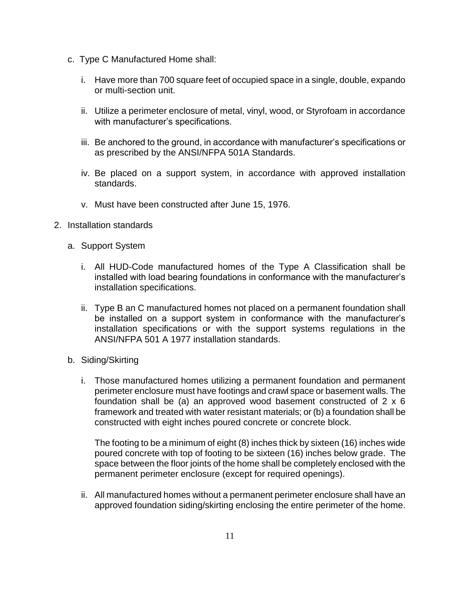- c. Type C Manufactured Home shall:
	- i. Have more than 700 square feet of occupied space in a single, double, expando or multi-section unit.
	- ii. Utilize a perimeter enclosure of metal, vinyl, wood, or Styrofoam in accordance with manufacturer's specifications.
	- iii. Be anchored to the ground, in accordance with manufacturer's specifications or as prescribed by the ANSI/NFPA 501A Standards.
	- iv. Be placed on a support system, in accordance with approved installation standards.
	- v. Must have been constructed after June 15, 1976.
- 2. Installation standards
	- a. Support System
		- i. All HUD-Code manufactured homes of the Type A Classification shall be installed with load bearing foundations in conformance with the manufacturer's installation specifications.
		- ii. Type B an C manufactured homes not placed on a permanent foundation shall be installed on a support system in conformance with the manufacturer's installation specifications or with the support systems regulations in the ANSI/NFPA 501 A 1977 installation standards.
	- b. Siding/Skirting
		- i. Those manufactured homes utilizing a permanent foundation and permanent perimeter enclosure must have footings and crawl space or basement walls. The foundation shall be (a) an approved wood basement constructed of 2 x 6 framework and treated with water resistant materials; or (b) a foundation shall be constructed with eight inches poured concrete or concrete block.

The footing to be a minimum of eight (8) inches thick by sixteen (16) inches wide poured concrete with top of footing to be sixteen (16) inches below grade. The space between the floor joints of the home shall be completely enclosed with the permanent perimeter enclosure (except for required openings).

ii. All manufactured homes without a permanent perimeter enclosure shall have an approved foundation siding/skirting enclosing the entire perimeter of the home.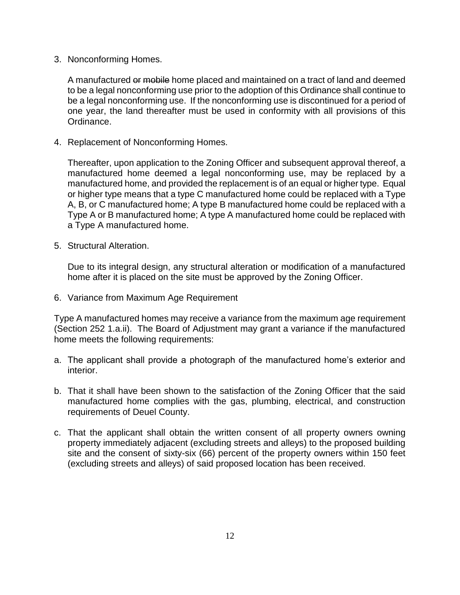3. Nonconforming Homes.

A manufactured or mobile home placed and maintained on a tract of land and deemed to be a legal nonconforming use prior to the adoption of this Ordinance shall continue to be a legal nonconforming use. If the nonconforming use is discontinued for a period of one year, the land thereafter must be used in conformity with all provisions of this Ordinance.

4. Replacement of Nonconforming Homes.

Thereafter, upon application to the Zoning Officer and subsequent approval thereof, a manufactured home deemed a legal nonconforming use, may be replaced by a manufactured home, and provided the replacement is of an equal or higher type. Equal or higher type means that a type C manufactured home could be replaced with a Type A, B, or C manufactured home; A type B manufactured home could be replaced with a Type A or B manufactured home; A type A manufactured home could be replaced with a Type A manufactured home.

5. Structural Alteration.

Due to its integral design, any structural alteration or modification of a manufactured home after it is placed on the site must be approved by the Zoning Officer.

6. Variance from Maximum Age Requirement

Type A manufactured homes may receive a variance from the maximum age requirement (Section 252 1.a.ii). The Board of Adjustment may grant a variance if the manufactured home meets the following requirements:

- a. The applicant shall provide a photograph of the manufactured home's exterior and interior.
- b. That it shall have been shown to the satisfaction of the Zoning Officer that the said manufactured home complies with the gas, plumbing, electrical, and construction requirements of Deuel County.
- c. That the applicant shall obtain the written consent of all property owners owning property immediately adjacent (excluding streets and alleys) to the proposed building site and the consent of sixty-six (66) percent of the property owners within 150 feet (excluding streets and alleys) of said proposed location has been received.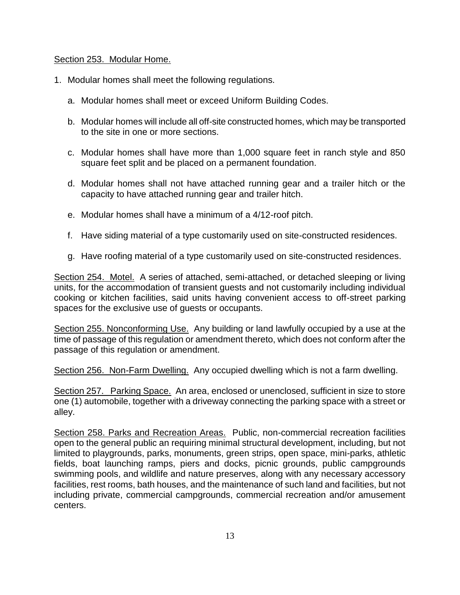#### Section 253. Modular Home.

- 1. Modular homes shall meet the following regulations.
	- a. Modular homes shall meet or exceed Uniform Building Codes.
	- b. Modular homes will include all off-site constructed homes, which may be transported to the site in one or more sections.
	- c. Modular homes shall have more than 1,000 square feet in ranch style and 850 square feet split and be placed on a permanent foundation.
	- d. Modular homes shall not have attached running gear and a trailer hitch or the capacity to have attached running gear and trailer hitch.
	- e. Modular homes shall have a minimum of a 4/12-roof pitch.
	- f. Have siding material of a type customarily used on site-constructed residences.
	- g. Have roofing material of a type customarily used on site-constructed residences.

Section 254. Motel. A series of attached, semi-attached, or detached sleeping or living units, for the accommodation of transient guests and not customarily including individual cooking or kitchen facilities, said units having convenient access to off-street parking spaces for the exclusive use of guests or occupants.

Section 255. Nonconforming Use. Any building or land lawfully occupied by a use at the time of passage of this regulation or amendment thereto, which does not conform after the passage of this regulation or amendment.

Section 256. Non-Farm Dwelling. Any occupied dwelling which is not a farm dwelling.

Section 257. Parking Space. An area, enclosed or unenclosed, sufficient in size to store one (1) automobile, together with a driveway connecting the parking space with a street or alley.

Section 258. Parks and Recreation Areas. Public, non-commercial recreation facilities open to the general public an requiring minimal structural development, including, but not limited to playgrounds, parks, monuments, green strips, open space, mini-parks, athletic fields, boat launching ramps, piers and docks, picnic grounds, public campgrounds swimming pools, and wildlife and nature preserves, along with any necessary accessory facilities, rest rooms, bath houses, and the maintenance of such land and facilities, but not including private, commercial campgrounds, commercial recreation and/or amusement centers.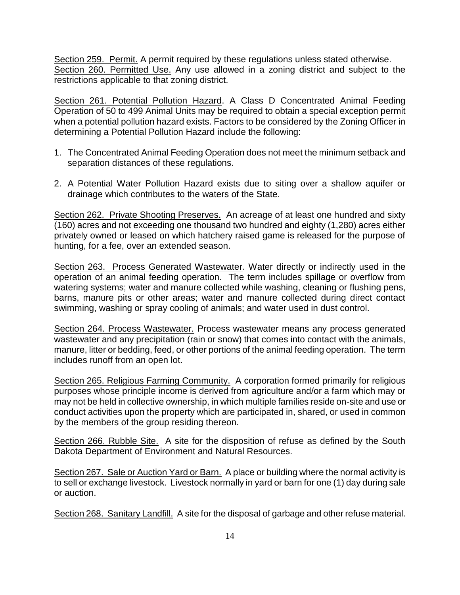Section 259. Permit. A permit required by these regulations unless stated otherwise. Section 260. Permitted Use. Any use allowed in a zoning district and subject to the restrictions applicable to that zoning district.

Section 261. Potential Pollution Hazard. A Class D Concentrated Animal Feeding Operation of 50 to 499 Animal Units may be required to obtain a special exception permit when a potential pollution hazard exists. Factors to be considered by the Zoning Officer in determining a Potential Pollution Hazard include the following:

- 1. The Concentrated Animal Feeding Operation does not meet the minimum setback and separation distances of these regulations.
- 2. A Potential Water Pollution Hazard exists due to siting over a shallow aquifer or drainage which contributes to the waters of the State.

Section 262. Private Shooting Preserves. An acreage of at least one hundred and sixty (160) acres and not exceeding one thousand two hundred and eighty (1,280) acres either privately owned or leased on which hatchery raised game is released for the purpose of hunting, for a fee, over an extended season.

Section 263. Process Generated Wastewater. Water directly or indirectly used in the operation of an animal feeding operation. The term includes spillage or overflow from watering systems; water and manure collected while washing, cleaning or flushing pens, barns, manure pits or other areas; water and manure collected during direct contact swimming, washing or spray cooling of animals; and water used in dust control.

Section 264. Process Wastewater. Process wastewater means any process generated wastewater and any precipitation (rain or snow) that comes into contact with the animals, manure, litter or bedding, feed, or other portions of the animal feeding operation. The term includes runoff from an open lot.

Section 265. Religious Farming Community. A corporation formed primarily for religious purposes whose principle income is derived from agriculture and/or a farm which may or may not be held in collective ownership, in which multiple families reside on-site and use or conduct activities upon the property which are participated in, shared, or used in common by the members of the group residing thereon.

Section 266. Rubble Site. A site for the disposition of refuse as defined by the South Dakota Department of Environment and Natural Resources.

Section 267. Sale or Auction Yard or Barn. A place or building where the normal activity is to sell or exchange livestock. Livestock normally in yard or barn for one (1) day during sale or auction.

Section 268. Sanitary Landfill. A site for the disposal of garbage and other refuse material.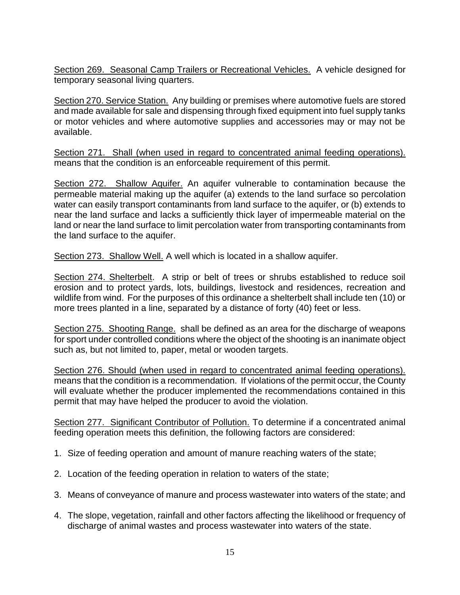Section 269. Seasonal Camp Trailers or Recreational Vehicles. A vehicle designed for temporary seasonal living quarters.

Section 270. Service Station. Any building or premises where automotive fuels are stored and made available for sale and dispensing through fixed equipment into fuel supply tanks or motor vehicles and where automotive supplies and accessories may or may not be available.

Section 271. Shall (when used in regard to concentrated animal feeding operations). means that the condition is an enforceable requirement of this permit.

Section 272. Shallow Aquifer. An aquifer vulnerable to contamination because the permeable material making up the aquifer (a) extends to the land surface so percolation water can easily transport contaminants from land surface to the aquifer, or (b) extends to near the land surface and lacks a sufficiently thick layer of impermeable material on the land or near the land surface to limit percolation water from transporting contaminants from the land surface to the aquifer.

Section 273. Shallow Well. A well which is located in a shallow aquifer.

Section 274. Shelterbelt. A strip or belt of trees or shrubs established to reduce soil erosion and to protect yards, lots, buildings, livestock and residences, recreation and wildlife from wind. For the purposes of this ordinance a shelterbelt shall include ten (10) or more trees planted in a line, separated by a distance of forty (40) feet or less.

Section 275. Shooting Range. shall be defined as an area for the discharge of weapons for sport under controlled conditions where the object of the shooting is an inanimate object such as, but not limited to, paper, metal or wooden targets.

Section 276. Should (when used in regard to concentrated animal feeding operations). means that the condition is a recommendation. If violations of the permit occur, the County will evaluate whether the producer implemented the recommendations contained in this permit that may have helped the producer to avoid the violation.

Section 277. Significant Contributor of Pollution. To determine if a concentrated animal feeding operation meets this definition, the following factors are considered:

- 1. Size of feeding operation and amount of manure reaching waters of the state;
- 2. Location of the feeding operation in relation to waters of the state;
- 3. Means of conveyance of manure and process wastewater into waters of the state; and
- 4. The slope, vegetation, rainfall and other factors affecting the likelihood or frequency of discharge of animal wastes and process wastewater into waters of the state.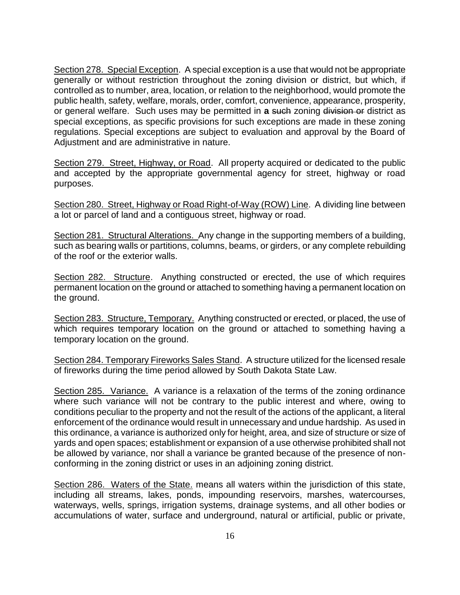Section 278. Special Exception. A special exception is a use that would not be appropriate generally or without restriction throughout the zoning division or district, but which, if controlled as to number, area, location, or relation to the neighborhood, would promote the public health, safety, welfare, morals, order, comfort, convenience, appearance, prosperity, or general welfare. Such uses may be permitted in **a** such zoning division or district as special exceptions, as specific provisions for such exceptions are made in these zoning regulations. Special exceptions are subject to evaluation and approval by the Board of Adjustment and are administrative in nature.

Section 279. Street, Highway, or Road. All property acquired or dedicated to the public and accepted by the appropriate governmental agency for street, highway or road purposes.

Section 280. Street, Highway or Road Right-of-Way (ROW) Line. A dividing line between a lot or parcel of land and a contiguous street, highway or road.

Section 281. Structural Alterations. Any change in the supporting members of a building, such as bearing walls or partitions, columns, beams, or girders, or any complete rebuilding of the roof or the exterior walls.

Section 282. Structure. Anything constructed or erected, the use of which requires permanent location on the ground or attached to something having a permanent location on the ground.

Section 283. Structure, Temporary. Anything constructed or erected, or placed, the use of which requires temporary location on the ground or attached to something having a temporary location on the ground.

Section 284. Temporary Fireworks Sales Stand. A structure utilized for the licensed resale of fireworks during the time period allowed by South Dakota State Law.

Section 285. Variance. A variance is a relaxation of the terms of the zoning ordinance where such variance will not be contrary to the public interest and where, owing to conditions peculiar to the property and not the result of the actions of the applicant, a literal enforcement of the ordinance would result in unnecessary and undue hardship. As used in this ordinance, a variance is authorized only for height, area, and size of structure or size of yards and open spaces; establishment or expansion of a use otherwise prohibited shall not be allowed by variance, nor shall a variance be granted because of the presence of nonconforming in the zoning district or uses in an adjoining zoning district.

Section 286. Waters of the State. means all waters within the jurisdiction of this state, including all streams, lakes, ponds, impounding reservoirs, marshes, watercourses, waterways, wells, springs, irrigation systems, drainage systems, and all other bodies or accumulations of water, surface and underground, natural or artificial, public or private,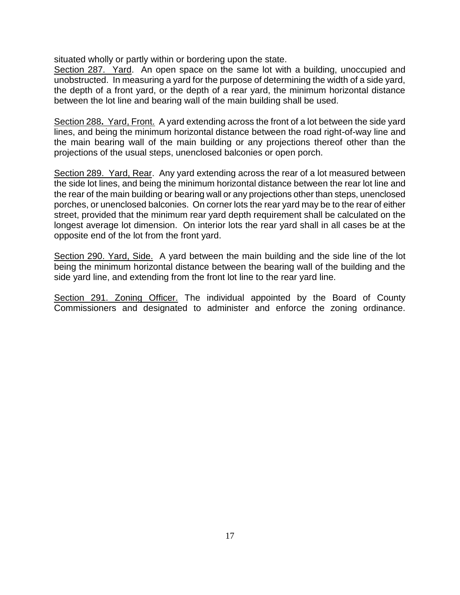situated wholly or partly within or bordering upon the state.

Section 287. Yard. An open space on the same lot with a building, unoccupied and unobstructed. In measuring a yard for the purpose of determining the width of a side yard, the depth of a front yard, or the depth of a rear yard, the minimum horizontal distance between the lot line and bearing wall of the main building shall be used.

Section 288**.** Yard, Front. A yard extending across the front of a lot between the side yard lines, and being the minimum horizontal distance between the road right-of-way line and the main bearing wall of the main building or any projections thereof other than the projections of the usual steps, unenclosed balconies or open porch.

Section 289. Yard, Rear. Any yard extending across the rear of a lot measured between the side lot lines, and being the minimum horizontal distance between the rear lot line and the rear of the main building or bearing wall or any projections other than steps, unenclosed porches, or unenclosed balconies. On corner lots the rear yard may be to the rear of either street, provided that the minimum rear yard depth requirement shall be calculated on the longest average lot dimension. On interior lots the rear yard shall in all cases be at the opposite end of the lot from the front yard.

Section 290. Yard, Side. A yard between the main building and the side line of the lot being the minimum horizontal distance between the bearing wall of the building and the side yard line, and extending from the front lot line to the rear yard line.

Section 291. Zoning Officer. The individual appointed by the Board of County Commissioners and designated to administer and enforce the zoning ordinance.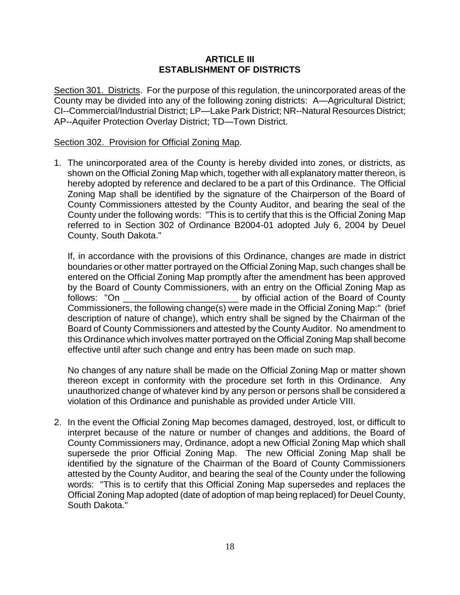#### **ARTICLE III ESTABLISHMENT OF DISTRICTS**

Section 301. Districts. For the purpose of this regulation, the unincorporated areas of the County may be divided into any of the following zoning districts: A—Agricultural District; CI--Commercial/Industrial District; LP—Lake Park District; NR--Natural Resources District; AP--Aquifer Protection Overlay District; TD—Town District.

#### Section 302. Provision for Official Zoning Map.

1. The unincorporated area of the County is hereby divided into zones, or districts, as shown on the Official Zoning Map which, together with all explanatory matter thereon, is hereby adopted by reference and declared to be a part of this Ordinance. The Official Zoning Map shall be identified by the signature of the Chairperson of the Board of County Commissioners attested by the County Auditor, and bearing the seal of the County under the following words: "This is to certify that this is the Official Zoning Map referred to in Section 302 of Ordinance B2004-01 adopted July 6, 2004 by Deuel County, South Dakota."

If, in accordance with the provisions of this Ordinance, changes are made in district boundaries or other matter portrayed on the Official Zoning Map, such changes shall be entered on the Official Zoning Map promptly after the amendment has been approved by the Board of County Commissioners, with an entry on the Official Zoning Map as follows: "On **the Board of County** by official action of the Board of County Commissioners, the following change(s) were made in the Official Zoning Map:" (brief description of nature of change), which entry shall be signed by the Chairman of the Board of County Commissioners and attested by the County Auditor. No amendment to this Ordinance which involves matter portrayed on the Official Zoning Map shall become effective until after such change and entry has been made on such map.

No changes of any nature shall be made on the Official Zoning Map or matter shown thereon except in conformity with the procedure set forth in this Ordinance. Any unauthorized change of whatever kind by any person or persons shall be considered a violation of this Ordinance and punishable as provided under Article VIII.

2. In the event the Official Zoning Map becomes damaged, destroyed, lost, or difficult to interpret because of the nature or number of changes and additions, the Board of County Commissioners may, Ordinance, adopt a new Official Zoning Map which shall supersede the prior Official Zoning Map. The new Official Zoning Map shall be identified by the signature of the Chairman of the Board of County Commissioners attested by the County Auditor, and bearing the seal of the County under the following words: "This is to certify that this Official Zoning Map supersedes and replaces the Official Zoning Map adopted (date of adoption of map being replaced) for Deuel County, South Dakota."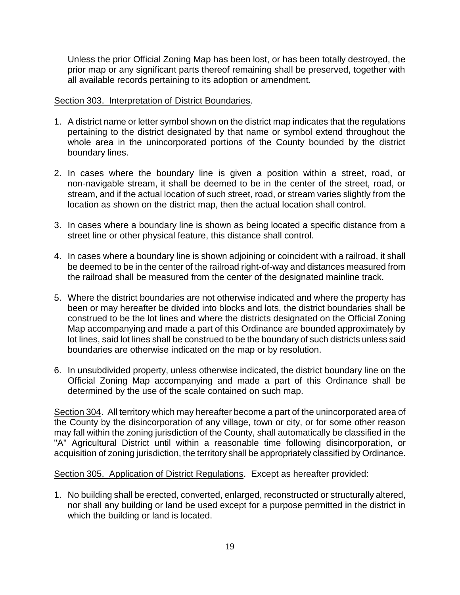Unless the prior Official Zoning Map has been lost, or has been totally destroyed, the prior map or any significant parts thereof remaining shall be preserved, together with all available records pertaining to its adoption or amendment.

#### Section 303. Interpretation of District Boundaries.

- 1. A district name or letter symbol shown on the district map indicates that the regulations pertaining to the district designated by that name or symbol extend throughout the whole area in the unincorporated portions of the County bounded by the district boundary lines.
- 2. In cases where the boundary line is given a position within a street, road, or non-navigable stream, it shall be deemed to be in the center of the street, road, or stream, and if the actual location of such street, road, or stream varies slightly from the location as shown on the district map, then the actual location shall control.
- 3. In cases where a boundary line is shown as being located a specific distance from a street line or other physical feature, this distance shall control.
- 4. In cases where a boundary line is shown adjoining or coincident with a railroad, it shall be deemed to be in the center of the railroad right-of-way and distances measured from the railroad shall be measured from the center of the designated mainline track.
- 5. Where the district boundaries are not otherwise indicated and where the property has been or may hereafter be divided into blocks and lots, the district boundaries shall be construed to be the lot lines and where the districts designated on the Official Zoning Map accompanying and made a part of this Ordinance are bounded approximately by lot lines, said lot lines shall be construed to be the boundary of such districts unless said boundaries are otherwise indicated on the map or by resolution.
- 6. In unsubdivided property, unless otherwise indicated, the district boundary line on the Official Zoning Map accompanying and made a part of this Ordinance shall be determined by the use of the scale contained on such map.

Section 304. All territory which may hereafter become a part of the unincorporated area of the County by the disincorporation of any village, town or city, or for some other reason may fall within the zoning jurisdiction of the County, shall automatically be classified in the "A" Agricultural District until within a reasonable time following disincorporation, or acquisition of zoning jurisdiction, the territory shall be appropriately classified by Ordinance.

Section 305. Application of District Regulations. Except as hereafter provided:

1. No building shall be erected, converted, enlarged, reconstructed or structurally altered, nor shall any building or land be used except for a purpose permitted in the district in which the building or land is located.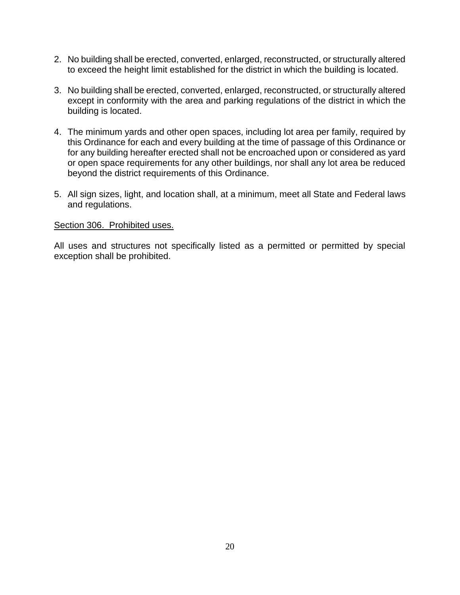- 2. No building shall be erected, converted, enlarged, reconstructed, or structurally altered to exceed the height limit established for the district in which the building is located.
- 3. No building shall be erected, converted, enlarged, reconstructed, or structurally altered except in conformity with the area and parking regulations of the district in which the building is located.
- 4. The minimum yards and other open spaces, including lot area per family, required by this Ordinance for each and every building at the time of passage of this Ordinance or for any building hereafter erected shall not be encroached upon or considered as yard or open space requirements for any other buildings, nor shall any lot area be reduced beyond the district requirements of this Ordinance.
- 5. All sign sizes, light, and location shall, at a minimum, meet all State and Federal laws and regulations.

#### Section 306. Prohibited uses.

All uses and structures not specifically listed as a permitted or permitted by special exception shall be prohibited.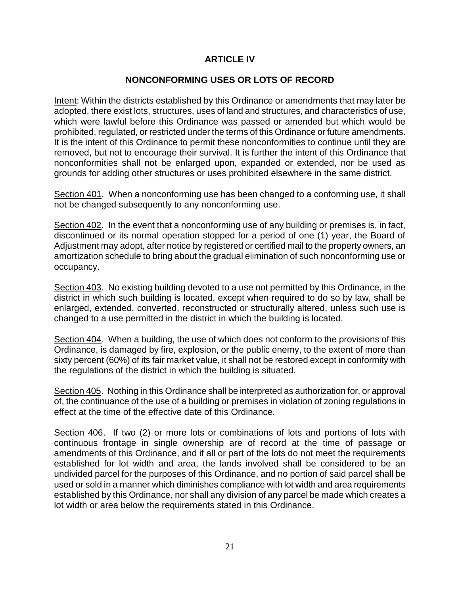## **ARTICLE IV**

## **NONCONFORMING USES OR LOTS OF RECORD**

Intent: Within the districts established by this Ordinance or amendments that may later be adopted, there exist lots, structures, uses of land and structures, and characteristics of use, which were lawful before this Ordinance was passed or amended but which would be prohibited, regulated, or restricted under the terms of this Ordinance or future amendments. It is the intent of this Ordinance to permit these nonconformities to continue until they are removed, but not to encourage their survival. It is further the intent of this Ordinance that nonconformities shall not be enlarged upon, expanded or extended, nor be used as grounds for adding other structures or uses prohibited elsewhere in the same district.

Section 401. When a nonconforming use has been changed to a conforming use, it shall not be changed subsequently to any nonconforming use.

Section 402. In the event that a nonconforming use of any building or premises is, in fact, discontinued or its normal operation stopped for a period of one (1) year, the Board of Adjustment may adopt, after notice by registered or certified mail to the property owners, an amortization schedule to bring about the gradual elimination of such nonconforming use or occupancy.

Section 403. No existing building devoted to a use not permitted by this Ordinance, in the district in which such building is located, except when required to do so by law, shall be enlarged, extended, converted, reconstructed or structurally altered, unless such use is changed to a use permitted in the district in which the building is located.

Section 404. When a building, the use of which does not conform to the provisions of this Ordinance, is damaged by fire, explosion, or the public enemy, to the extent of more than sixty percent (60%) of its fair market value, it shall not be restored except in conformity with the regulations of the district in which the building is situated.

Section 405. Nothing in this Ordinance shall be interpreted as authorization for, or approval of, the continuance of the use of a building or premises in violation of zoning regulations in effect at the time of the effective date of this Ordinance.

Section 406. If two (2) or more lots or combinations of lots and portions of lots with continuous frontage in single ownership are of record at the time of passage or amendments of this Ordinance, and if all or part of the lots do not meet the requirements established for lot width and area, the lands involved shall be considered to be an undivided parcel for the purposes of this Ordinance, and no portion of said parcel shall be used or sold in a manner which diminishes compliance with lot width and area requirements established by this Ordinance, nor shall any division of any parcel be made which creates a lot width or area below the requirements stated in this Ordinance.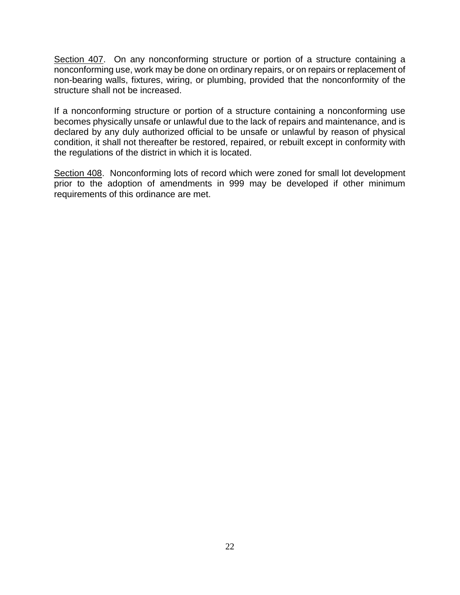Section 407. On any nonconforming structure or portion of a structure containing a nonconforming use, work may be done on ordinary repairs, or on repairs or replacement of non-bearing walls, fixtures, wiring, or plumbing, provided that the nonconformity of the structure shall not be increased.

If a nonconforming structure or portion of a structure containing a nonconforming use becomes physically unsafe or unlawful due to the lack of repairs and maintenance, and is declared by any duly authorized official to be unsafe or unlawful by reason of physical condition, it shall not thereafter be restored, repaired, or rebuilt except in conformity with the regulations of the district in which it is located.

Section 408. Nonconforming lots of record which were zoned for small lot development prior to the adoption of amendments in 999 may be developed if other minimum requirements of this ordinance are met.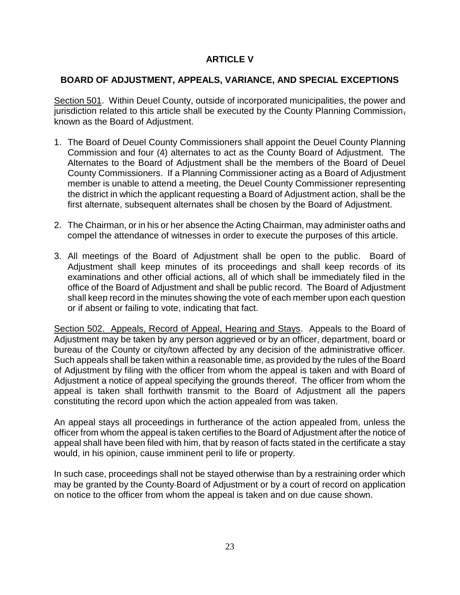# **ARTICLE V**

# **BOARD OF ADJUSTMENT, APPEALS, VARIANCE, AND SPECIAL EXCEPTIONS**

Section 501. Within Deuel County, outside of incorporated municipalities, the power and jurisdiction related to this article shall be executed by the County Planning Commission, known as the Board of Adjustment.

- 1. The Board of Deuel County Commissioners shall appoint the Deuel County Planning Commission and four (4) alternates to act as the County Board of Adjustment. The Alternates to the Board of Adjustment shall be the members of the Board of Deuel County Commissioners. If a Planning Commissioner acting as a Board of Adjustment member is unable to attend a meeting, the Deuel County Commissioner representing the district in which the applicant requesting a Board of Adjustment action, shall be the first alternate, subsequent alternates shall be chosen by the Board of Adjustment.
- 2. The Chairman, or in his or her absence the Acting Chairman, may administer oaths and compel the attendance of witnesses in order to execute the purposes of this article.
- 3. All meetings of the Board of Adjustment shall be open to the public. Board of Adjustment shall keep minutes of its proceedings and shall keep records of its examinations and other official actions, all of which shall be immediately filed in the office of the Board of Adjustment and shall be public record. The Board of Adjustment shall keep record in the minutes showing the vote of each member upon each question or if absent or failing to vote, indicating that fact.

Section 502. Appeals, Record of Appeal, Hearing and Stays. Appeals to the Board of Adjustment may be taken by any person aggrieved or by an officer, department, board or bureau of the County or city/town affected by any decision of the administrative officer. Such appeals shall be taken within a reasonable time, as provided by the rules of the Board of Adjustment by filing with the officer from whom the appeal is taken and with Board of Adjustment a notice of appeal specifying the grounds thereof. The officer from whom the appeal is taken shall forthwith transmit to the Board of Adjustment all the papers constituting the record upon which the action appealed from was taken.

An appeal stays all proceedings in furtherance of the action appealed from, unless the officer from whom the appeal is taken certifies to the Board of Adjustment after the notice of appeal shall have been filed with him, that by reason of facts stated in the certificate a stay would, in his opinion, cause imminent peril to life or property.

In such case, proceedings shall not be stayed otherwise than by a restraining order which may be granted by the County Board of Adjustment or by a court of record on application on notice to the officer from whom the appeal is taken and on due cause shown.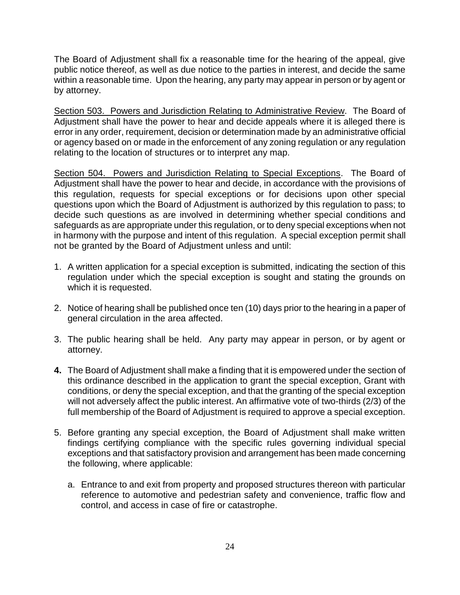The Board of Adjustment shall fix a reasonable time for the hearing of the appeal, give public notice thereof, as well as due notice to the parties in interest, and decide the same within a reasonable time. Upon the hearing, any party may appear in person or by agent or by attorney.

Section 503. Powers and Jurisdiction Relating to Administrative Review. The Board of Adjustment shall have the power to hear and decide appeals where it is alleged there is error in any order, requirement, decision or determination made by an administrative official or agency based on or made in the enforcement of any zoning regulation or any regulation relating to the location of structures or to interpret any map.

Section 504. Powers and Jurisdiction Relating to Special Exceptions. The Board of Adjustment shall have the power to hear and decide, in accordance with the provisions of this regulation, requests for special exceptions or for decisions upon other special questions upon which the Board of Adjustment is authorized by this regulation to pass; to decide such questions as are involved in determining whether special conditions and safeguards as are appropriate under this regulation, or to deny special exceptions when not in harmony with the purpose and intent of this regulation. A special exception permit shall not be granted by the Board of Adjustment unless and until:

- 1. A written application for a special exception is submitted, indicating the section of this regulation under which the special exception is sought and stating the grounds on which it is requested.
- 2. Notice of hearing shall be published once ten (10) days prior to the hearing in a paper of general circulation in the area affected.
- 3. The public hearing shall be held. Any party may appear in person, or by agent or attorney.
- **4.** The Board of Adjustment shall make a finding that it is empowered under the section of this ordinance described in the application to grant the special exception, Grant with conditions, or deny the special exception, and that the granting of the special exception will not adversely affect the public interest. An affirmative vote of two-thirds (2/3) of the full membership of the Board of Adjustment is required to approve a special exception.
- 5. Before granting any special exception, the Board of Adjustment shall make written findings certifying compliance with the specific rules governing individual special exceptions and that satisfactory provision and arrangement has been made concerning the following, where applicable:
	- a. Entrance to and exit from property and proposed structures thereon with particular reference to automotive and pedestrian safety and convenience, traffic flow and control, and access in case of fire or catastrophe.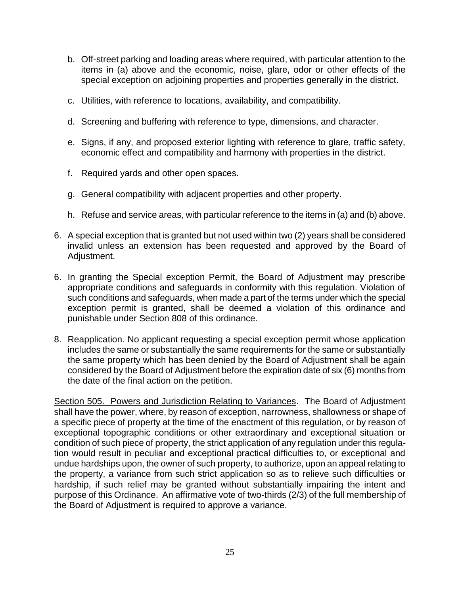- b. Off-street parking and loading areas where required, with particular attention to the items in (a) above and the economic, noise, glare, odor or other effects of the special exception on adjoining properties and properties generally in the district.
- c. Utilities, with reference to locations, availability, and compatibility.
- d. Screening and buffering with reference to type, dimensions, and character.
- e. Signs, if any, and proposed exterior lighting with reference to glare, traffic safety, economic effect and compatibility and harmony with properties in the district.
- f. Required yards and other open spaces.
- g. General compatibility with adjacent properties and other property.
- h. Refuse and service areas, with particular reference to the items in (a) and (b) above.
- 6. A special exception that is granted but not used within two (2) years shall be considered invalid unless an extension has been requested and approved by the Board of Adjustment.
- 6. In granting the Special exception Permit, the Board of Adjustment may prescribe appropriate conditions and safeguards in conformity with this regulation. Violation of such conditions and safeguards, when made a part of the terms under which the special exception permit is granted, shall be deemed a violation of this ordinance and punishable under Section 808 of this ordinance.
- 8. Reapplication. No applicant requesting a special exception permit whose application includes the same or substantially the same requirements for the same or substantially the same property which has been denied by the Board of Adjustment shall be again considered by the Board of Adjustment before the expiration date of six (6) months from the date of the final action on the petition.

Section 505. Powers and Jurisdiction Relating to Variances. The Board of Adjustment shall have the power, where, by reason of exception, narrowness, shallowness or shape of a specific piece of property at the time of the enactment of this regulation, or by reason of exceptional topographic conditions or other extraordinary and exceptional situation or condition of such piece of property, the strict application of any regulation under this regulation would result in peculiar and exceptional practical difficulties to, or exceptional and undue hardships upon, the owner of such property, to authorize, upon an appeal relating to the property, a variance from such strict application so as to relieve such difficulties or hardship, if such relief may be granted without substantially impairing the intent and purpose of this Ordinance. An affirmative vote of two-thirds (2/3) of the full membership of the Board of Adjustment is required to approve a variance.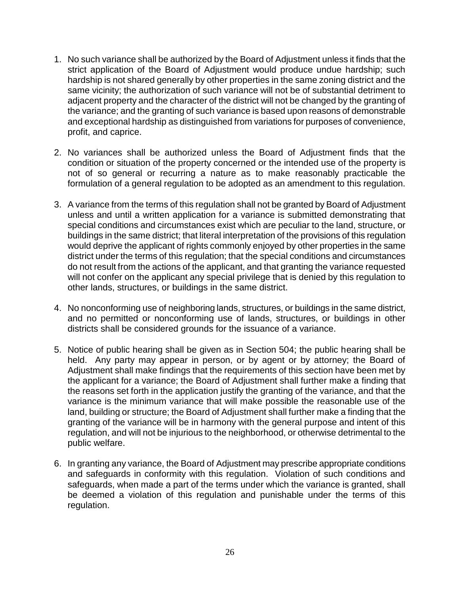- 1. No such variance shall be authorized by the Board of Adjustment unless it finds that the strict application of the Board of Adjustment would produce undue hardship; such hardship is not shared generally by other properties in the same zoning district and the same vicinity; the authorization of such variance will not be of substantial detriment to adjacent property and the character of the district will not be changed by the granting of the variance; and the granting of such variance is based upon reasons of demonstrable and exceptional hardship as distinguished from variations for purposes of convenience, profit, and caprice.
- 2. No variances shall be authorized unless the Board of Adjustment finds that the condition or situation of the property concerned or the intended use of the property is not of so general or recurring a nature as to make reasonably practicable the formulation of a general regulation to be adopted as an amendment to this regulation.
- 3. A variance from the terms of this regulation shall not be granted by Board of Adjustment unless and until a written application for a variance is submitted demonstrating that special conditions and circumstances exist which are peculiar to the land, structure, or buildings in the same district; that literal interpretation of the provisions of this regulation would deprive the applicant of rights commonly enjoyed by other properties in the same district under the terms of this regulation; that the special conditions and circumstances do not result from the actions of the applicant, and that granting the variance requested will not confer on the applicant any special privilege that is denied by this regulation to other lands, structures, or buildings in the same district.
- 4. No nonconforming use of neighboring lands, structures, or buildings in the same district, and no permitted or nonconforming use of lands, structures, or buildings in other districts shall be considered grounds for the issuance of a variance.
- 5. Notice of public hearing shall be given as in Section 504; the public hearing shall be held. Any party may appear in person, or by agent or by attorney; the Board of Adjustment shall make findings that the requirements of this section have been met by the applicant for a variance; the Board of Adjustment shall further make a finding that the reasons set forth in the application justify the granting of the variance, and that the variance is the minimum variance that will make possible the reasonable use of the land, building or structure; the Board of Adjustment shall further make a finding that the granting of the variance will be in harmony with the general purpose and intent of this regulation, and will not be injurious to the neighborhood, or otherwise detrimental to the public welfare.
- 6. In granting any variance, the Board of Adjustment may prescribe appropriate conditions and safeguards in conformity with this regulation. Violation of such conditions and safeguards, when made a part of the terms under which the variance is granted, shall be deemed a violation of this regulation and punishable under the terms of this regulation.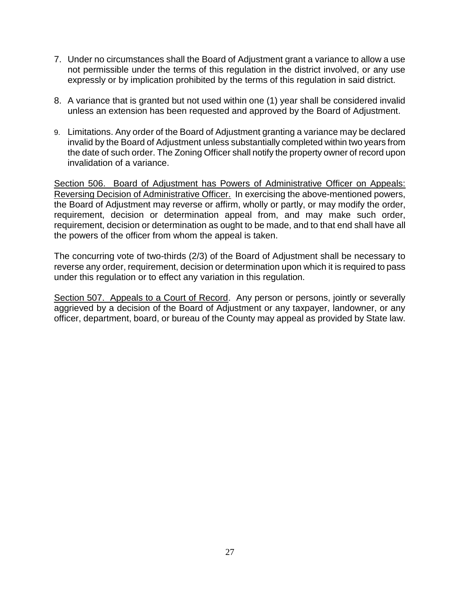- 7. Under no circumstances shall the Board of Adjustment grant a variance to allow a use not permissible under the terms of this regulation in the district involved, or any use expressly or by implication prohibited by the terms of this regulation in said district.
- 8. A variance that is granted but not used within one (1) year shall be considered invalid unless an extension has been requested and approved by the Board of Adjustment.
- 9. Limitations. Any order of the Board of Adjustment granting a variance may be declared invalid by the Board of Adjustment unless substantially completed within two years from the date of such order. The Zoning Officer shall notify the property owner of record upon invalidation of a variance.

Section 506. Board of Adjustment has Powers of Administrative Officer on Appeals: Reversing Decision of Administrative Officer. In exercising the above-mentioned powers, the Board of Adjustment may reverse or affirm, wholly or partly, or may modify the order, requirement, decision or determination appeal from, and may make such order, requirement, decision or determination as ought to be made, and to that end shall have all the powers of the officer from whom the appeal is taken.

The concurring vote of two-thirds (2/3) of the Board of Adjustment shall be necessary to reverse any order, requirement, decision or determination upon which it is required to pass under this regulation or to effect any variation in this regulation.

Section 507. Appeals to a Court of Record. Any person or persons, jointly or severally aggrieved by a decision of the Board of Adjustment or any taxpayer, landowner, or any officer, department, board, or bureau of the County may appeal as provided by State law.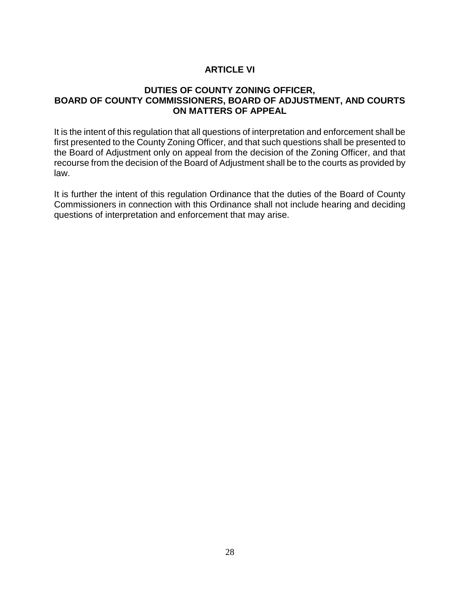# **ARTICLE VI**

#### **DUTIES OF COUNTY ZONING OFFICER, BOARD OF COUNTY COMMISSIONERS, BOARD OF ADJUSTMENT, AND COURTS ON MATTERS OF APPEAL**

It is the intent of this regulation that all questions of interpretation and enforcement shall be first presented to the County Zoning Officer, and that such questions shall be presented to the Board of Adjustment only on appeal from the decision of the Zoning Officer, and that recourse from the decision of the Board of Adjustment shall be to the courts as provided by law.

It is further the intent of this regulation Ordinance that the duties of the Board of County Commissioners in connection with this Ordinance shall not include hearing and deciding questions of interpretation and enforcement that may arise.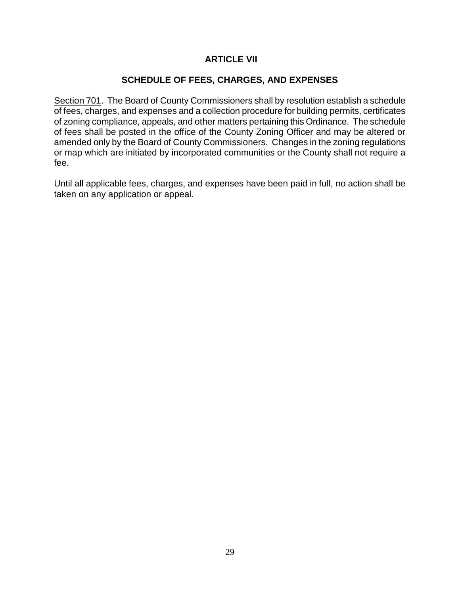## **ARTICLE VII**

## **SCHEDULE OF FEES, CHARGES, AND EXPENSES**

Section 701. The Board of County Commissioners shall by resolution establish a schedule of fees, charges, and expenses and a collection procedure for building permits, certificates of zoning compliance, appeals, and other matters pertaining this Ordinance. The schedule of fees shall be posted in the office of the County Zoning Officer and may be altered or amended only by the Board of County Commissioners. Changes in the zoning regulations or map which are initiated by incorporated communities or the County shall not require a fee.

Until all applicable fees, charges, and expenses have been paid in full, no action shall be taken on any application or appeal.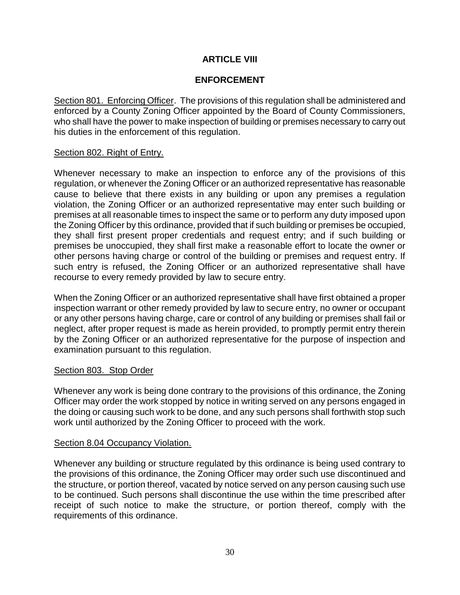# **ARTICLE VIII**

# **ENFORCEMENT**

Section 801. Enforcing Officer. The provisions of this regulation shall be administered and enforced by a County Zoning Officer appointed by the Board of County Commissioners, who shall have the power to make inspection of building or premises necessary to carry out his duties in the enforcement of this regulation.

#### Section 802. Right of Entry.

Whenever necessary to make an inspection to enforce any of the provisions of this regulation, or whenever the Zoning Officer or an authorized representative has reasonable cause to believe that there exists in any building or upon any premises a regulation violation, the Zoning Officer or an authorized representative may enter such building or premises at all reasonable times to inspect the same or to perform any duty imposed upon the Zoning Officer by this ordinance, provided that if such building or premises be occupied, they shall first present proper credentials and request entry; and if such building or premises be unoccupied, they shall first make a reasonable effort to locate the owner or other persons having charge or control of the building or premises and request entry. If such entry is refused, the Zoning Officer or an authorized representative shall have recourse to every remedy provided by law to secure entry.

When the Zoning Officer or an authorized representative shall have first obtained a proper inspection warrant or other remedy provided by law to secure entry, no owner or occupant or any other persons having charge, care or control of any building or premises shall fail or neglect, after proper request is made as herein provided, to promptly permit entry therein by the Zoning Officer or an authorized representative for the purpose of inspection and examination pursuant to this regulation.

#### Section 803. Stop Order

Whenever any work is being done contrary to the provisions of this ordinance, the Zoning Officer may order the work stopped by notice in writing served on any persons engaged in the doing or causing such work to be done, and any such persons shall forthwith stop such work until authorized by the Zoning Officer to proceed with the work.

#### Section 8.04 Occupancy Violation.

Whenever any building or structure regulated by this ordinance is being used contrary to the provisions of this ordinance, the Zoning Officer may order such use discontinued and the structure, or portion thereof, vacated by notice served on any person causing such use to be continued. Such persons shall discontinue the use within the time prescribed after receipt of such notice to make the structure, or portion thereof, comply with the requirements of this ordinance.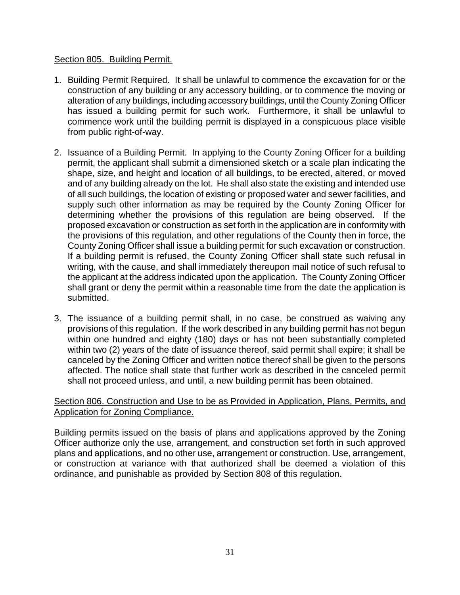### Section 805. Building Permit.

- 1. Building Permit Required. It shall be unlawful to commence the excavation for or the construction of any building or any accessory building, or to commence the moving or alteration of any buildings, including accessory buildings, until the County Zoning Officer has issued a building permit for such work. Furthermore, it shall be unlawful to commence work until the building permit is displayed in a conspicuous place visible from public right-of-way.
- 2. Issuance of a Building Permit. In applying to the County Zoning Officer for a building permit, the applicant shall submit a dimensioned sketch or a scale plan indicating the shape, size, and height and location of all buildings, to be erected, altered, or moved and of any building already on the lot. He shall also state the existing and intended use of all such buildings, the location of existing or proposed water and sewer facilities, and supply such other information as may be required by the County Zoning Officer for determining whether the provisions of this regulation are being observed. If the proposed excavation or construction as set forth in the application are in conformity with the provisions of this regulation, and other regulations of the County then in force, the County Zoning Officer shall issue a building permit for such excavation or construction. If a building permit is refused, the County Zoning Officer shall state such refusal in writing, with the cause, and shall immediately thereupon mail notice of such refusal to the applicant at the address indicated upon the application. The County Zoning Officer shall grant or deny the permit within a reasonable time from the date the application is submitted.
- 3. The issuance of a building permit shall, in no case, be construed as waiving any provisions of this regulation. If the work described in any building permit has not begun within one hundred and eighty (180) days or has not been substantially completed within two (2) years of the date of issuance thereof, said permit shall expire; it shall be canceled by the Zoning Officer and written notice thereof shall be given to the persons affected. The notice shall state that further work as described in the canceled permit shall not proceed unless, and until, a new building permit has been obtained.

## Section 806. Construction and Use to be as Provided in Application, Plans, Permits, and Application for Zoning Compliance.

Building permits issued on the basis of plans and applications approved by the Zoning Officer authorize only the use, arrangement, and construction set forth in such approved plans and applications, and no other use, arrangement or construction. Use, arrangement, or construction at variance with that authorized shall be deemed a violation of this ordinance, and punishable as provided by Section 808 of this regulation.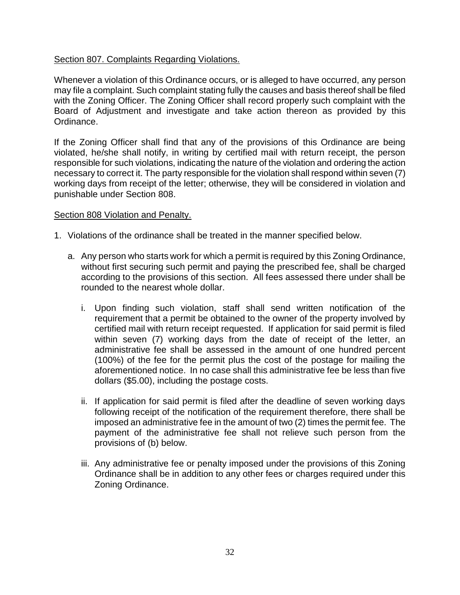## Section 807. Complaints Regarding Violations.

Whenever a violation of this Ordinance occurs, or is alleged to have occurred, any person may file a complaint. Such complaint stating fully the causes and basis thereof shall be filed with the Zoning Officer. The Zoning Officer shall record properly such complaint with the Board of Adjustment and investigate and take action thereon as provided by this Ordinance.

If the Zoning Officer shall find that any of the provisions of this Ordinance are being violated, he/she shall notify, in writing by certified mail with return receipt, the person responsible for such violations, indicating the nature of the violation and ordering the action necessary to correct it. The party responsible for the violation shall respond within seven (7) working days from receipt of the letter; otherwise, they will be considered in violation and punishable under Section 808.

### Section 808 Violation and Penalty.

- 1. Violations of the ordinance shall be treated in the manner specified below.
	- a. Any person who starts work for which a permit is required by this Zoning Ordinance, without first securing such permit and paying the prescribed fee, shall be charged according to the provisions of this section. All fees assessed there under shall be rounded to the nearest whole dollar.
		- i. Upon finding such violation, staff shall send written notification of the requirement that a permit be obtained to the owner of the property involved by certified mail with return receipt requested. If application for said permit is filed within seven (7) working days from the date of receipt of the letter, an administrative fee shall be assessed in the amount of one hundred percent (100%) of the fee for the permit plus the cost of the postage for mailing the aforementioned notice. In no case shall this administrative fee be less than five dollars (\$5.00), including the postage costs.
		- ii. If application for said permit is filed after the deadline of seven working days following receipt of the notification of the requirement therefore, there shall be imposed an administrative fee in the amount of two (2) times the permit fee. The payment of the administrative fee shall not relieve such person from the provisions of (b) below.
		- iii. Any administrative fee or penalty imposed under the provisions of this Zoning Ordinance shall be in addition to any other fees or charges required under this Zoning Ordinance.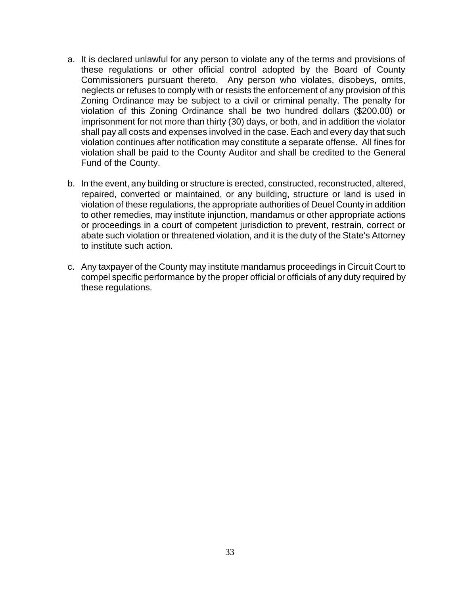- a. It is declared unlawful for any person to violate any of the terms and provisions of these regulations or other official control adopted by the Board of County Commissioners pursuant thereto. Any person who violates, disobeys, omits, neglects or refuses to comply with or resists the enforcement of any provision of this Zoning Ordinance may be subject to a civil or criminal penalty. The penalty for violation of this Zoning Ordinance shall be two hundred dollars (\$200.00) or imprisonment for not more than thirty (30) days, or both, and in addition the violator shall pay all costs and expenses involved in the case. Each and every day that such violation continues after notification may constitute a separate offense. All fines for violation shall be paid to the County Auditor and shall be credited to the General Fund of the County.
- b. In the event, any building or structure is erected, constructed, reconstructed, altered, repaired, converted or maintained, or any building, structure or land is used in violation of these regulations, the appropriate authorities of Deuel County in addition to other remedies, may institute injunction, mandamus or other appropriate actions or proceedings in a court of competent jurisdiction to prevent, restrain, correct or abate such violation or threatened violation, and it is the duty of the State's Attorney to institute such action.
- c. Any taxpayer of the County may institute mandamus proceedings in Circuit Court to compel specific performance by the proper official or officials of any duty required by these regulations.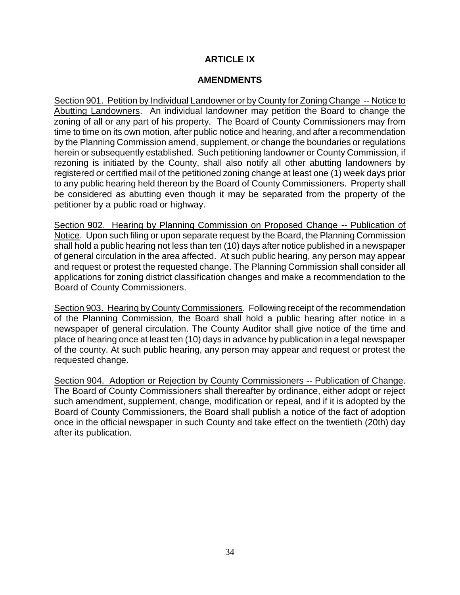# **ARTICLE IX**

### **AMENDMENTS**

Section 901. Petition by Individual Landowner or by County for Zoning Change -- Notice to Abutting Landowners. An individual landowner may petition the Board to change the zoning of all or any part of his property. The Board of County Commissioners may from time to time on its own motion, after public notice and hearing, and after a recommendation by the Planning Commission amend, supplement, or change the boundaries or regulations herein or subsequently established. Such petitioning landowner or County Commission, if rezoning is initiated by the County, shall also notify all other abutting landowners by registered or certified mail of the petitioned zoning change at least one (1) week days prior to any public hearing held thereon by the Board of County Commissioners. Property shall be considered as abutting even though it may be separated from the property of the petitioner by a public road or highway.

Section 902. Hearing by Planning Commission on Proposed Change -- Publication of Notice. Upon such filing or upon separate request by the Board, the Planning Commission shall hold a public hearing not less than ten (10) days after notice published in a newspaper of general circulation in the area affected. At such public hearing, any person may appear and request or protest the requested change. The Planning Commission shall consider all applications for zoning district classification changes and make a recommendation to the Board of County Commissioners.

Section 903. Hearing by County Commissioners. Following receipt of the recommendation of the Planning Commission, the Board shall hold a public hearing after notice in a newspaper of general circulation. The County Auditor shall give notice of the time and place of hearing once at least ten (10) days in advance by publication in a legal newspaper of the county. At such public hearing, any person may appear and request or protest the requested change.

Section 904. Adoption or Rejection by County Commissioners -- Publication of Change. The Board of County Commissioners shall thereafter by ordinance, either adopt or reject such amendment, supplement, change, modification or repeal, and if it is adopted by the Board of County Commissioners, the Board shall publish a notice of the fact of adoption once in the official newspaper in such County and take effect on the twentieth (20th) day after its publication.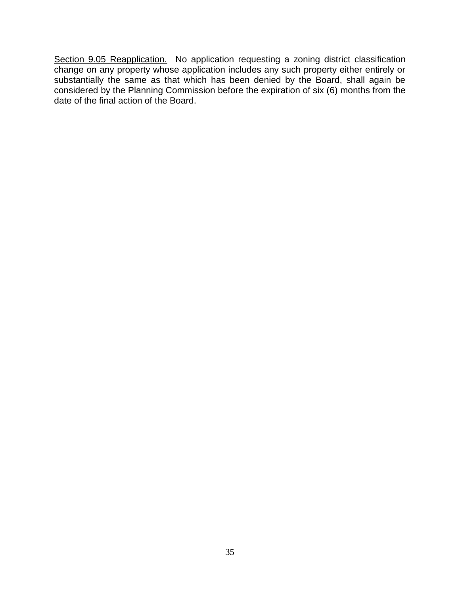Section 9.05 Reapplication. No application requesting a zoning district classification change on any property whose application includes any such property either entirely or substantially the same as that which has been denied by the Board, shall again be considered by the Planning Commission before the expiration of six (6) months from the date of the final action of the Board.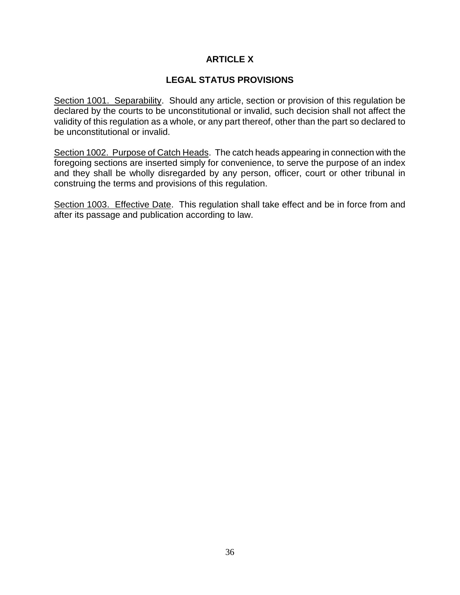# **ARTICLE X**

# **LEGAL STATUS PROVISIONS**

Section 1001. Separability. Should any article, section or provision of this regulation be declared by the courts to be unconstitutional or invalid, such decision shall not affect the validity of this regulation as a whole, or any part thereof, other than the part so declared to be unconstitutional or invalid.

Section 1002. Purpose of Catch Heads. The catch heads appearing in connection with the foregoing sections are inserted simply for convenience, to serve the purpose of an index and they shall be wholly disregarded by any person, officer, court or other tribunal in construing the terms and provisions of this regulation.

Section 1003. Effective Date. This regulation shall take effect and be in force from and after its passage and publication according to law.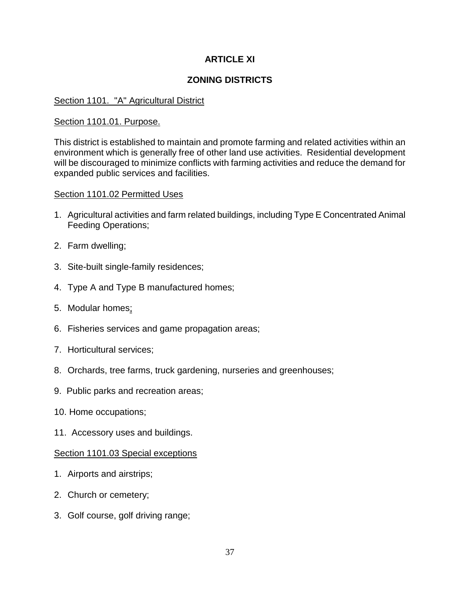# **ARTICLE XI**

# **ZONING DISTRICTS**

## Section 1101. "A" Agricultural District

## Section 1101.01. Purpose.

This district is established to maintain and promote farming and related activities within an environment which is generally free of other land use activities. Residential development will be discouraged to minimize conflicts with farming activities and reduce the demand for expanded public services and facilities.

### Section 1101.02 Permitted Uses

- 1. Agricultural activities and farm related buildings, including Type E Concentrated Animal Feeding Operations;
- 2. Farm dwelling;
- 3. Site-built single-family residences;
- 4. Type A and Type B manufactured homes;
- 5. Modular homes;
- 6. Fisheries services and game propagation areas;
- 7. Horticultural services;
- 8. Orchards, tree farms, truck gardening, nurseries and greenhouses;
- 9. Public parks and recreation areas;
- 10. Home occupations;
- 11. Accessory uses and buildings.

### Section 1101.03 Special exceptions

- 1. Airports and airstrips;
- 2. Church or cemetery;
- 3. Golf course, golf driving range;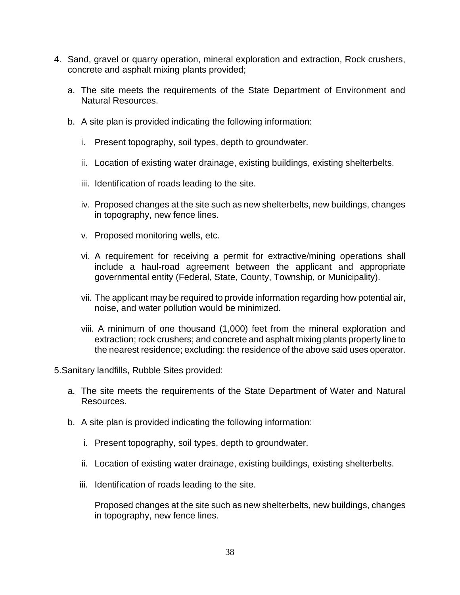- 4. Sand, gravel or quarry operation, mineral exploration and extraction, Rock crushers, concrete and asphalt mixing plants provided;
	- a. The site meets the requirements of the State Department of Environment and Natural Resources.
	- b. A site plan is provided indicating the following information:
		- i. Present topography, soil types, depth to groundwater.
		- ii. Location of existing water drainage, existing buildings, existing shelterbelts.
		- iii. Identification of roads leading to the site.
		- iv. Proposed changes at the site such as new shelterbelts, new buildings, changes in topography, new fence lines.
		- v. Proposed monitoring wells, etc.
		- vi. A requirement for receiving a permit for extractive/mining operations shall include a haul-road agreement between the applicant and appropriate governmental entity (Federal, State, County, Township, or Municipality).
		- vii. The applicant may be required to provide information regarding how potential air, noise, and water pollution would be minimized.
		- viii. A minimum of one thousand (1,000) feet from the mineral exploration and extraction; rock crushers; and concrete and asphalt mixing plants property line to the nearest residence; excluding: the residence of the above said uses operator.

5.Sanitary landfills, Rubble Sites provided:

- a. The site meets the requirements of the State Department of Water and Natural Resources.
- b. A site plan is provided indicating the following information:
	- i. Present topography, soil types, depth to groundwater.
	- ii. Location of existing water drainage, existing buildings, existing shelterbelts.
	- iii. Identification of roads leading to the site.

Proposed changes at the site such as new shelterbelts, new buildings, changes in topography, new fence lines.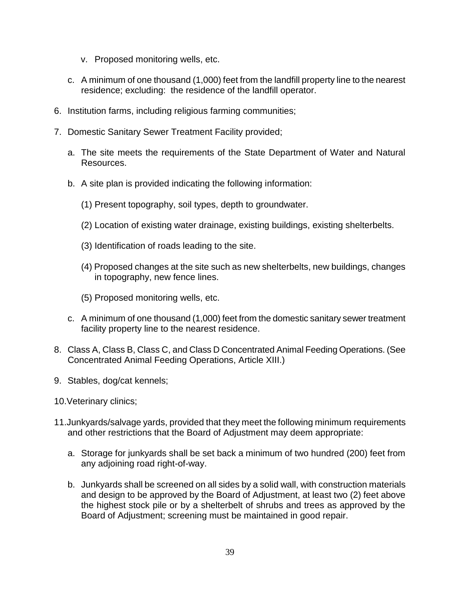- v. Proposed monitoring wells, etc.
- c. A minimum of one thousand (1,000) feet from the landfill property line to the nearest residence; excluding: the residence of the landfill operator.
- 6. Institution farms, including religious farming communities;
- 7. Domestic Sanitary Sewer Treatment Facility provided;
	- a. The site meets the requirements of the State Department of Water and Natural Resources.
	- b. A site plan is provided indicating the following information:
		- (1) Present topography, soil types, depth to groundwater.
		- (2) Location of existing water drainage, existing buildings, existing shelterbelts.
		- (3) Identification of roads leading to the site.
		- (4) Proposed changes at the site such as new shelterbelts, new buildings, changes in topography, new fence lines.
		- (5) Proposed monitoring wells, etc.
	- c. A minimum of one thousand (1,000) feet from the domestic sanitary sewer treatment facility property line to the nearest residence.
- 8. Class A, Class B, Class C, and Class D Concentrated Animal Feeding Operations. (See Concentrated Animal Feeding Operations, Article XIII.)
- 9. Stables, dog/cat kennels;
- 10.Veterinary clinics;
- 11.Junkyards/salvage yards, provided that they meet the following minimum requirements and other restrictions that the Board of Adjustment may deem appropriate:
	- a. Storage for junkyards shall be set back a minimum of two hundred (200) feet from any adjoining road right-of-way.
	- b. Junkyards shall be screened on all sides by a solid wall, with construction materials and design to be approved by the Board of Adjustment, at least two (2) feet above the highest stock pile or by a shelterbelt of shrubs and trees as approved by the Board of Adjustment; screening must be maintained in good repair.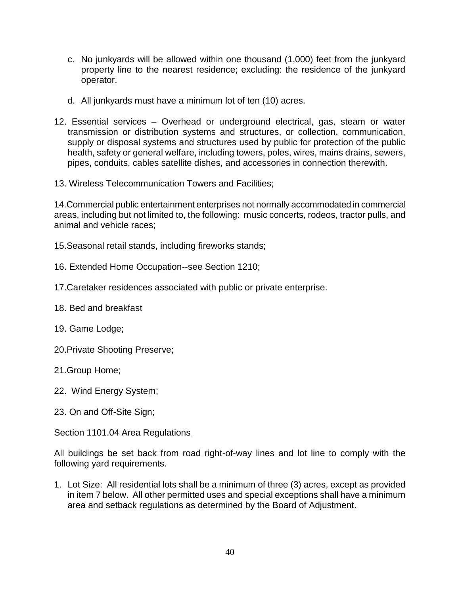- c. No junkyards will be allowed within one thousand (1,000) feet from the junkyard property line to the nearest residence; excluding: the residence of the junkyard operator.
- d. All junkyards must have a minimum lot of ten (10) acres.
- 12. Essential services Overhead or underground electrical, gas, steam or water transmission or distribution systems and structures, or collection, communication, supply or disposal systems and structures used by public for protection of the public health, safety or general welfare, including towers, poles, wires, mains drains, sewers, pipes, conduits, cables satellite dishes, and accessories in connection therewith.
- 13. Wireless Telecommunication Towers and Facilities;

14.Commercial public entertainment enterprises not normally accommodated in commercial areas, including but not limited to, the following: music concerts, rodeos, tractor pulls, and animal and vehicle races;

15.Seasonal retail stands, including fireworks stands;

- 16. Extended Home Occupation--see Section 1210;
- 17.Caretaker residences associated with public or private enterprise.
- 18. Bed and breakfast
- 19. Game Lodge;
- 20.Private Shooting Preserve;
- 21.Group Home;
- 22. Wind Energy System;
- 23. On and Off-Site Sign;

## Section 1101.04 Area Regulations

All buildings be set back from road right-of-way lines and lot line to comply with the following yard requirements.

1. Lot Size: All residential lots shall be a minimum of three (3) acres, except as provided in item 7 below. All other permitted uses and special exceptions shall have a minimum area and setback regulations as determined by the Board of Adjustment.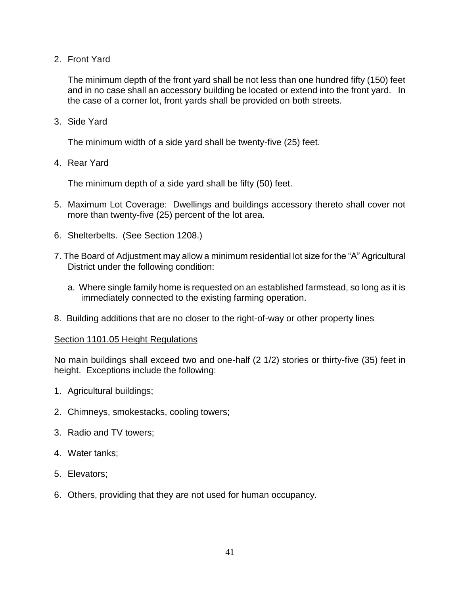2. Front Yard

The minimum depth of the front yard shall be not less than one hundred fifty (150) feet and in no case shall an accessory building be located or extend into the front yard. In the case of a corner lot, front yards shall be provided on both streets.

3. Side Yard

The minimum width of a side yard shall be twenty-five (25) feet.

4. Rear Yard

The minimum depth of a side yard shall be fifty (50) feet.

- 5. Maximum Lot Coverage: Dwellings and buildings accessory thereto shall cover not more than twenty-five (25) percent of the lot area.
- 6. Shelterbelts. (See Section 1208.)
- 7. The Board of Adjustment may allow a minimum residential lot size for the "A" Agricultural District under the following condition:
	- a. Where single family home is requested on an established farmstead, so long as it is immediately connected to the existing farming operation.
- 8. Building additions that are no closer to the right-of-way or other property lines

### Section 1101.05 Height Regulations

No main buildings shall exceed two and one-half (2 1/2) stories or thirty-five (35) feet in height. Exceptions include the following:

- 1. Agricultural buildings;
- 2. Chimneys, smokestacks, cooling towers;
- 3. Radio and TV towers;
- 4. Water tanks;
- 5. Elevators;
- 6. Others, providing that they are not used for human occupancy.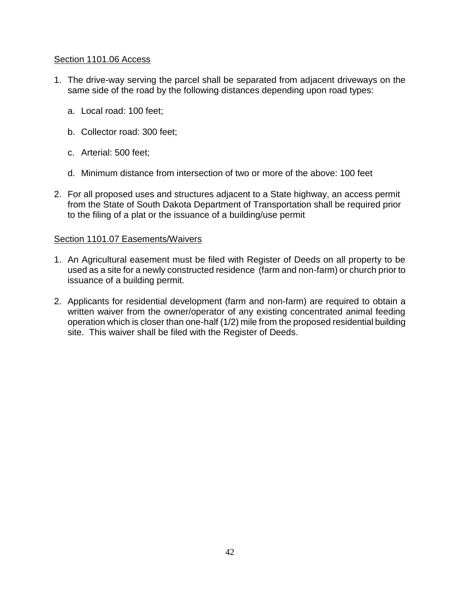## Section 1101.06 Access

- 1. The drive-way serving the parcel shall be separated from adjacent driveways on the same side of the road by the following distances depending upon road types:
	- a. Local road: 100 feet;
	- b. Collector road: 300 feet;
	- c. Arterial: 500 feet;
	- d. Minimum distance from intersection of two or more of the above: 100 feet
- 2. For all proposed uses and structures adjacent to a State highway, an access permit from the State of South Dakota Department of Transportation shall be required prior to the filing of a plat or the issuance of a building/use permit

## Section 1101.07 Easements/Waivers

- 1. An Agricultural easement must be filed with Register of Deeds on all property to be used as a site for a newly constructed residence (farm and non-farm) or church prior to issuance of a building permit.
- 2. Applicants for residential development (farm and non-farm) are required to obtain a written waiver from the owner/operator of any existing concentrated animal feeding operation which is closer than one-half (1/2) mile from the proposed residential building site. This waiver shall be filed with the Register of Deeds.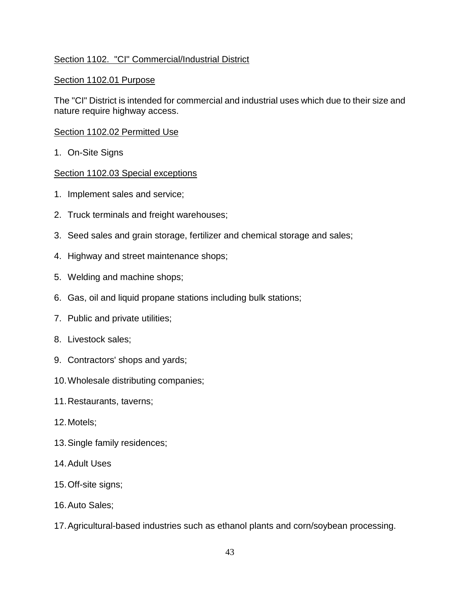# Section 1102. "CI" Commercial/Industrial District

## Section 1102.01 Purpose

The "CI" District is intended for commercial and industrial uses which due to their size and nature require highway access.

### Section 1102.02 Permitted Use

1. On-Site Signs

### Section 1102.03 Special exceptions

- 1. Implement sales and service;
- 2. Truck terminals and freight warehouses;
- 3. Seed sales and grain storage, fertilizer and chemical storage and sales;
- 4. Highway and street maintenance shops;
- 5. Welding and machine shops;
- 6. Gas, oil and liquid propane stations including bulk stations;
- 7. Public and private utilities;
- 8. Livestock sales;
- 9. Contractors' shops and yards;
- 10.Wholesale distributing companies;
- 11.Restaurants, taverns;
- 12.Motels;
- 13.Single family residences;
- 14.Adult Uses
- 15.Off-site signs;
- 16.Auto Sales;
- 17.Agricultural-based industries such as ethanol plants and corn/soybean processing.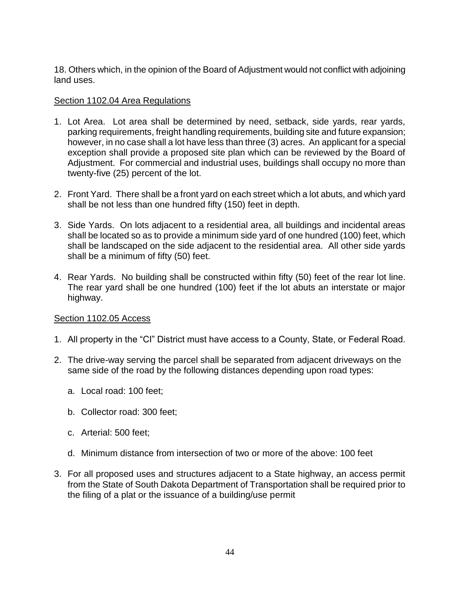18. Others which, in the opinion of the Board of Adjustment would not conflict with adjoining land uses.

## Section 1102.04 Area Regulations

- 1. Lot Area. Lot area shall be determined by need, setback, side yards, rear yards, parking requirements, freight handling requirements, building site and future expansion; however, in no case shall a lot have less than three (3) acres. An applicant for a special exception shall provide a proposed site plan which can be reviewed by the Board of Adjustment. For commercial and industrial uses, buildings shall occupy no more than twenty-five (25) percent of the lot.
- 2. Front Yard. There shall be a front yard on each street which a lot abuts, and which yard shall be not less than one hundred fifty (150) feet in depth.
- 3. Side Yards. On lots adjacent to a residential area, all buildings and incidental areas shall be located so as to provide a minimum side yard of one hundred (100) feet, which shall be landscaped on the side adjacent to the residential area. All other side yards shall be a minimum of fifty (50) feet.
- 4. Rear Yards. No building shall be constructed within fifty (50) feet of the rear lot line. The rear yard shall be one hundred (100) feet if the lot abuts an interstate or major highway.

## Section 1102.05 Access

- 1. All property in the "CI" District must have access to a County, State, or Federal Road.
- 2. The drive-way serving the parcel shall be separated from adjacent driveways on the same side of the road by the following distances depending upon road types:
	- a. Local road: 100 feet;
	- b. Collector road: 300 feet;
	- c. Arterial: 500 feet;
	- d. Minimum distance from intersection of two or more of the above: 100 feet
- 3. For all proposed uses and structures adjacent to a State highway, an access permit from the State of South Dakota Department of Transportation shall be required prior to the filing of a plat or the issuance of a building/use permit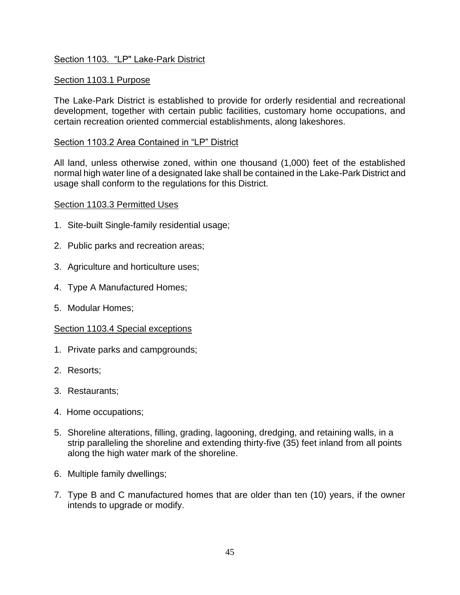# Section 1103. "LP" Lake-Park District

## Section 1103.1 Purpose

The Lake-Park District is established to provide for orderly residential and recreational development, together with certain public facilities, customary home occupations, and certain recreation oriented commercial establishments, along lakeshores.

## Section 1103.2 Area Contained in "LP" District

All land, unless otherwise zoned, within one thousand (1,000) feet of the established normal high water line of a designated lake shall be contained in the Lake-Park District and usage shall conform to the regulations for this District.

### Section 1103.3 Permitted Uses

- 1. Site-built Single-family residential usage;
- 2. Public parks and recreation areas;
- 3. Agriculture and horticulture uses;
- 4. Type A Manufactured Homes;
- 5. Modular Homes;

## Section 1103.4 Special exceptions

- 1. Private parks and campgrounds;
- 2. Resorts;
- 3. Restaurants;
- 4. Home occupations;
- 5. Shoreline alterations, filling, grading, lagooning, dredging, and retaining walls, in a strip paralleling the shoreline and extending thirty-five (35) feet inland from all points along the high water mark of the shoreline.
- 6. Multiple family dwellings;
- 7. Type B and C manufactured homes that are older than ten (10) years, if the owner intends to upgrade or modify.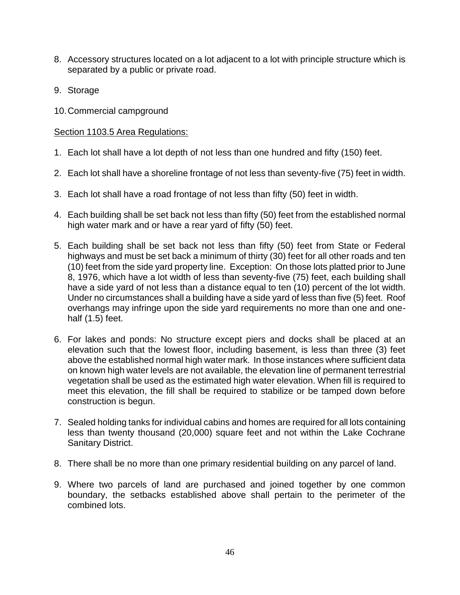- 8. Accessory structures located on a lot adjacent to a lot with principle structure which is separated by a public or private road.
- 9. Storage
- 10.Commercial campground

## Section 1103.5 Area Regulations:

- 1. Each lot shall have a lot depth of not less than one hundred and fifty (150) feet.
- 2. Each lot shall have a shoreline frontage of not less than seventy-five (75) feet in width.
- 3. Each lot shall have a road frontage of not less than fifty (50) feet in width.
- 4. Each building shall be set back not less than fifty (50) feet from the established normal high water mark and or have a rear yard of fifty (50) feet.
- 5. Each building shall be set back not less than fifty (50) feet from State or Federal highways and must be set back a minimum of thirty (30) feet for all other roads and ten (10) feet from the side yard property line. Exception: On those lots platted prior to June 8, 1976, which have a lot width of less than seventy-five (75) feet, each building shall have a side yard of not less than a distance equal to ten (10) percent of the lot width. Under no circumstances shall a building have a side yard of less than five (5) feet. Roof overhangs may infringe upon the side yard requirements no more than one and onehalf (1.5) feet.
- 6. For lakes and ponds: No structure except piers and docks shall be placed at an elevation such that the lowest floor, including basement, is less than three (3) feet above the established normal high water mark. In those instances where sufficient data on known high water levels are not available, the elevation line of permanent terrestrial vegetation shall be used as the estimated high water elevation. When fill is required to meet this elevation, the fill shall be required to stabilize or be tamped down before construction is begun.
- 7. Sealed holding tanks for individual cabins and homes are required for all lots containing less than twenty thousand (20,000) square feet and not within the Lake Cochrane Sanitary District.
- 8. There shall be no more than one primary residential building on any parcel of land.
- 9. Where two parcels of land are purchased and joined together by one common boundary, the setbacks established above shall pertain to the perimeter of the combined lots.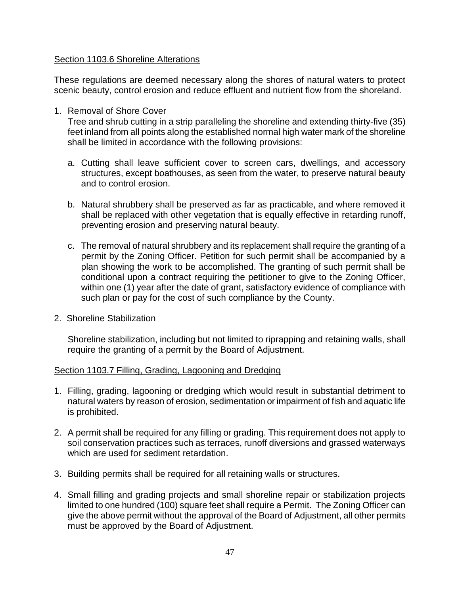## Section 1103.6 Shoreline Alterations

These regulations are deemed necessary along the shores of natural waters to protect scenic beauty, control erosion and reduce effluent and nutrient flow from the shoreland.

1. Removal of Shore Cover

Tree and shrub cutting in a strip paralleling the shoreline and extending thirty-five (35) feet inland from all points along the established normal high water mark of the shoreline shall be limited in accordance with the following provisions:

- a. Cutting shall leave sufficient cover to screen cars, dwellings, and accessory structures, except boathouses, as seen from the water, to preserve natural beauty and to control erosion.
- b. Natural shrubbery shall be preserved as far as practicable, and where removed it shall be replaced with other vegetation that is equally effective in retarding runoff, preventing erosion and preserving natural beauty.
- c. The removal of natural shrubbery and its replacement shall require the granting of a permit by the Zoning Officer. Petition for such permit shall be accompanied by a plan showing the work to be accomplished. The granting of such permit shall be conditional upon a contract requiring the petitioner to give to the Zoning Officer, within one (1) year after the date of grant, satisfactory evidence of compliance with such plan or pay for the cost of such compliance by the County.
- 2. Shoreline Stabilization

Shoreline stabilization, including but not limited to riprapping and retaining walls, shall require the granting of a permit by the Board of Adjustment.

## Section 1103.7 Filling, Grading, Lagooning and Dredging

- 1. Filling, grading, lagooning or dredging which would result in substantial detriment to natural waters by reason of erosion, sedimentation or impairment of fish and aquatic life is prohibited.
- 2. A permit shall be required for any filling or grading. This requirement does not apply to soil conservation practices such as terraces, runoff diversions and grassed waterways which are used for sediment retardation.
- 3. Building permits shall be required for all retaining walls or structures.
- 4. Small filling and grading projects and small shoreline repair or stabilization projects limited to one hundred (100) square feet shall require a Permit. The Zoning Officer can give the above permit without the approval of the Board of Adjustment, all other permits must be approved by the Board of Adjustment.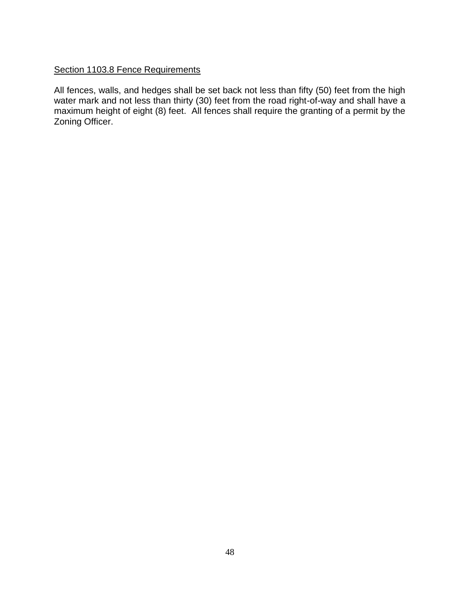# Section 1103.8 Fence Requirements

All fences, walls, and hedges shall be set back not less than fifty (50) feet from the high water mark and not less than thirty (30) feet from the road right-of-way and shall have a maximum height of eight (8) feet. All fences shall require the granting of a permit by the Zoning Officer.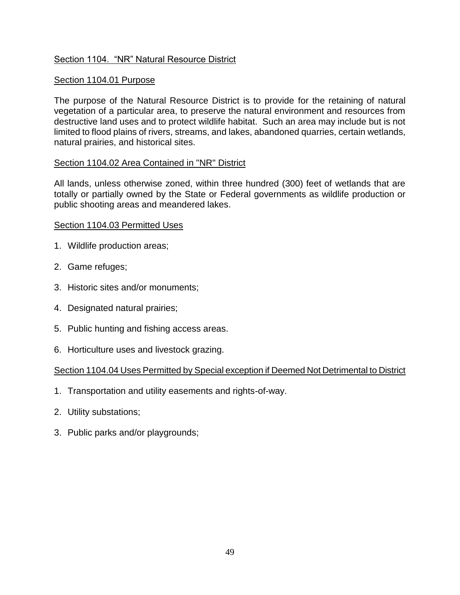# Section 1104. "NR" Natural Resource District

## Section 1104.01 Purpose

The purpose of the Natural Resource District is to provide for the retaining of natural vegetation of a particular area, to preserve the natural environment and resources from destructive land uses and to protect wildlife habitat. Such an area may include but is not limited to flood plains of rivers, streams, and lakes, abandoned quarries, certain wetlands, natural prairies, and historical sites.

### Section 1104.02 Area Contained in "NR" District

All lands, unless otherwise zoned, within three hundred (300) feet of wetlands that are totally or partially owned by the State or Federal governments as wildlife production or public shooting areas and meandered lakes.

### Section 1104.03 Permitted Uses

- 1. Wildlife production areas;
- 2. Game refuges;
- 3. Historic sites and/or monuments;
- 4. Designated natural prairies;
- 5. Public hunting and fishing access areas.
- 6. Horticulture uses and livestock grazing.

## Section 1104.04 Uses Permitted by Special exception if Deemed Not Detrimental to District

- 1. Transportation and utility easements and rights-of-way.
- 2. Utility substations;
- 3. Public parks and/or playgrounds;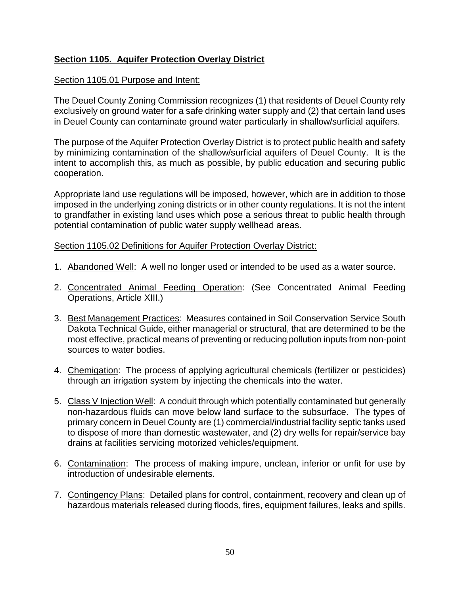# **Section 1105. Aquifer Protection Overlay District**

## Section 1105.01 Purpose and Intent:

The Deuel County Zoning Commission recognizes (1) that residents of Deuel County rely exclusively on ground water for a safe drinking water supply and (2) that certain land uses in Deuel County can contaminate ground water particularly in shallow/surficial aquifers.

The purpose of the Aquifer Protection Overlay District is to protect public health and safety by minimizing contamination of the shallow/surficial aquifers of Deuel County. It is the intent to accomplish this, as much as possible, by public education and securing public cooperation.

Appropriate land use regulations will be imposed, however, which are in addition to those imposed in the underlying zoning districts or in other county regulations. It is not the intent to grandfather in existing land uses which pose a serious threat to public health through potential contamination of public water supply wellhead areas.

### Section 1105.02 Definitions for Aquifer Protection Overlay District:

- 1. Abandoned Well: A well no longer used or intended to be used as a water source.
- 2. Concentrated Animal Feeding Operation: (See Concentrated Animal Feeding Operations, Article XIII.)
- 3. Best Management Practices: Measures contained in Soil Conservation Service South Dakota Technical Guide, either managerial or structural, that are determined to be the most effective, practical means of preventing or reducing pollution inputs from non-point sources to water bodies.
- 4. Chemigation: The process of applying agricultural chemicals (fertilizer or pesticides) through an irrigation system by injecting the chemicals into the water.
- 5. Class V Injection Well: A conduit through which potentially contaminated but generally non-hazardous fluids can move below land surface to the subsurface. The types of primary concern in Deuel County are (1) commercial/industrial facility septic tanks used to dispose of more than domestic wastewater, and (2) dry wells for repair/service bay drains at facilities servicing motorized vehicles/equipment.
- 6. Contamination: The process of making impure, unclean, inferior or unfit for use by introduction of undesirable elements.
- 7. Contingency Plans: Detailed plans for control, containment, recovery and clean up of hazardous materials released during floods, fires, equipment failures, leaks and spills.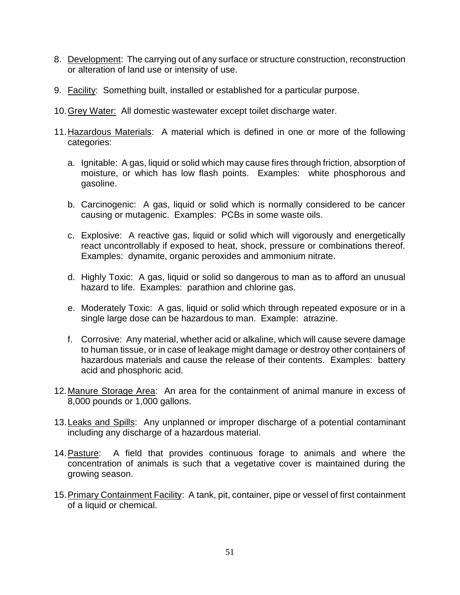- 8. Development: The carrying out of any surface or structure construction, reconstruction or alteration of land use or intensity of use.
- 9. Facility: Something built, installed or established for a particular purpose.
- 10.Grey Water: All domestic wastewater except toilet discharge water.
- 11.Hazardous Materials: A material which is defined in one or more of the following categories:
	- a. Ignitable: A gas, liquid or solid which may cause fires through friction, absorption of moisture, or which has low flash points. Examples: white phosphorous and gasoline.
	- b. Carcinogenic: A gas, liquid or solid which is normally considered to be cancer causing or mutagenic. Examples: PCBs in some waste oils.
	- c. Explosive: A reactive gas, liquid or solid which will vigorously and energetically react uncontrollably if exposed to heat, shock, pressure or combinations thereof. Examples: dynamite, organic peroxides and ammonium nitrate.
	- d. Highly Toxic: A gas, liquid or solid so dangerous to man as to afford an unusual hazard to life. Examples: parathion and chlorine gas.
	- e. Moderately Toxic: A gas, liquid or solid which through repeated exposure or in a single large dose can be hazardous to man. Example: atrazine.
	- f. Corrosive: Any material, whether acid or alkaline, which will cause severe damage to human tissue, or in case of leakage might damage or destroy other containers of hazardous materials and cause the release of their contents. Examples: battery acid and phosphoric acid.
- 12.Manure Storage Area: An area for the containment of animal manure in excess of 8,000 pounds or 1,000 gallons.
- 13. Leaks and Spills: Any unplanned or improper discharge of a potential contaminant including any discharge of a hazardous material.
- 14. Pasture: A field that provides continuous forage to animals and where the concentration of animals is such that a vegetative cover is maintained during the growing season.
- 15. Primary Containment Facility: A tank, pit, container, pipe or vessel of first containment of a liquid or chemical.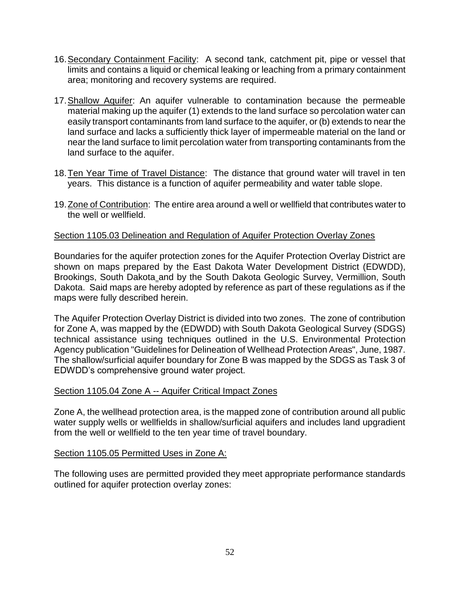- 16.Secondary Containment Facility: A second tank, catchment pit, pipe or vessel that limits and contains a liquid or chemical leaking or leaching from a primary containment area; monitoring and recovery systems are required.
- 17. Shallow Aquifer: An aquifer vulnerable to contamination because the permeable material making up the aquifer (1) extends to the land surface so percolation water can easily transport contaminants from land surface to the aquifer, or (b) extends to near the land surface and lacks a sufficiently thick layer of impermeable material on the land or near the land surface to limit percolation water from transporting contaminants from the land surface to the aquifer.
- 18. Ten Year Time of Travel Distance: The distance that ground water will travel in ten years. This distance is a function of aquifer permeability and water table slope.
- 19.Zone of Contribution: The entire area around a well or wellfield that contributes water to the well or wellfield.

# Section 1105.03 Delineation and Regulation of Aquifer Protection Overlay Zones

Boundaries for the aquifer protection zones for the Aquifer Protection Overlay District are shown on maps prepared by the East Dakota Water Development District (EDWDD), Brookings, South Dakota and by the South Dakota Geologic Survey, Vermillion, South Dakota. Said maps are hereby adopted by reference as part of these regulations as if the maps were fully described herein.

The Aquifer Protection Overlay District is divided into two zones. The zone of contribution for Zone A, was mapped by the (EDWDD) with South Dakota Geological Survey (SDGS) technical assistance using techniques outlined in the U.S. Environmental Protection Agency publication "Guidelines for Delineation of Wellhead Protection Areas", June, 1987. The shallow/surficial aquifer boundary for Zone B was mapped by the SDGS as Task 3 of EDWDD's comprehensive ground water project.

## Section 1105.04 Zone A -- Aquifer Critical Impact Zones

Zone A, the wellhead protection area, is the mapped zone of contribution around all public water supply wells or wellfields in shallow/surficial aquifers and includes land upgradient from the well or wellfield to the ten year time of travel boundary.

## Section 1105.05 Permitted Uses in Zone A:

The following uses are permitted provided they meet appropriate performance standards outlined for aquifer protection overlay zones: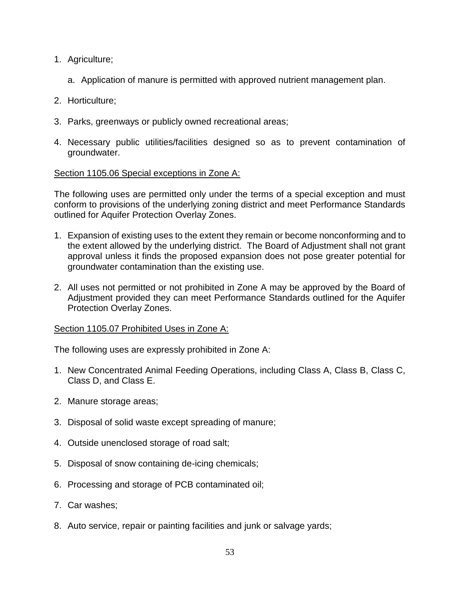- 1. Agriculture;
	- a. Application of manure is permitted with approved nutrient management plan.
- 2. Horticulture;
- 3. Parks, greenways or publicly owned recreational areas;
- 4. Necessary public utilities/facilities designed so as to prevent contamination of groundwater.

## Section 1105.06 Special exceptions in Zone A:

The following uses are permitted only under the terms of a special exception and must conform to provisions of the underlying zoning district and meet Performance Standards outlined for Aquifer Protection Overlay Zones.

- 1. Expansion of existing uses to the extent they remain or become nonconforming and to the extent allowed by the underlying district. The Board of Adjustment shall not grant approval unless it finds the proposed expansion does not pose greater potential for groundwater contamination than the existing use.
- 2. All uses not permitted or not prohibited in Zone A may be approved by the Board of Adjustment provided they can meet Performance Standards outlined for the Aquifer Protection Overlay Zones.

## Section 1105.07 Prohibited Uses in Zone A:

The following uses are expressly prohibited in Zone A:

- 1. New Concentrated Animal Feeding Operations, including Class A, Class B, Class C, Class D, and Class E.
- 2. Manure storage areas;
- 3. Disposal of solid waste except spreading of manure;
- 4. Outside unenclosed storage of road salt;
- 5. Disposal of snow containing de-icing chemicals;
- 6. Processing and storage of PCB contaminated oil;
- 7. Car washes;
- 8. Auto service, repair or painting facilities and junk or salvage yards;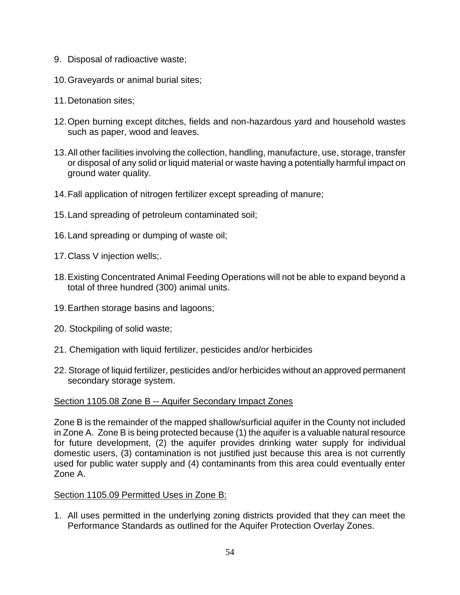- 9. Disposal of radioactive waste;
- 10.Graveyards or animal burial sites;
- 11.Detonation sites;
- 12.Open burning except ditches, fields and non-hazardous yard and household wastes such as paper, wood and leaves.
- 13.All other facilities involving the collection, handling, manufacture, use, storage, transfer or disposal of any solid or liquid material or waste having a potentially harmful impact on ground water quality.
- 14.Fall application of nitrogen fertilizer except spreading of manure;
- 15.Land spreading of petroleum contaminated soil;
- 16.Land spreading or dumping of waste oil;
- 17.Class V injection wells;.
- 18.Existing Concentrated Animal Feeding Operations will not be able to expand beyond a total of three hundred (300) animal units.
- 19.Earthen storage basins and lagoons;
- 20. Stockpiling of solid waste;
- 21. Chemigation with liquid fertilizer, pesticides and/or herbicides
- 22. Storage of liquid fertilizer, pesticides and/or herbicides without an approved permanent secondary storage system.

## Section 1105.08 Zone B -- Aquifer Secondary Impact Zones

Zone B is the remainder of the mapped shallow/surficial aquifer in the County not included in Zone A. Zone B is being protected because (1) the aquifer is a valuable natural resource for future development, (2) the aquifer provides drinking water supply for individual domestic users, (3) contamination is not justified just because this area is not currently used for public water supply and (4) contaminants from this area could eventually enter Zone A.

## Section 1105.09 Permitted Uses in Zone B:

1. All uses permitted in the underlying zoning districts provided that they can meet the Performance Standards as outlined for the Aquifer Protection Overlay Zones.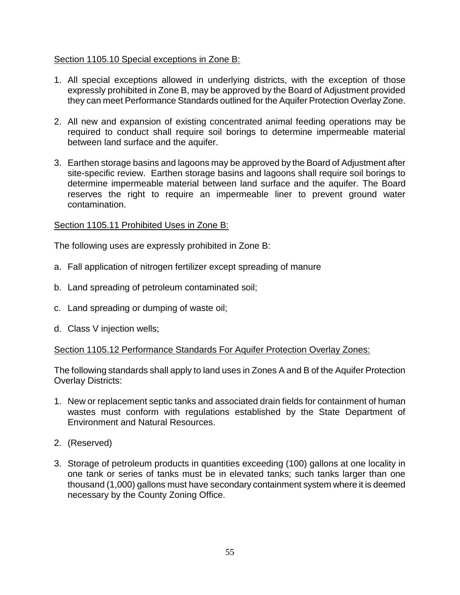## Section 1105.10 Special exceptions in Zone B:

- 1. All special exceptions allowed in underlying districts, with the exception of those expressly prohibited in Zone B, may be approved by the Board of Adjustment provided they can meet Performance Standards outlined for the Aquifer Protection Overlay Zone.
- 2. All new and expansion of existing concentrated animal feeding operations may be required to conduct shall require soil borings to determine impermeable material between land surface and the aquifer.
- 3. Earthen storage basins and lagoons may be approved by the Board of Adjustment after site-specific review. Earthen storage basins and lagoons shall require soil borings to determine impermeable material between land surface and the aquifer. The Board reserves the right to require an impermeable liner to prevent ground water contamination.

# Section 1105.11 Prohibited Uses in Zone B:

The following uses are expressly prohibited in Zone B:

- a. Fall application of nitrogen fertilizer except spreading of manure
- b. Land spreading of petroleum contaminated soil;
- c. Land spreading or dumping of waste oil;
- d. Class V injection wells;

## Section 1105.12 Performance Standards For Aquifer Protection Overlay Zones:

The following standards shall apply to land uses in Zones A and B of the Aquifer Protection Overlay Districts:

- 1. New or replacement septic tanks and associated drain fields for containment of human wastes must conform with regulations established by the State Department of Environment and Natural Resources.
- 2. (Reserved)
- 3. Storage of petroleum products in quantities exceeding (100) gallons at one locality in one tank or series of tanks must be in elevated tanks; such tanks larger than one thousand (1,000) gallons must have secondary containment system where it is deemed necessary by the County Zoning Office.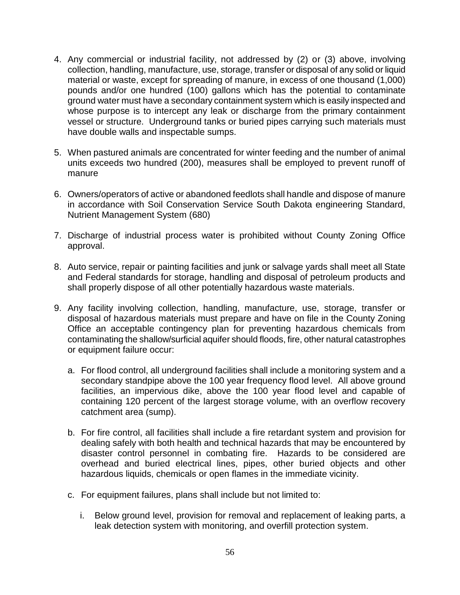- 4. Any commercial or industrial facility, not addressed by (2) or (3) above, involving collection, handling, manufacture, use, storage, transfer or disposal of any solid or liquid material or waste, except for spreading of manure, in excess of one thousand (1,000) pounds and/or one hundred (100) gallons which has the potential to contaminate ground water must have a secondary containment system which is easily inspected and whose purpose is to intercept any leak or discharge from the primary containment vessel or structure. Underground tanks or buried pipes carrying such materials must have double walls and inspectable sumps.
- 5. When pastured animals are concentrated for winter feeding and the number of animal units exceeds two hundred (200), measures shall be employed to prevent runoff of manure
- 6. Owners/operators of active or abandoned feedlots shall handle and dispose of manure in accordance with Soil Conservation Service South Dakota engineering Standard, Nutrient Management System (680)
- 7. Discharge of industrial process water is prohibited without County Zoning Office approval.
- 8. Auto service, repair or painting facilities and junk or salvage yards shall meet all State and Federal standards for storage, handling and disposal of petroleum products and shall properly dispose of all other potentially hazardous waste materials.
- 9. Any facility involving collection, handling, manufacture, use, storage, transfer or disposal of hazardous materials must prepare and have on file in the County Zoning Office an acceptable contingency plan for preventing hazardous chemicals from contaminating the shallow/surficial aquifer should floods, fire, other natural catastrophes or equipment failure occur:
	- a. For flood control, all underground facilities shall include a monitoring system and a secondary standpipe above the 100 year frequency flood level. All above ground facilities, an impervious dike, above the 100 year flood level and capable of containing 120 percent of the largest storage volume, with an overflow recovery catchment area (sump).
	- b. For fire control, all facilities shall include a fire retardant system and provision for dealing safely with both health and technical hazards that may be encountered by disaster control personnel in combating fire. Hazards to be considered are overhead and buried electrical lines, pipes, other buried objects and other hazardous liquids, chemicals or open flames in the immediate vicinity.
	- c. For equipment failures, plans shall include but not limited to:
		- i. Below ground level, provision for removal and replacement of leaking parts, a leak detection system with monitoring, and overfill protection system.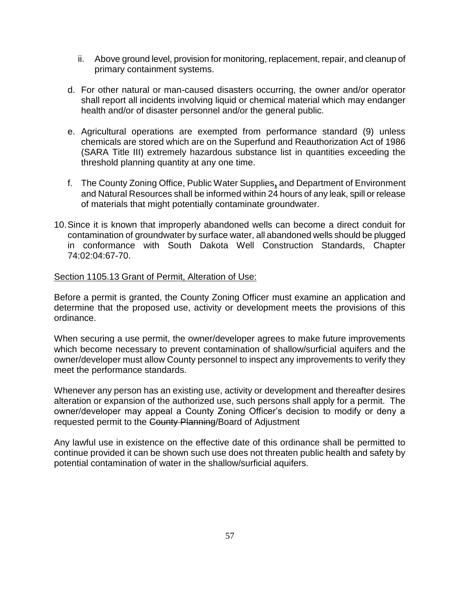- ii. Above ground level, provision for monitoring, replacement, repair, and cleanup of primary containment systems.
- d. For other natural or man-caused disasters occurring, the owner and/or operator shall report all incidents involving liquid or chemical material which may endanger health and/or of disaster personnel and/or the general public.
- e. Agricultural operations are exempted from performance standard (9) unless chemicals are stored which are on the Superfund and Reauthorization Act of 1986 (SARA Title III) extremely hazardous substance list in quantities exceeding the threshold planning quantity at any one time.
- f. The County Zoning Office, Public Water Supplies**,** and Department of Environment and Natural Resources shall be informed within 24 hours of any leak, spill or release of materials that might potentially contaminate groundwater.
- 10.Since it is known that improperly abandoned wells can become a direct conduit for contamination of groundwater by surface water, all abandoned wells should be plugged in conformance with South Dakota Well Construction Standards, Chapter 74:02:04:67-70.

### Section 1105.13 Grant of Permit, Alteration of Use:

Before a permit is granted, the County Zoning Officer must examine an application and determine that the proposed use, activity or development meets the provisions of this ordinance.

When securing a use permit, the owner/developer agrees to make future improvements which become necessary to prevent contamination of shallow/surficial aquifers and the owner/developer must allow County personnel to inspect any improvements to verify they meet the performance standards.

Whenever any person has an existing use, activity or development and thereafter desires alteration or expansion of the authorized use, such persons shall apply for a permit. The owner/developer may appeal a County Zoning Officer's decision to modify or deny a requested permit to the County Planning/Board of Adjustment

Any lawful use in existence on the effective date of this ordinance shall be permitted to continue provided it can be shown such use does not threaten public health and safety by potential contamination of water in the shallow/surficial aquifers.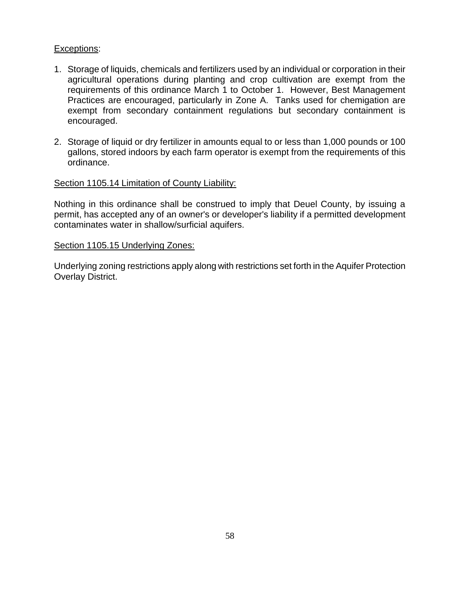## Exceptions:

- 1. Storage of liquids, chemicals and fertilizers used by an individual or corporation in their agricultural operations during planting and crop cultivation are exempt from the requirements of this ordinance March 1 to October 1. However, Best Management Practices are encouraged, particularly in Zone A. Tanks used for chemigation are exempt from secondary containment regulations but secondary containment is encouraged.
- 2. Storage of liquid or dry fertilizer in amounts equal to or less than 1,000 pounds or 100 gallons, stored indoors by each farm operator is exempt from the requirements of this ordinance.

### Section 1105.14 Limitation of County Liability:

Nothing in this ordinance shall be construed to imply that Deuel County, by issuing a permit, has accepted any of an owner's or developer's liability if a permitted development contaminates water in shallow/surficial aquifers.

#### Section 1105.15 Underlying Zones:

Underlying zoning restrictions apply along with restrictions set forth in the Aquifer Protection Overlay District.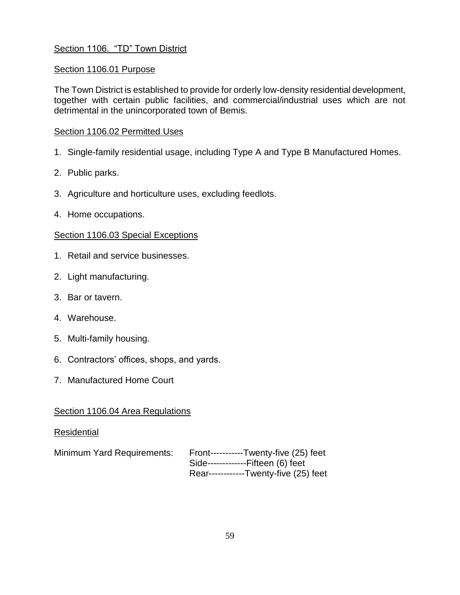# Section 1106. "TD" Town District

## Section 1106.01 Purpose

The Town District is established to provide for orderly low-density residential development, together with certain public facilities, and commercial/industrial uses which are not detrimental in the unincorporated town of Bemis.

### Section 1106.02 Permitted Uses

- 1. Single-family residential usage, including Type A and Type B Manufactured Homes.
- 2. Public parks.
- 3. Agriculture and horticulture uses, excluding feedlots.
- 4. Home occupations.

### Section 1106.03 Special Exceptions

- 1. Retail and service businesses.
- 2. Light manufacturing.
- 3. Bar or tavern.
- 4. Warehouse.
- 5. Multi-family housing.
- 6. Contractors' offices, shops, and yards.
- 7. Manufactured Home Court

### Section 1106.04 Area Regulations

### Residential

| Minimum Yard Requirements: | Front-----------Twenty-five (25) feet |
|----------------------------|---------------------------------------|
|                            | Side--------------Fifteen (6) feet    |
|                            | Rear------------Twenty-five (25) feet |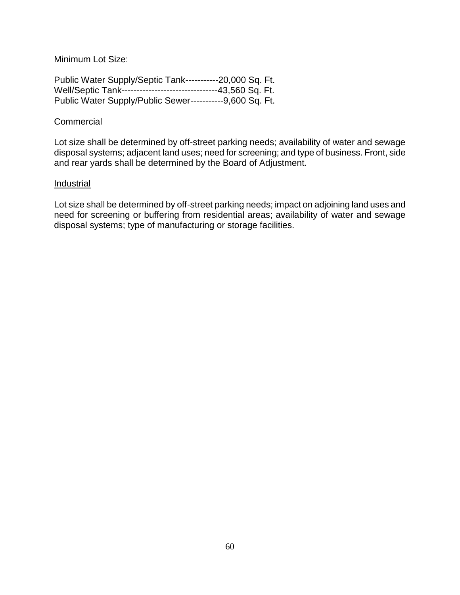Minimum Lot Size:

| Public Water Supply/Septic Tank------------20,000 Sq. Ft.     |  |
|---------------------------------------------------------------|--|
| Well/Septic Tank-------------------------------43,560 Sq. Ft. |  |
| Public Water Supply/Public Sewer------------9,600 Sq. Ft.     |  |

#### **Commercial**

Lot size shall be determined by off-street parking needs; availability of water and sewage disposal systems; adjacent land uses; need for screening; and type of business. Front, side and rear yards shall be determined by the Board of Adjustment.

#### Industrial

Lot size shall be determined by off-street parking needs; impact on adjoining land uses and need for screening or buffering from residential areas; availability of water and sewage disposal systems; type of manufacturing or storage facilities.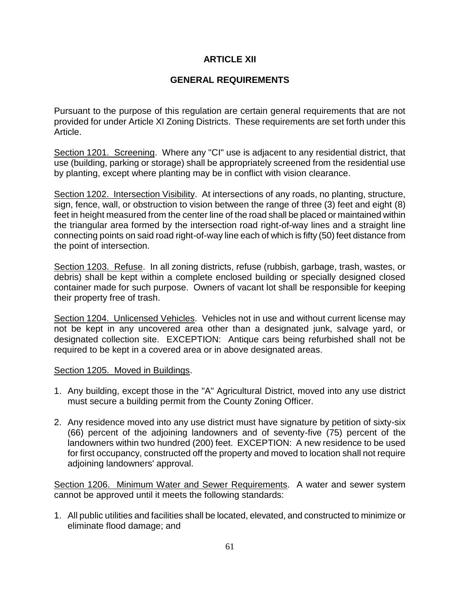## **ARTICLE XII**

# **GENERAL REQUIREMENTS**

Pursuant to the purpose of this regulation are certain general requirements that are not provided for under Article XI Zoning Districts. These requirements are set forth under this Article.

Section 1201. Screening. Where any "CI" use is adjacent to any residential district, that use (building, parking or storage) shall be appropriately screened from the residential use by planting, except where planting may be in conflict with vision clearance.

Section 1202. Intersection Visibility. At intersections of any roads, no planting, structure, sign, fence, wall, or obstruction to vision between the range of three (3) feet and eight (8) feet in height measured from the center line of the road shall be placed or maintained within the triangular area formed by the intersection road right-of-way lines and a straight line connecting points on said road right-of-way line each of which is fifty (50) feet distance from the point of intersection.

Section 1203. Refuse. In all zoning districts, refuse (rubbish, garbage, trash, wastes, or debris) shall be kept within a complete enclosed building or specially designed closed container made for such purpose. Owners of vacant lot shall be responsible for keeping their property free of trash.

Section 1204. Unlicensed Vehicles. Vehicles not in use and without current license may not be kept in any uncovered area other than a designated junk, salvage yard, or designated collection site. EXCEPTION: Antique cars being refurbished shall not be required to be kept in a covered area or in above designated areas.

### Section 1205. Moved in Buildings.

- 1. Any building, except those in the "A" Agricultural District, moved into any use district must secure a building permit from the County Zoning Officer.
- 2. Any residence moved into any use district must have signature by petition of sixty-six (66) percent of the adjoining landowners and of seventy-five (75) percent of the landowners within two hundred (200) feet. EXCEPTION: A new residence to be used for first occupancy, constructed off the property and moved to location shall not require adjoining landowners' approval.

Section 1206. Minimum Water and Sewer Requirements. A water and sewer system cannot be approved until it meets the following standards:

1. All public utilities and facilities shall be located, elevated, and constructed to minimize or eliminate flood damage; and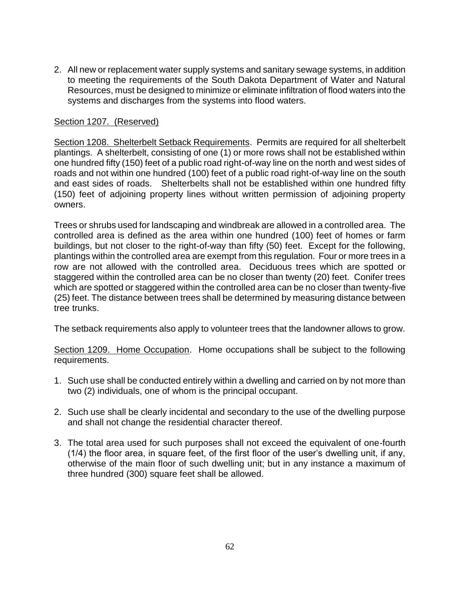2. All new or replacement water supply systems and sanitary sewage systems, in addition to meeting the requirements of the South Dakota Department of Water and Natural Resources, must be designed to minimize or eliminate infiltration of flood waters into the systems and discharges from the systems into flood waters.

## Section 1207. (Reserved)

Section 1208. Shelterbelt Setback Requirements. Permits are required for all shelterbelt plantings. A shelterbelt, consisting of one (1) or more rows shall not be established within one hundred fifty (150) feet of a public road right-of-way line on the north and west sides of roads and not within one hundred (100) feet of a public road right-of-way line on the south and east sides of roads. Shelterbelts shall not be established within one hundred fifty (150) feet of adjoining property lines without written permission of adjoining property owners.

Trees or shrubs used for landscaping and windbreak are allowed in a controlled area. The controlled area is defined as the area within one hundred (100) feet of homes or farm buildings, but not closer to the right-of-way than fifty (50) feet. Except for the following, plantings within the controlled area are exempt from this regulation. Four or more trees in a row are not allowed with the controlled area. Deciduous trees which are spotted or staggered within the controlled area can be no closer than twenty (20) feet. Conifer trees which are spotted or staggered within the controlled area can be no closer than twenty-five (25) feet. The distance between trees shall be determined by measuring distance between tree trunks.

The setback requirements also apply to volunteer trees that the landowner allows to grow.

Section 1209. Home Occupation. Home occupations shall be subject to the following requirements.

- 1. Such use shall be conducted entirely within a dwelling and carried on by not more than two (2) individuals, one of whom is the principal occupant.
- 2. Such use shall be clearly incidental and secondary to the use of the dwelling purpose and shall not change the residential character thereof.
- 3. The total area used for such purposes shall not exceed the equivalent of one-fourth (1/4) the floor area, in square feet, of the first floor of the user's dwelling unit, if any, otherwise of the main floor of such dwelling unit; but in any instance a maximum of three hundred (300) square feet shall be allowed.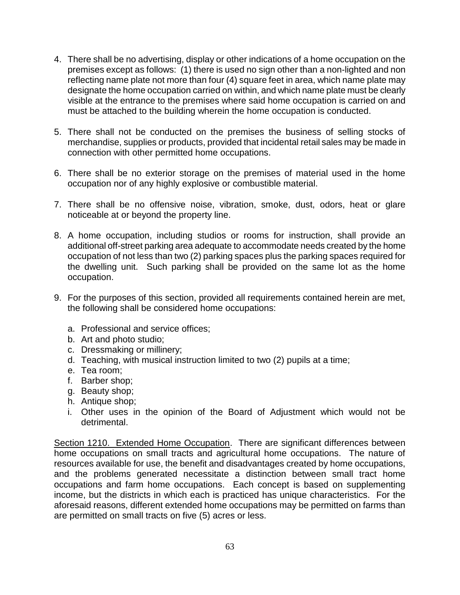- 4. There shall be no advertising, display or other indications of a home occupation on the premises except as follows: (1) there is used no sign other than a non-lighted and non reflecting name plate not more than four (4) square feet in area, which name plate may designate the home occupation carried on within, and which name plate must be clearly visible at the entrance to the premises where said home occupation is carried on and must be attached to the building wherein the home occupation is conducted.
- 5. There shall not be conducted on the premises the business of selling stocks of merchandise, supplies or products, provided that incidental retail sales may be made in connection with other permitted home occupations.
- 6. There shall be no exterior storage on the premises of material used in the home occupation nor of any highly explosive or combustible material.
- 7. There shall be no offensive noise, vibration, smoke, dust, odors, heat or glare noticeable at or beyond the property line.
- 8. A home occupation, including studios or rooms for instruction, shall provide an additional off-street parking area adequate to accommodate needs created by the home occupation of not less than two (2) parking spaces plus the parking spaces required for the dwelling unit. Such parking shall be provided on the same lot as the home occupation.
- 9. For the purposes of this section, provided all requirements contained herein are met, the following shall be considered home occupations:
	- a. Professional and service offices;
	- b. Art and photo studio;
	- c. Dressmaking or millinery;
	- d. Teaching, with musical instruction limited to two (2) pupils at a time;
	- e. Tea room;
	- f. Barber shop;
	- g. Beauty shop;
	- h. Antique shop;
	- i. Other uses in the opinion of the Board of Adjustment which would not be detrimental.

Section 1210. Extended Home Occupation. There are significant differences between home occupations on small tracts and agricultural home occupations. The nature of resources available for use, the benefit and disadvantages created by home occupations, and the problems generated necessitate a distinction between small tract home occupations and farm home occupations. Each concept is based on supplementing income, but the districts in which each is practiced has unique characteristics. For the aforesaid reasons, different extended home occupations may be permitted on farms than are permitted on small tracts on five (5) acres or less.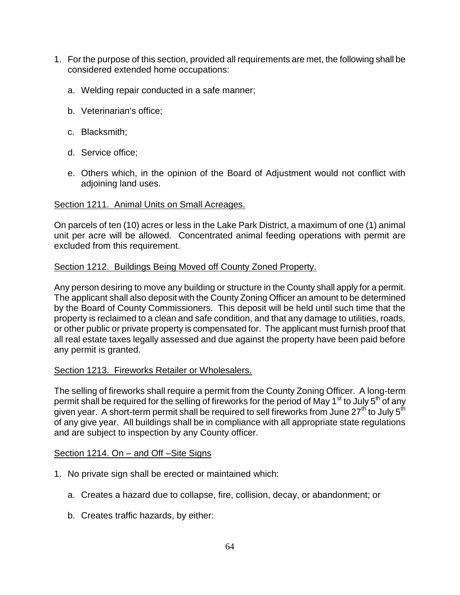- 1. For the purpose of this section, provided all requirements are met, the following shall be considered extended home occupations:
	- a. Welding repair conducted in a safe manner;
	- b. Veterinarian's office;
	- c. Blacksmith;
	- d. Service office;
	- e. Others which, in the opinion of the Board of Adjustment would not conflict with adjoining land uses.

## Section 1211. Animal Units on Small Acreages.

On parcels of ten (10) acres or less in the Lake Park District, a maximum of one (1) animal unit per acre will be allowed. Concentrated animal feeding operations with permit are excluded from this requirement.

### Section 1212. Buildings Being Moved off County Zoned Property.

Any person desiring to move any building or structure in the County shall apply for a permit. The applicant shall also deposit with the County Zoning Officer an amount to be determined by the Board of County Commissioners. This deposit will be held until such time that the property is reclaimed to a clean and safe condition, and that any damage to utilities, roads, or other public or private property is compensated for. The applicant must furnish proof that all real estate taxes legally assessed and due against the property have been paid before any permit is granted.

## Section 1213. Fireworks Retailer or Wholesalers.

The selling of fireworks shall require a permit from the County Zoning Officer. A long-term permit shall be required for the selling of fireworks for the period of May 1<sup>st</sup> to July 5<sup>th</sup> of any given year. A short-term permit shall be required to sell fireworks from June 27<sup>th</sup> to July 5<sup>th</sup> of any give year. All buildings shall be in compliance with all appropriate state regulations and are subject to inspection by any County officer.

## Section 1214. On – and Off –Site Signs

- 1. No private sign shall be erected or maintained which:
	- a. Creates a hazard due to collapse, fire, collision, decay, or abandonment; or
	- b. Creates traffic hazards, by either: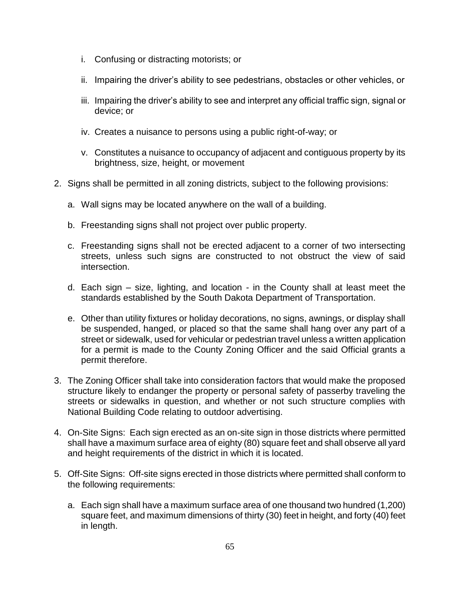- i. Confusing or distracting motorists; or
- ii. Impairing the driver's ability to see pedestrians, obstacles or other vehicles, or
- iii. Impairing the driver's ability to see and interpret any official traffic sign, signal or device; or
- iv. Creates a nuisance to persons using a public right-of-way; or
- v. Constitutes a nuisance to occupancy of adjacent and contiguous property by its brightness, size, height, or movement
- 2. Signs shall be permitted in all zoning districts, subject to the following provisions:
	- a. Wall signs may be located anywhere on the wall of a building.
	- b. Freestanding signs shall not project over public property.
	- c. Freestanding signs shall not be erected adjacent to a corner of two intersecting streets, unless such signs are constructed to not obstruct the view of said intersection.
	- d. Each sign size, lighting, and location in the County shall at least meet the standards established by the South Dakota Department of Transportation.
	- e. Other than utility fixtures or holiday decorations, no signs, awnings, or display shall be suspended, hanged, or placed so that the same shall hang over any part of a street or sidewalk, used for vehicular or pedestrian travel unless a written application for a permit is made to the County Zoning Officer and the said Official grants a permit therefore.
- 3. The Zoning Officer shall take into consideration factors that would make the proposed structure likely to endanger the property or personal safety of passerby traveling the streets or sidewalks in question, and whether or not such structure complies with National Building Code relating to outdoor advertising.
- 4. On-Site Signs: Each sign erected as an on-site sign in those districts where permitted shall have a maximum surface area of eighty (80) square feet and shall observe all yard and height requirements of the district in which it is located.
- 5. Off-Site Signs: Off-site signs erected in those districts where permitted shall conform to the following requirements:
	- a. Each sign shall have a maximum surface area of one thousand two hundred (1,200) square feet, and maximum dimensions of thirty (30) feet in height, and forty (40) feet in length.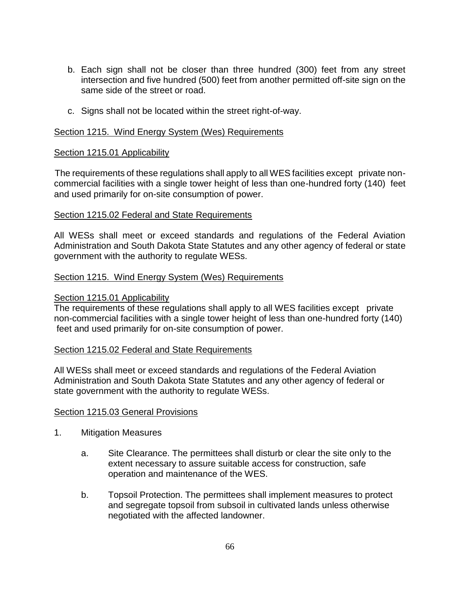- b. Each sign shall not be closer than three hundred (300) feet from any street intersection and five hundred (500) feet from another permitted off-site sign on the same side of the street or road.
- c. Signs shall not be located within the street right-of-way.

### Section 1215. Wind Energy System (Wes) Requirements

#### Section 1215.01 Applicability

The requirements of these regulations shall apply to all WES facilities except private noncommercial facilities with a single tower height of less than one-hundred forty (140) feet and used primarily for on-site consumption of power.

#### Section 1215.02 Federal and State Requirements

All WESs shall meet or exceed standards and regulations of the Federal Aviation Administration and South Dakota State Statutes and any other agency of federal or state government with the authority to regulate WESs.

### Section 1215. Wind Energy System (Wes) Requirements

### Section 1215.01 Applicability

The requirements of these regulations shall apply to all WES facilities except private non-commercial facilities with a single tower height of less than one-hundred forty (140) feet and used primarily for on-site consumption of power.

### Section 1215.02 Federal and State Requirements

All WESs shall meet or exceed standards and regulations of the Federal Aviation Administration and South Dakota State Statutes and any other agency of federal or state government with the authority to regulate WESs.

### Section 1215.03 General Provisions

- 1. Mitigation Measures
	- a. Site Clearance. The permittees shall disturb or clear the site only to the extent necessary to assure suitable access for construction, safe operation and maintenance of the WES.
	- b. Topsoil Protection. The permittees shall implement measures to protect and segregate topsoil from subsoil in cultivated lands unless otherwise negotiated with the affected landowner.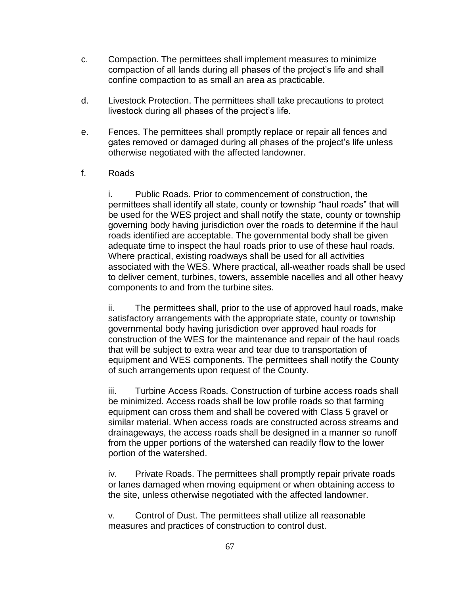- c. Compaction. The permittees shall implement measures to minimize compaction of all lands during all phases of the project's life and shall confine compaction to as small an area as practicable.
- d. Livestock Protection. The permittees shall take precautions to protect livestock during all phases of the project's life.
- e. Fences. The permittees shall promptly replace or repair all fences and gates removed or damaged during all phases of the project's life unless otherwise negotiated with the affected landowner.
- f. Roads

i. Public Roads. Prior to commencement of construction, the permittees shall identify all state, county or township "haul roads" that will be used for the WES project and shall notify the state, county or township governing body having jurisdiction over the roads to determine if the haul roads identified are acceptable. The governmental body shall be given adequate time to inspect the haul roads prior to use of these haul roads. Where practical, existing roadways shall be used for all activities associated with the WES. Where practical, all-weather roads shall be used to deliver cement, turbines, towers, assemble nacelles and all other heavy components to and from the turbine sites.

ii. The permittees shall, prior to the use of approved haul roads, make satisfactory arrangements with the appropriate state, county or township governmental body having jurisdiction over approved haul roads for construction of the WES for the maintenance and repair of the haul roads that will be subject to extra wear and tear due to transportation of equipment and WES components. The permittees shall notify the County of such arrangements upon request of the County.

iii. Turbine Access Roads. Construction of turbine access roads shall be minimized. Access roads shall be low profile roads so that farming equipment can cross them and shall be covered with Class 5 gravel or similar material. When access roads are constructed across streams and drainageways, the access roads shall be designed in a manner so runoff from the upper portions of the watershed can readily flow to the lower portion of the watershed.

iv. Private Roads. The permittees shall promptly repair private roads or lanes damaged when moving equipment or when obtaining access to the site, unless otherwise negotiated with the affected landowner.

v. Control of Dust. The permittees shall utilize all reasonable measures and practices of construction to control dust.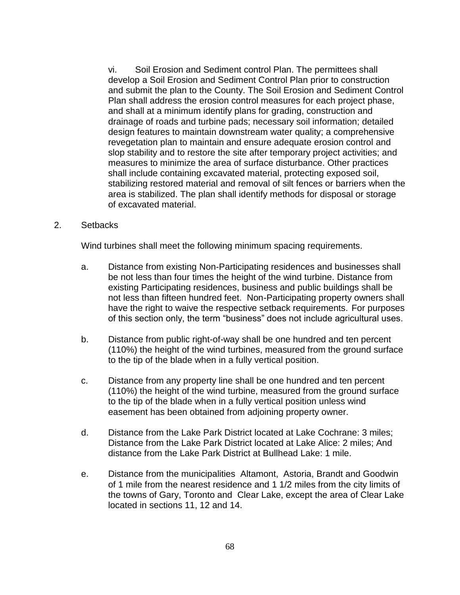vi. Soil Erosion and Sediment control Plan. The permittees shall develop a Soil Erosion and Sediment Control Plan prior to construction and submit the plan to the County. The Soil Erosion and Sediment Control Plan shall address the erosion control measures for each project phase, and shall at a minimum identify plans for grading, construction and drainage of roads and turbine pads; necessary soil information; detailed design features to maintain downstream water quality; a comprehensive revegetation plan to maintain and ensure adequate erosion control and slop stability and to restore the site after temporary project activities; and measures to minimize the area of surface disturbance. Other practices shall include containing excavated material, protecting exposed soil, stabilizing restored material and removal of silt fences or barriers when the area is stabilized. The plan shall identify methods for disposal or storage of excavated material.

### 2. Setbacks

Wind turbines shall meet the following minimum spacing requirements.

- a. Distance from existing Non-Participating residences and businesses shall be not less than four times the height of the wind turbine. Distance from existing Participating residences, business and public buildings shall be not less than fifteen hundred feet. Non-Participating property owners shall have the right to waive the respective setback requirements. For purposes of this section only, the term "business" does not include agricultural uses.
- b. Distance from public right-of-way shall be one hundred and ten percent (110%) the height of the wind turbines, measured from the ground surface to the tip of the blade when in a fully vertical position.
- c. Distance from any property line shall be one hundred and ten percent (110%) the height of the wind turbine, measured from the ground surface to the tip of the blade when in a fully vertical position unless wind easement has been obtained from adjoining property owner.
- d. Distance from the Lake Park District located at Lake Cochrane: 3 miles; Distance from the Lake Park District located at Lake Alice: 2 miles; And distance from the Lake Park District at Bullhead Lake: 1 mile.
- e. Distance from the municipalities Altamont, Astoria, Brandt and Goodwin of 1 mile from the nearest residence and 1 1/2 miles from the city limits of the towns of Gary, Toronto and Clear Lake, except the area of Clear Lake located in sections 11, 12 and 14.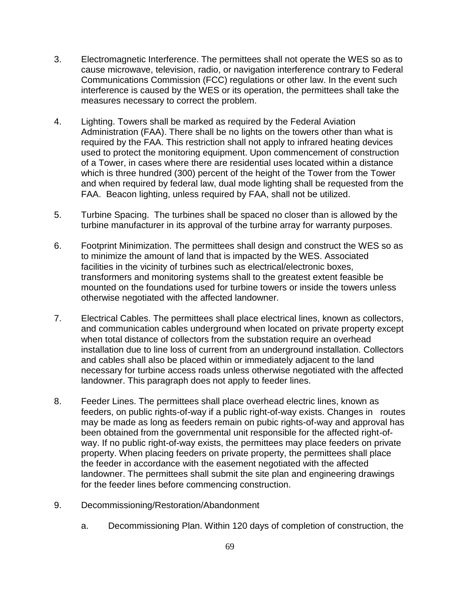- 3. Electromagnetic Interference. The permittees shall not operate the WES so as to cause microwave, television, radio, or navigation interference contrary to Federal Communications Commission (FCC) regulations or other law. In the event such interference is caused by the WES or its operation, the permittees shall take the measures necessary to correct the problem.
- 4. Lighting. Towers shall be marked as required by the Federal Aviation Administration (FAA). There shall be no lights on the towers other than what is required by the FAA. This restriction shall not apply to infrared heating devices used to protect the monitoring equipment. Upon commencement of construction of a Tower, in cases where there are residential uses located within a distance which is three hundred (300) percent of the height of the Tower from the Tower and when required by federal law, dual mode lighting shall be requested from the FAA. Beacon lighting, unless required by FAA, shall not be utilized.
- 5. Turbine Spacing. The turbines shall be spaced no closer than is allowed by the turbine manufacturer in its approval of the turbine array for warranty purposes.
- 6. Footprint Minimization. The permittees shall design and construct the WES so as to minimize the amount of land that is impacted by the WES. Associated facilities in the vicinity of turbines such as electrical/electronic boxes, transformers and monitoring systems shall to the greatest extent feasible be mounted on the foundations used for turbine towers or inside the towers unless otherwise negotiated with the affected landowner.
- 7. Electrical Cables. The permittees shall place electrical lines, known as collectors, and communication cables underground when located on private property except when total distance of collectors from the substation require an overhead installation due to line loss of current from an underground installation. Collectors and cables shall also be placed within or immediately adjacent to the land necessary for turbine access roads unless otherwise negotiated with the affected landowner. This paragraph does not apply to feeder lines.
- 8. Feeder Lines. The permittees shall place overhead electric lines, known as feeders, on public rights-of-way if a public right-of-way exists. Changes in routes may be made as long as feeders remain on pubic rights-of-way and approval has been obtained from the governmental unit responsible for the affected right-ofway. If no public right-of-way exists, the permittees may place feeders on private property. When placing feeders on private property, the permittees shall place the feeder in accordance with the easement negotiated with the affected landowner. The permittees shall submit the site plan and engineering drawings for the feeder lines before commencing construction.
- 9. Decommissioning/Restoration/Abandonment
	- a. Decommissioning Plan. Within 120 days of completion of construction, the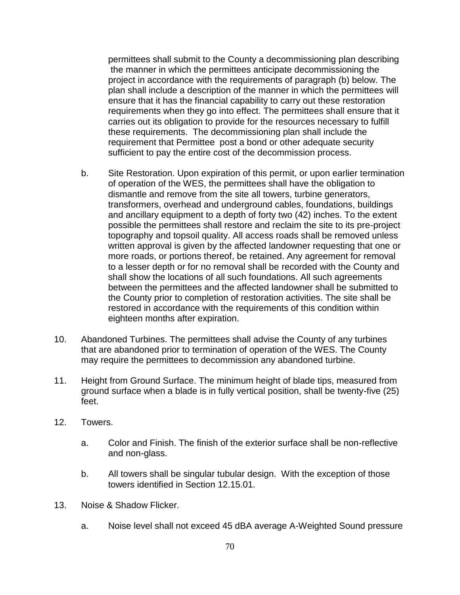permittees shall submit to the County a decommissioning plan describing the manner in which the permittees anticipate decommissioning the project in accordance with the requirements of paragraph (b) below. The plan shall include a description of the manner in which the permittees will ensure that it has the financial capability to carry out these restoration requirements when they go into effect. The permittees shall ensure that it carries out its obligation to provide for the resources necessary to fulfill these requirements. The decommissioning plan shall include the requirement that Permittee post a bond or other adequate security sufficient to pay the entire cost of the decommission process.

- b. Site Restoration. Upon expiration of this permit, or upon earlier termination of operation of the WES, the permittees shall have the obligation to dismantle and remove from the site all towers, turbine generators, transformers, overhead and underground cables, foundations, buildings and ancillary equipment to a depth of forty two (42) inches. To the extent possible the permittees shall restore and reclaim the site to its pre-project topography and topsoil quality. All access roads shall be removed unless written approval is given by the affected landowner requesting that one or more roads, or portions thereof, be retained. Any agreement for removal to a lesser depth or for no removal shall be recorded with the County and shall show the locations of all such foundations. All such agreements between the permittees and the affected landowner shall be submitted to the County prior to completion of restoration activities. The site shall be restored in accordance with the requirements of this condition within eighteen months after expiration.
- 10. Abandoned Turbines. The permittees shall advise the County of any turbines that are abandoned prior to termination of operation of the WES. The County may require the permittees to decommission any abandoned turbine.
- 11. Height from Ground Surface. The minimum height of blade tips, measured from ground surface when a blade is in fully vertical position, shall be twenty-five (25) feet.
- 12. Towers.
	- a. Color and Finish. The finish of the exterior surface shall be non-reflective and non-glass.
	- b. All towers shall be singular tubular design. With the exception of those towers identified in Section 12.15.01.
- 13. Noise & Shadow Flicker.
	- a. Noise level shall not exceed 45 dBA average A-Weighted Sound pressure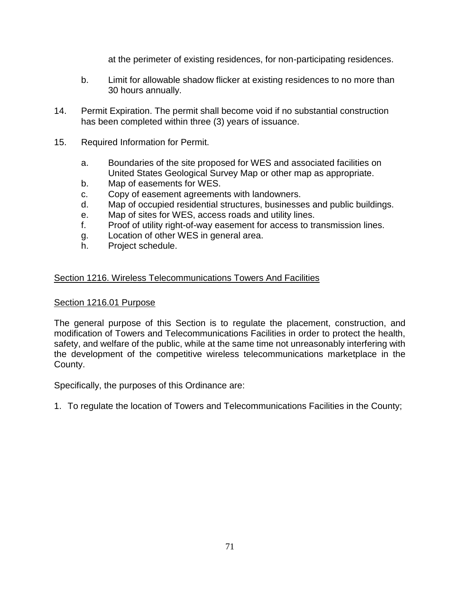at the perimeter of existing residences, for non-participating residences.

- b. Limit for allowable shadow flicker at existing residences to no more than 30 hours annually.
- 14. Permit Expiration. The permit shall become void if no substantial construction has been completed within three (3) years of issuance.
- 15. Required Information for Permit.
	- a. Boundaries of the site proposed for WES and associated facilities on United States Geological Survey Map or other map as appropriate.
	- b. Map of easements for WES.
	- c. Copy of easement agreements with landowners.
	- d. Map of occupied residential structures, businesses and public buildings.
	- e. Map of sites for WES, access roads and utility lines.
	- f. Proof of utility right-of-way easement for access to transmission lines.
	- g. Location of other WES in general area.
	- h. Project schedule.

# Section 1216. Wireless Telecommunications Towers And Facilities

## Section 1216.01 Purpose

The general purpose of this Section is to regulate the placement, construction, and modification of Towers and Telecommunications Facilities in order to protect the health, safety, and welfare of the public, while at the same time not unreasonably interfering with the development of the competitive wireless telecommunications marketplace in the County.

Specifically, the purposes of this Ordinance are:

1. To regulate the location of Towers and Telecommunications Facilities in the County;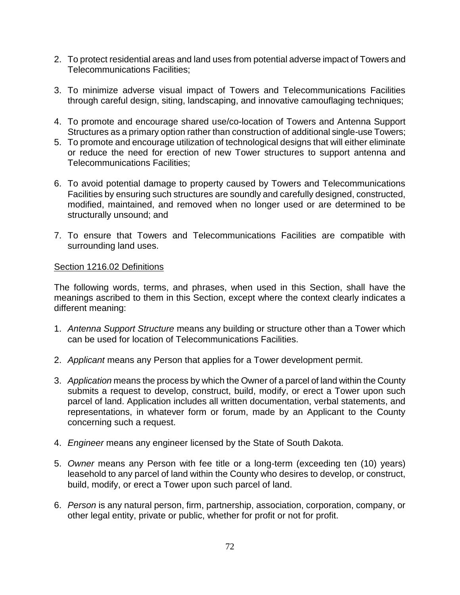- 2. To protect residential areas and land uses from potential adverse impact of Towers and Telecommunications Facilities;
- 3. To minimize adverse visual impact of Towers and Telecommunications Facilities through careful design, siting, landscaping, and innovative camouflaging techniques;
- 4. To promote and encourage shared use/co-location of Towers and Antenna Support Structures as a primary option rather than construction of additional single-use Towers;
- 5. To promote and encourage utilization of technological designs that will either eliminate or reduce the need for erection of new Tower structures to support antenna and Telecommunications Facilities;
- 6. To avoid potential damage to property caused by Towers and Telecommunications Facilities by ensuring such structures are soundly and carefully designed, constructed, modified, maintained, and removed when no longer used or are determined to be structurally unsound; and
- 7. To ensure that Towers and Telecommunications Facilities are compatible with surrounding land uses.

## Section 1216.02 Definitions

The following words, terms, and phrases, when used in this Section, shall have the meanings ascribed to them in this Section, except where the context clearly indicates a different meaning:

- 1. *Antenna Support Structure* means any building or structure other than a Tower which can be used for location of Telecommunications Facilities.
- 2. *Applicant* means any Person that applies for a Tower development permit.
- 3. *Application* means the process by which the Owner of a parcel of land within the County submits a request to develop, construct, build, modify, or erect a Tower upon such parcel of land. Application includes all written documentation, verbal statements, and representations, in whatever form or forum, made by an Applicant to the County concerning such a request.
- 4. *Engineer* means any engineer licensed by the State of South Dakota.
- 5. *Owner* means any Person with fee title or a long-term (exceeding ten (10) years) leasehold to any parcel of land within the County who desires to develop, or construct, build, modify, or erect a Tower upon such parcel of land.
- 6. *Person* is any natural person, firm, partnership, association, corporation, company, or other legal entity, private or public, whether for profit or not for profit.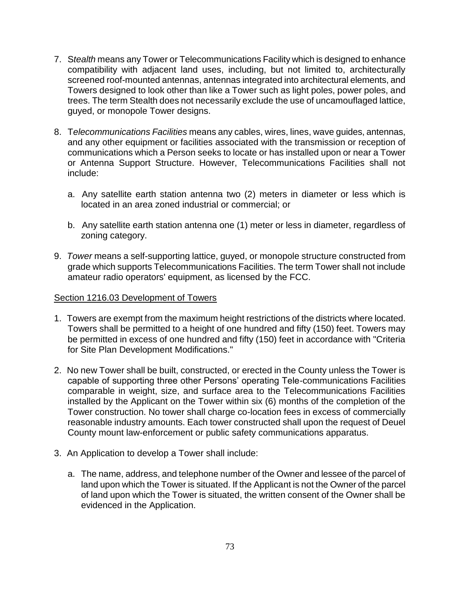- 7. S*tealth* means any Tower or Telecommunications Facility which is designed to enhance compatibility with adjacent land uses, including, but not limited to, architecturally screened roof-mounted antennas, antennas integrated into architectural elements, and Towers designed to look other than like a Tower such as light poles, power poles, and trees. The term Stealth does not necessarily exclude the use of uncamouflaged lattice, guyed, or monopole Tower designs.
- 8. T*elecommunications Facilities* means any cables, wires, lines, wave guides, antennas, and any other equipment or facilities associated with the transmission or reception of communications which a Person seeks to locate or has installed upon or near a Tower or Antenna Support Structure. However, Telecommunications Facilities shall not include:
	- a. Any satellite earth station antenna two (2) meters in diameter or less which is located in an area zoned industrial or commercial; or
	- b. Any satellite earth station antenna one (1) meter or less in diameter, regardless of zoning category.
- 9. *Tower* means a self-supporting lattice, guyed, or monopole structure constructed from grade which supports Telecommunications Facilities. The term Tower shall not include amateur radio operators' equipment, as licensed by the FCC.

#### Section 1216.03 Development of Towers

- 1. Towers are exempt from the maximum height restrictions of the districts where located. Towers shall be permitted to a height of one hundred and fifty (150) feet. Towers may be permitted in excess of one hundred and fifty (150) feet in accordance with "Criteria for Site Plan Development Modifications."
- 2. No new Tower shall be built, constructed, or erected in the County unless the Tower is capable of supporting three other Persons' operating Tele-communications Facilities comparable in weight, size, and surface area to the Telecommunications Facilities installed by the Applicant on the Tower within six (6) months of the completion of the Tower construction. No tower shall charge co-location fees in excess of commercially reasonable industry amounts. Each tower constructed shall upon the request of Deuel County mount law-enforcement or public safety communications apparatus.
- 3. An Application to develop a Tower shall include:
	- a. The name, address, and telephone number of the Owner and lessee of the parcel of land upon which the Tower is situated. If the Applicant is not the Owner of the parcel of land upon which the Tower is situated, the written consent of the Owner shall be evidenced in the Application.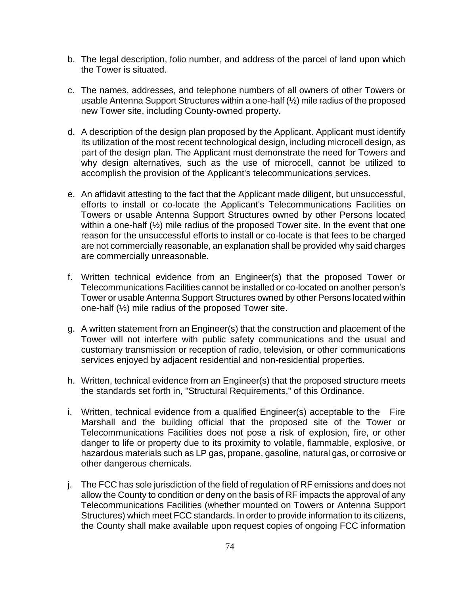- b. The legal description, folio number, and address of the parcel of land upon which the Tower is situated.
- c. The names, addresses, and telephone numbers of all owners of other Towers or usable Antenna Support Structures within a one-half (½) mile radius of the proposed new Tower site, including County-owned property.
- d. A description of the design plan proposed by the Applicant. Applicant must identify its utilization of the most recent technological design, including microcell design, as part of the design plan. The Applicant must demonstrate the need for Towers and why design alternatives, such as the use of microcell, cannot be utilized to accomplish the provision of the Applicant's telecommunications services.
- e. An affidavit attesting to the fact that the Applicant made diligent, but unsuccessful, efforts to install or co-locate the Applicant's Telecommunications Facilities on Towers or usable Antenna Support Structures owned by other Persons located within a one-half (½) mile radius of the proposed Tower site. In the event that one reason for the unsuccessful efforts to install or co-locate is that fees to be charged are not commercially reasonable, an explanation shall be provided why said charges are commercially unreasonable.
- f. Written technical evidence from an Engineer(s) that the proposed Tower or Telecommunications Facilities cannot be installed or co-located on another person's Tower or usable Antenna Support Structures owned by other Persons located within one-half (½) mile radius of the proposed Tower site.
- g. A written statement from an Engineer(s) that the construction and placement of the Tower will not interfere with public safety communications and the usual and customary transmission or reception of radio, television, or other communications services enjoyed by adjacent residential and non-residential properties.
- h. Written, technical evidence from an Engineer(s) that the proposed structure meets the standards set forth in, "Structural Requirements," of this Ordinance.
- i. Written, technical evidence from a qualified Engineer(s) acceptable to the Fire Marshall and the building official that the proposed site of the Tower or Telecommunications Facilities does not pose a risk of explosion, fire, or other danger to life or property due to its proximity to volatile, flammable, explosive, or hazardous materials such as LP gas, propane, gasoline, natural gas, or corrosive or other dangerous chemicals.
- j. The FCC has sole jurisdiction of the field of regulation of RF emissions and does not allow the County to condition or deny on the basis of RF impacts the approval of any Telecommunications Facilities (whether mounted on Towers or Antenna Support Structures) which meet FCC standards. In order to provide information to its citizens, the County shall make available upon request copies of ongoing FCC information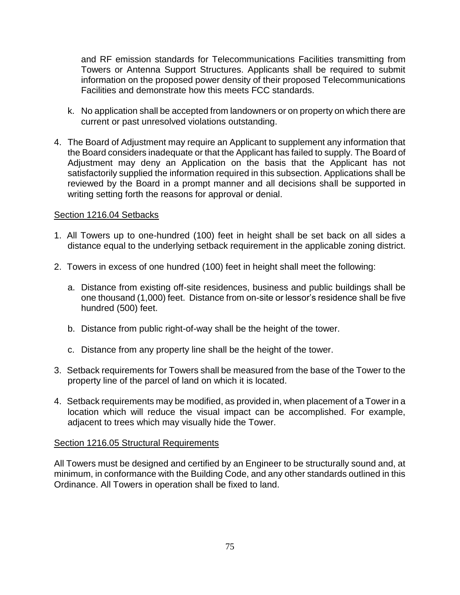and RF emission standards for Telecommunications Facilities transmitting from Towers or Antenna Support Structures. Applicants shall be required to submit information on the proposed power density of their proposed Telecommunications Facilities and demonstrate how this meets FCC standards.

- k. No application shall be accepted from landowners or on property on which there are current or past unresolved violations outstanding.
- 4. The Board of Adjustment may require an Applicant to supplement any information that the Board considers inadequate or that the Applicant has failed to supply. The Board of Adjustment may deny an Application on the basis that the Applicant has not satisfactorily supplied the information required in this subsection. Applications shall be reviewed by the Board in a prompt manner and all decisions shall be supported in writing setting forth the reasons for approval or denial.

#### Section 1216.04 Setbacks

- 1. All Towers up to one-hundred (100) feet in height shall be set back on all sides a distance equal to the underlying setback requirement in the applicable zoning district.
- 2. Towers in excess of one hundred (100) feet in height shall meet the following:
	- a. Distance from existing off-site residences, business and public buildings shall be one thousand (1,000) feet. Distance from on-site or lessor's residence shall be five hundred (500) feet.
	- b. Distance from public right-of-way shall be the height of the tower.
	- c. Distance from any property line shall be the height of the tower.
- 3. Setback requirements for Towers shall be measured from the base of the Tower to the property line of the parcel of land on which it is located.
- 4. Setback requirements may be modified, as provided in, when placement of a Tower in a location which will reduce the visual impact can be accomplished. For example, adjacent to trees which may visually hide the Tower.

#### Section 1216.05 Structural Requirements

All Towers must be designed and certified by an Engineer to be structurally sound and, at minimum, in conformance with the Building Code, and any other standards outlined in this Ordinance. All Towers in operation shall be fixed to land.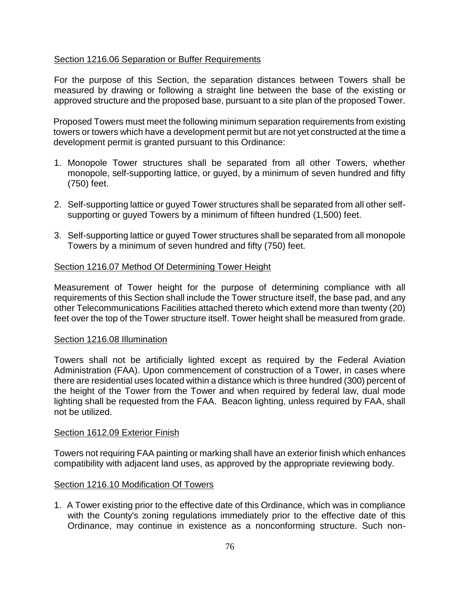## Section 1216.06 Separation or Buffer Requirements

For the purpose of this Section, the separation distances between Towers shall be measured by drawing or following a straight line between the base of the existing or approved structure and the proposed base, pursuant to a site plan of the proposed Tower.

Proposed Towers must meet the following minimum separation requirements from existing towers or towers which have a development permit but are not yet constructed at the time a development permit is granted pursuant to this Ordinance:

- 1. Monopole Tower structures shall be separated from all other Towers, whether monopole, self-supporting lattice, or guyed, by a minimum of seven hundred and fifty (750) feet.
- 2. Self-supporting lattice or guyed Tower structures shall be separated from all other selfsupporting or guyed Towers by a minimum of fifteen hundred (1,500) feet.
- 3. Self-supporting lattice or guyed Tower structures shall be separated from all monopole Towers by a minimum of seven hundred and fifty (750) feet.

#### Section 1216.07 Method Of Determining Tower Height

Measurement of Tower height for the purpose of determining compliance with all requirements of this Section shall include the Tower structure itself, the base pad, and any other Telecommunications Facilities attached thereto which extend more than twenty (20) feet over the top of the Tower structure itself. Tower height shall be measured from grade.

#### Section 1216.08 Illumination

Towers shall not be artificially lighted except as required by the Federal Aviation Administration (FAA). Upon commencement of construction of a Tower, in cases where there are residential uses located within a distance which is three hundred (300) percent of the height of the Tower from the Tower and when required by federal law, dual mode lighting shall be requested from the FAA. Beacon lighting, unless required by FAA, shall not be utilized.

#### Section 1612.09 Exterior Finish

Towers not requiring FAA painting or marking shall have an exterior finish which enhances compatibility with adjacent land uses, as approved by the appropriate reviewing body.

## Section 1216.10 Modification Of Towers

1. A Tower existing prior to the effective date of this Ordinance, which was in compliance with the County's zoning regulations immediately prior to the effective date of this Ordinance, may continue in existence as a nonconforming structure. Such non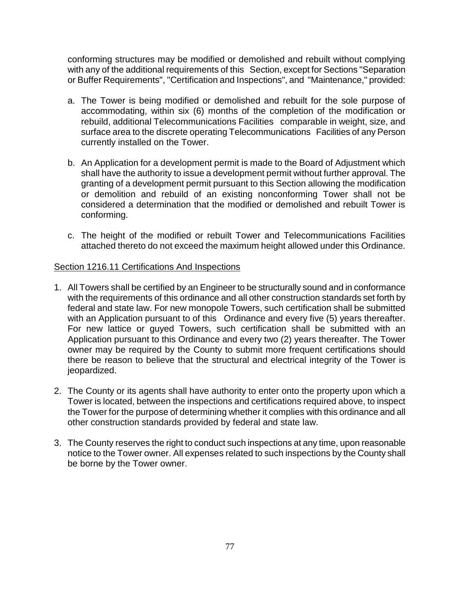conforming structures may be modified or demolished and rebuilt without complying with any of the additional requirements of this Section, except for Sections "Separation or Buffer Requirements", "Certification and Inspections", and "Maintenance," provided:

- a. The Tower is being modified or demolished and rebuilt for the sole purpose of accommodating, within six (6) months of the completion of the modification or rebuild, additional Telecommunications Facilities comparable in weight, size, and surface area to the discrete operating Telecommunications Facilities of any Person currently installed on the Tower.
- b. An Application for a development permit is made to the Board of Adjustment which shall have the authority to issue a development permit without further approval. The granting of a development permit pursuant to this Section allowing the modification or demolition and rebuild of an existing nonconforming Tower shall not be considered a determination that the modified or demolished and rebuilt Tower is conforming.
- c. The height of the modified or rebuilt Tower and Telecommunications Facilities attached thereto do not exceed the maximum height allowed under this Ordinance.

## Section 1216.11 Certifications And Inspections

- 1. All Towers shall be certified by an Engineer to be structurally sound and in conformance with the requirements of this ordinance and all other construction standards set forth by federal and state law. For new monopole Towers, such certification shall be submitted with an Application pursuant to of this Ordinance and every five (5) years thereafter. For new lattice or guyed Towers, such certification shall be submitted with an Application pursuant to this Ordinance and every two (2) years thereafter. The Tower owner may be required by the County to submit more frequent certifications should there be reason to believe that the structural and electrical integrity of the Tower is jeopardized.
- 2. The County or its agents shall have authority to enter onto the property upon which a Tower is located, between the inspections and certifications required above, to inspect the Tower for the purpose of determining whether it complies with this ordinance and all other construction standards provided by federal and state law.
- 3. The County reserves the right to conduct such inspections at any time, upon reasonable notice to the Tower owner. All expenses related to such inspections by the County shall be borne by the Tower owner.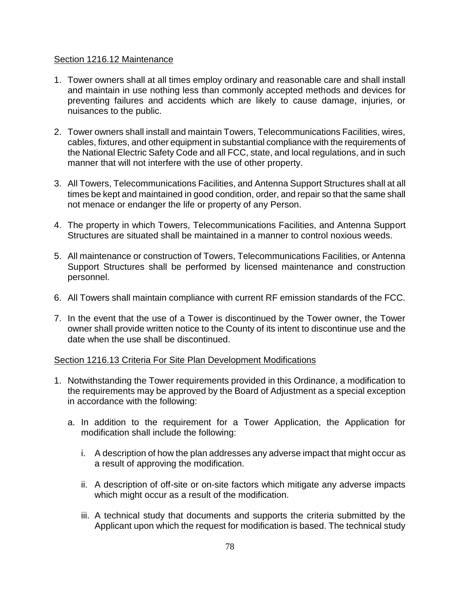#### Section 1216.12 Maintenance

- 1. Tower owners shall at all times employ ordinary and reasonable care and shall install and maintain in use nothing less than commonly accepted methods and devices for preventing failures and accidents which are likely to cause damage, injuries, or nuisances to the public.
- 2. Tower owners shall install and maintain Towers, Telecommunications Facilities, wires, cables, fixtures, and other equipment in substantial compliance with the requirements of the National Electric Safety Code and all FCC, state, and local regulations, and in such manner that will not interfere with the use of other property.
- 3. All Towers, Telecommunications Facilities, and Antenna Support Structures shall at all times be kept and maintained in good condition, order, and repair so that the same shall not menace or endanger the life or property of any Person.
- 4. The property in which Towers, Telecommunications Facilities, and Antenna Support Structures are situated shall be maintained in a manner to control noxious weeds.
- 5. All maintenance or construction of Towers, Telecommunications Facilities, or Antenna Support Structures shall be performed by licensed maintenance and construction personnel.
- 6. All Towers shall maintain compliance with current RF emission standards of the FCC.
- 7. In the event that the use of a Tower is discontinued by the Tower owner, the Tower owner shall provide written notice to the County of its intent to discontinue use and the date when the use shall be discontinued.

## Section 1216.13 Criteria For Site Plan Development Modifications

- 1. Notwithstanding the Tower requirements provided in this Ordinance, a modification to the requirements may be approved by the Board of Adjustment as a special exception in accordance with the following:
	- a. In addition to the requirement for a Tower Application, the Application for modification shall include the following:
		- i. A description of how the plan addresses any adverse impact that might occur as a result of approving the modification.
		- ii. A description of off-site or on-site factors which mitigate any adverse impacts which might occur as a result of the modification.
		- iii. A technical study that documents and supports the criteria submitted by the Applicant upon which the request for modification is based. The technical study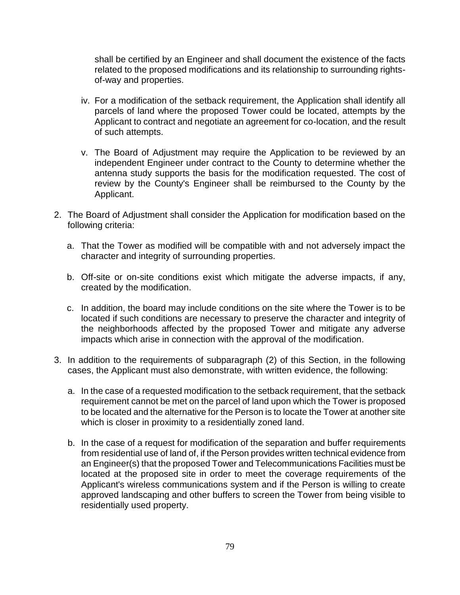shall be certified by an Engineer and shall document the existence of the facts related to the proposed modifications and its relationship to surrounding rightsof-way and properties.

- iv. For a modification of the setback requirement, the Application shall identify all parcels of land where the proposed Tower could be located, attempts by the Applicant to contract and negotiate an agreement for co-location, and the result of such attempts.
- v. The Board of Adjustment may require the Application to be reviewed by an independent Engineer under contract to the County to determine whether the antenna study supports the basis for the modification requested. The cost of review by the County's Engineer shall be reimbursed to the County by the Applicant.
- 2. The Board of Adjustment shall consider the Application for modification based on the following criteria:
	- a. That the Tower as modified will be compatible with and not adversely impact the character and integrity of surrounding properties.
	- b. Off-site or on-site conditions exist which mitigate the adverse impacts, if any, created by the modification.
	- c. In addition, the board may include conditions on the site where the Tower is to be located if such conditions are necessary to preserve the character and integrity of the neighborhoods affected by the proposed Tower and mitigate any adverse impacts which arise in connection with the approval of the modification.
- 3. In addition to the requirements of subparagraph (2) of this Section, in the following cases, the Applicant must also demonstrate, with written evidence, the following:
	- a. In the case of a requested modification to the setback requirement, that the setback requirement cannot be met on the parcel of land upon which the Tower is proposed to be located and the alternative for the Person is to locate the Tower at another site which is closer in proximity to a residentially zoned land.
	- b. In the case of a request for modification of the separation and buffer requirements from residential use of land of, if the Person provides written technical evidence from an Engineer(s) that the proposed Tower and Telecommunications Facilities must be located at the proposed site in order to meet the coverage requirements of the Applicant's wireless communications system and if the Person is willing to create approved landscaping and other buffers to screen the Tower from being visible to residentially used property.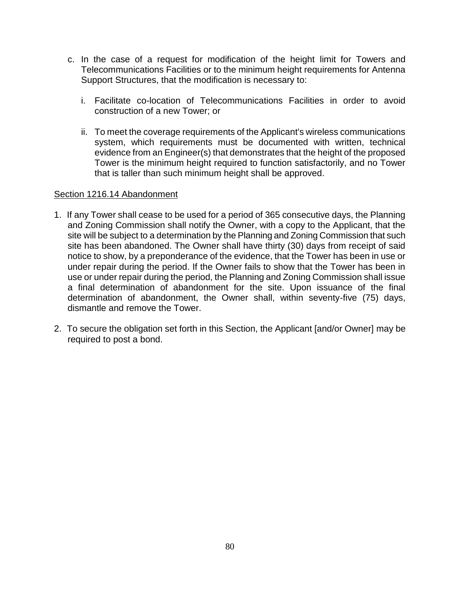- c. In the case of a request for modification of the height limit for Towers and Telecommunications Facilities or to the minimum height requirements for Antenna Support Structures, that the modification is necessary to:
	- i. Facilitate co-location of Telecommunications Facilities in order to avoid construction of a new Tower; or
	- ii. To meet the coverage requirements of the Applicant's wireless communications system, which requirements must be documented with written, technical evidence from an Engineer(s) that demonstrates that the height of the proposed Tower is the minimum height required to function satisfactorily, and no Tower that is taller than such minimum height shall be approved.

#### Section 1216.14 Abandonment

- 1. If any Tower shall cease to be used for a period of 365 consecutive days, the Planning and Zoning Commission shall notify the Owner, with a copy to the Applicant, that the site will be subject to a determination by the Planning and Zoning Commission that such site has been abandoned. The Owner shall have thirty (30) days from receipt of said notice to show, by a preponderance of the evidence, that the Tower has been in use or under repair during the period. If the Owner fails to show that the Tower has been in use or under repair during the period, the Planning and Zoning Commission shall issue a final determination of abandonment for the site. Upon issuance of the final determination of abandonment, the Owner shall, within seventy-five (75) days, dismantle and remove the Tower.
- 2. To secure the obligation set forth in this Section, the Applicant [and/or Owner] may be required to post a bond.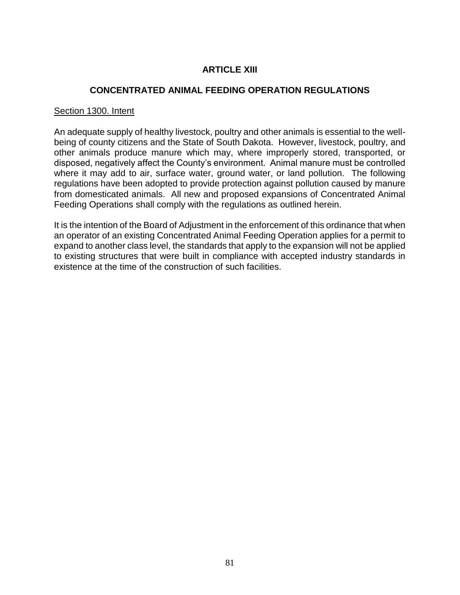# **ARTICLE XIII**

## **CONCENTRATED ANIMAL FEEDING OPERATION REGULATIONS**

#### Section 1300. Intent

An adequate supply of healthy livestock, poultry and other animals is essential to the wellbeing of county citizens and the State of South Dakota. However, livestock, poultry, and other animals produce manure which may, where improperly stored, transported, or disposed, negatively affect the County's environment. Animal manure must be controlled where it may add to air, surface water, ground water, or land pollution. The following regulations have been adopted to provide protection against pollution caused by manure from domesticated animals. All new and proposed expansions of Concentrated Animal Feeding Operations shall comply with the regulations as outlined herein.

It is the intention of the Board of Adjustment in the enforcement of this ordinance that when an operator of an existing Concentrated Animal Feeding Operation applies for a permit to expand to another class level, the standards that apply to the expansion will not be applied to existing structures that were built in compliance with accepted industry standards in existence at the time of the construction of such facilities.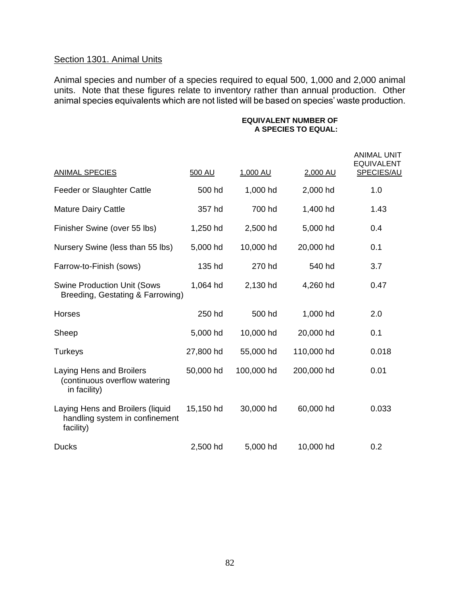# Section 1301. Animal Units

Animal species and number of a species required to equal 500, 1,000 and 2,000 animal units. Note that these figures relate to inventory rather than annual production. Other animal species equivalents which are not listed will be based on species' waste production.

#### **EQUIVALENT NUMBER OF A SPECIES TO EQUAL:**

| <b>ANIMAL SPECIES</b>                                                           | 500 AU    | 1,000 AU   | 2,000 AU   | <b>ANIMAL UNIT</b><br><b>EQUIVALENT</b><br>SPECIES/AU |
|---------------------------------------------------------------------------------|-----------|------------|------------|-------------------------------------------------------|
| Feeder or Slaughter Cattle                                                      | 500 hd    | 1,000 hd   | 2,000 hd   | 1.0                                                   |
| <b>Mature Dairy Cattle</b>                                                      | 357 hd    | 700 hd     | 1,400 hd   | 1.43                                                  |
| Finisher Swine (over 55 lbs)                                                    | 1,250 hd  | 2,500 hd   | 5,000 hd   | 0.4                                                   |
| Nursery Swine (less than 55 lbs)                                                | 5,000 hd  | 10,000 hd  | 20,000 hd  | 0.1                                                   |
| Farrow-to-Finish (sows)                                                         | 135 hd    | 270 hd     | 540 hd     | 3.7                                                   |
| <b>Swine Production Unit (Sows</b><br>Breeding, Gestating & Farrowing)          | 1,064 hd  | 2,130 hd   | 4,260 hd   | 0.47                                                  |
| <b>Horses</b>                                                                   | 250 hd    | 500 hd     | 1,000 hd   | 2.0                                                   |
| Sheep                                                                           | 5,000 hd  | 10,000 hd  | 20,000 hd  | 0.1                                                   |
| <b>Turkeys</b>                                                                  | 27,800 hd | 55,000 hd  | 110,000 hd | 0.018                                                 |
| Laying Hens and Broilers<br>(continuous overflow watering<br>in facility)       | 50,000 hd | 100,000 hd | 200,000 hd | 0.01                                                  |
| Laying Hens and Broilers (liquid<br>handling system in confinement<br>facility) | 15,150 hd | 30,000 hd  | 60,000 hd  | 0.033                                                 |
| <b>Ducks</b>                                                                    | 2,500 hd  | 5,000 hd   | 10,000 hd  | 0.2                                                   |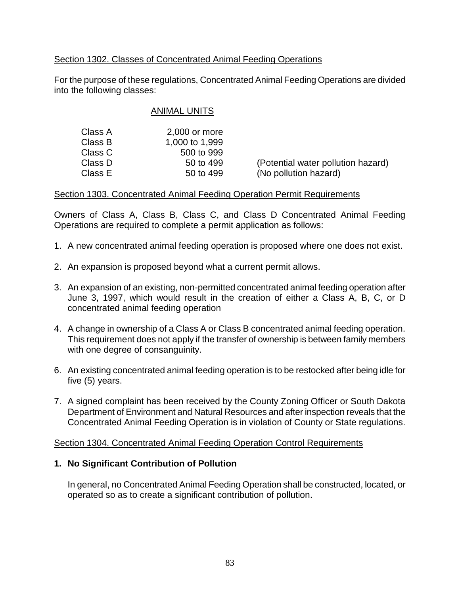# Section 1302. Classes of Concentrated Animal Feeding Operations

For the purpose of these regulations, Concentrated Animal Feeding Operations are divided into the following classes:

## ANIMAL UNITS

| Class A | 2,000 or more  |
|---------|----------------|
| Class B | 1,000 to 1,999 |
| Class C | 500 to 999     |
| Class D | 50 to 499      |
| Class E | 50 to 499      |

(Potential water pollution hazard) (No pollution hazard)

#### Section 1303. Concentrated Animal Feeding Operation Permit Requirements

Owners of Class A, Class B, Class C, and Class D Concentrated Animal Feeding Operations are required to complete a permit application as follows:

- 1. A new concentrated animal feeding operation is proposed where one does not exist.
- 2. An expansion is proposed beyond what a current permit allows.
- 3. An expansion of an existing, non-permitted concentrated animal feeding operation after June 3, 1997, which would result in the creation of either a Class A, B, C, or D concentrated animal feeding operation
- 4. A change in ownership of a Class A or Class B concentrated animal feeding operation. This requirement does not apply if the transfer of ownership is between family members with one degree of consanguinity.
- 6. An existing concentrated animal feeding operation is to be restocked after being idle for five (5) years.
- 7. A signed complaint has been received by the County Zoning Officer or South Dakota Department of Environment and Natural Resources and after inspection reveals that the Concentrated Animal Feeding Operation is in violation of County or State regulations.

## Section 1304. Concentrated Animal Feeding Operation Control Requirements

## **1. No Significant Contribution of Pollution**

In general, no Concentrated Animal Feeding Operation shall be constructed, located, or operated so as to create a significant contribution of pollution.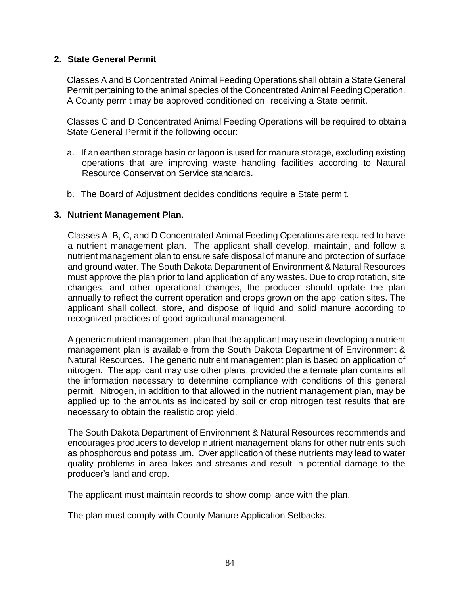## **2. State General Permit**

Classes A and B Concentrated Animal Feeding Operations shall obtain a State General Permit pertaining to the animal species of the Concentrated Animal Feeding Operation. A County permit may be approved conditioned on receiving a State permit.

Classes C and D Concentrated Animal Feeding Operations will be required to obtain a State General Permit if the following occur:

- a. If an earthen storage basin or lagoon is used for manure storage, excluding existing operations that are improving waste handling facilities according to Natural Resource Conservation Service standards.
- b. The Board of Adjustment decides conditions require a State permit.

## **3. Nutrient Management Plan.**

Classes A, B, C, and D Concentrated Animal Feeding Operations are required to have a nutrient management plan. The applicant shall develop, maintain, and follow a nutrient management plan to ensure safe disposal of manure and protection of surface and ground water. The South Dakota Department of Environment & Natural Resources must approve the plan prior to land application of any wastes. Due to crop rotation, site changes, and other operational changes, the producer should update the plan annually to reflect the current operation and crops grown on the application sites. The applicant shall collect, store, and dispose of liquid and solid manure according to recognized practices of good agricultural management.

A generic nutrient management plan that the applicant may use in developing a nutrient management plan is available from the South Dakota Department of Environment & Natural Resources. The generic nutrient management plan is based on application of nitrogen. The applicant may use other plans, provided the alternate plan contains all the information necessary to determine compliance with conditions of this general permit. Nitrogen, in addition to that allowed in the nutrient management plan, may be applied up to the amounts as indicated by soil or crop nitrogen test results that are necessary to obtain the realistic crop yield.

The South Dakota Department of Environment & Natural Resources recommends and encourages producers to develop nutrient management plans for other nutrients such as phosphorous and potassium. Over application of these nutrients may lead to water quality problems in area lakes and streams and result in potential damage to the producer's land and crop.

The applicant must maintain records to show compliance with the plan.

The plan must comply with County Manure Application Setbacks.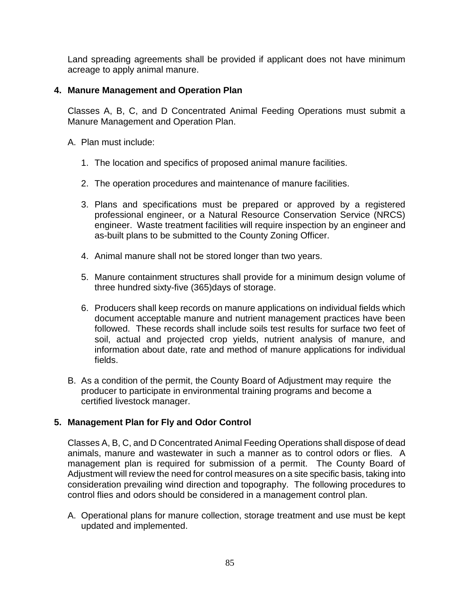Land spreading agreements shall be provided if applicant does not have minimum acreage to apply animal manure.

# **4. Manure Management and Operation Plan**

Classes A, B, C, and D Concentrated Animal Feeding Operations must submit a Manure Management and Operation Plan.

- A. Plan must include:
	- 1. The location and specifics of proposed animal manure facilities.
	- 2. The operation procedures and maintenance of manure facilities.
	- 3. Plans and specifications must be prepared or approved by a registered professional engineer, or a Natural Resource Conservation Service (NRCS) engineer. Waste treatment facilities will require inspection by an engineer and as-built plans to be submitted to the County Zoning Officer.
	- 4. Animal manure shall not be stored longer than two years.
	- 5. Manure containment structures shall provide for a minimum design volume of three hundred sixty-five (365)days of storage.
	- 6. Producers shall keep records on manure applications on individual fields which document acceptable manure and nutrient management practices have been followed. These records shall include soils test results for surface two feet of soil, actual and projected crop yields, nutrient analysis of manure, and information about date, rate and method of manure applications for individual fields.
- B. As a condition of the permit, the County Board of Adjustment may require the producer to participate in environmental training programs and become a certified livestock manager.

# **5. Management Plan for Fly and Odor Control**

Classes A, B, C, and D Concentrated Animal Feeding Operations shall dispose of dead animals, manure and wastewater in such a manner as to control odors or flies. A management plan is required for submission of a permit. The County Board of Adjustment will review the need for control measures on a site specific basis, taking into consideration prevailing wind direction and topography. The following procedures to control flies and odors should be considered in a management control plan.

A. Operational plans for manure collection, storage treatment and use must be kept updated and implemented.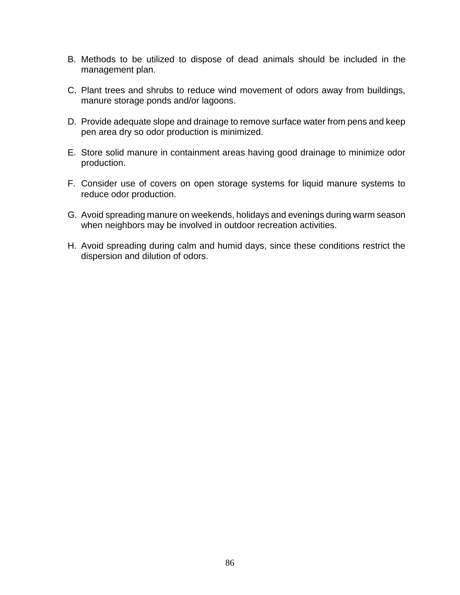- B. Methods to be utilized to dispose of dead animals should be included in the management plan.
- C. Plant trees and shrubs to reduce wind movement of odors away from buildings, manure storage ponds and/or lagoons.
- D. Provide adequate slope and drainage to remove surface water from pens and keep pen area dry so odor production is minimized.
- E. Store solid manure in containment areas having good drainage to minimize odor production.
- F. Consider use of covers on open storage systems for liquid manure systems to reduce odor production.
- G. Avoid spreading manure on weekends, holidays and evenings during warm season when neighbors may be involved in outdoor recreation activities.
- H. Avoid spreading during calm and humid days, since these conditions restrict the dispersion and dilution of odors.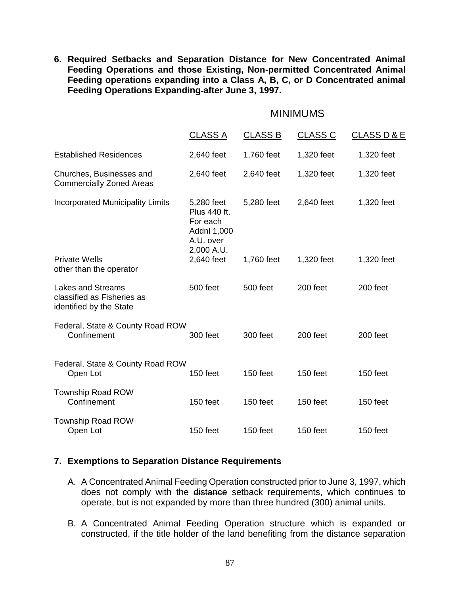**6. Required Setbacks and Separation Distance for New Concentrated Animal Feeding Operations and those Existing, Non-permitted Concentrated Animal Feeding operations expanding into a Class A, B, C, or D Concentrated animal Feeding Operations Expanding after June 3, 1997.**

#### MINIMUMS

|                                                                                   | <b>CLASS A</b>                                                                   | <b>CLASS B</b> | <b>CLASS C</b> | <b>CLASS D &amp; E</b> |
|-----------------------------------------------------------------------------------|----------------------------------------------------------------------------------|----------------|----------------|------------------------|
| <b>Established Residences</b>                                                     | 2,640 feet                                                                       | 1,760 feet     | 1,320 feet     | 1,320 feet             |
| Churches, Businesses and<br><b>Commercially Zoned Areas</b>                       | 2,640 feet                                                                       | 2,640 feet     | 1,320 feet     | 1,320 feet             |
| <b>Incorporated Municipality Limits</b>                                           | 5,280 feet<br>Plus 440 ft.<br>For each<br>Addnl 1,000<br>A.U. over<br>2,000 A.U. | 5,280 feet     | 2,640 feet     | 1,320 feet             |
| <b>Private Wells</b><br>other than the operator                                   | 2,640 feet                                                                       | 1,760 feet     | 1,320 feet     | 1,320 feet             |
| <b>Lakes and Streams</b><br>classified as Fisheries as<br>identified by the State | 500 feet                                                                         | 500 feet       | 200 feet       | 200 feet               |
| Federal, State & County Road ROW<br>Confinement                                   | 300 feet                                                                         | 300 feet       | 200 feet       | 200 feet               |
| Federal, State & County Road ROW<br>Open Lot                                      | 150 feet                                                                         | 150 feet       | 150 feet       | 150 feet               |
| <b>Township Road ROW</b><br>Confinement                                           | 150 feet                                                                         | 150 feet       | 150 feet       | 150 feet               |
| <b>Township Road ROW</b><br>Open Lot                                              | 150 feet                                                                         | 150 feet       | 150 feet       | 150 feet               |

## **7. Exemptions to Separation Distance Requirements**

- A. A Concentrated Animal Feeding Operation constructed prior to June 3, 1997, which does not comply with the distance setback requirements, which continues to operate, but is not expanded by more than three hundred (300) animal units.
- B. A Concentrated Animal Feeding Operation structure which is expanded or constructed, if the title holder of the land benefiting from the distance separation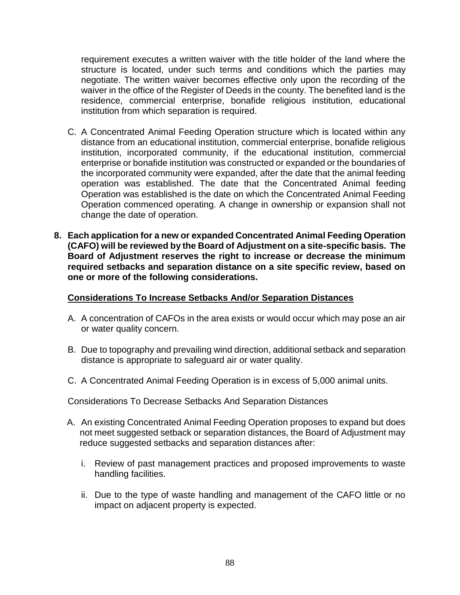requirement executes a written waiver with the title holder of the land where the structure is located, under such terms and conditions which the parties may negotiate. The written waiver becomes effective only upon the recording of the waiver in the office of the Register of Deeds in the county. The benefited land is the residence, commercial enterprise, bonafide religious institution, educational institution from which separation is required.

- C. A Concentrated Animal Feeding Operation structure which is located within any distance from an educational institution, commercial enterprise, bonafide religious institution, incorporated community, if the educational institution, commercial enterprise or bonafide institution was constructed or expanded or the boundaries of the incorporated community were expanded, after the date that the animal feeding operation was established. The date that the Concentrated Animal feeding Operation was established is the date on which the Concentrated Animal Feeding Operation commenced operating. A change in ownership or expansion shall not change the date of operation.
- **8. Each application for a new or expanded Concentrated Animal Feeding Operation (CAFO) will be reviewed by the Board of Adjustment on a site-specific basis. The Board of Adjustment reserves the right to increase or decrease the minimum required setbacks and separation distance on a site specific review, based on one or more of the following considerations.**

#### **Considerations To Increase Setbacks And/or Separation Distances**

- A. A concentration of CAFOs in the area exists or would occur which may pose an air or water quality concern.
- B. Due to topography and prevailing wind direction, additional setback and separation distance is appropriate to safeguard air or water quality.
- C. A Concentrated Animal Feeding Operation is in excess of 5,000 animal units.

Considerations To Decrease Setbacks And Separation Distances

- A. An existing Concentrated Animal Feeding Operation proposes to expand but does not meet suggested setback or separation distances, the Board of Adjustment may reduce suggested setbacks and separation distances after:
	- i. Review of past management practices and proposed improvements to waste handling facilities.
	- ii. Due to the type of waste handling and management of the CAFO little or no impact on adjacent property is expected.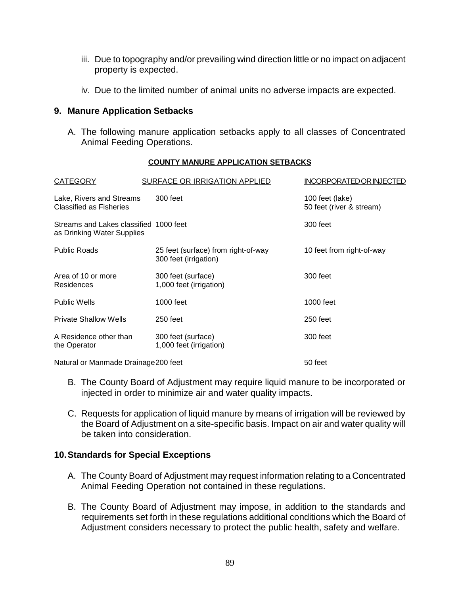- iii. Due to topography and/or prevailing wind direction little or no impact on adjacent property is expected.
- iv. Due to the limited number of animal units no adverse impacts are expected.

#### **9. Manure Application Setbacks**

A. The following manure application setbacks apply to all classes of Concentrated Animal Feeding Operations.

#### **COUNTY MANURE APPLICATION SETBACKS**

| <b>CATEGORY</b>                                                      | SURFACE OR IRRIGATION APPLIED                                | INCORPORATED OR INJECTED                    |
|----------------------------------------------------------------------|--------------------------------------------------------------|---------------------------------------------|
| Lake, Rivers and Streams<br><b>Classified as Fisheries</b>           | 300 feet                                                     | 100 feet (lake)<br>50 feet (river & stream) |
| Streams and Lakes classified 1000 feet<br>as Drinking Water Supplies |                                                              | 300 feet                                    |
| <b>Public Roads</b>                                                  | 25 feet (surface) from right-of-way<br>300 feet (irrigation) | 10 feet from right-of-way                   |
| Area of 10 or more<br><b>Residences</b>                              | 300 feet (surface)<br>1,000 feet (irrigation)                | 300 feet                                    |
| <b>Public Wells</b>                                                  | 1000 feet                                                    | 1000 feet                                   |
| <b>Private Shallow Wells</b>                                         | $250$ feet                                                   | 250 feet                                    |
| A Residence other than<br>the Operator                               | 300 feet (surface)<br>1,000 feet (irrigation)                | 300 feet                                    |
| Natural or Manmade Drainage 200 feet                                 |                                                              | 50 feet                                     |

- B. The County Board of Adjustment may require liquid manure to be incorporated or injected in order to minimize air and water quality impacts.
- C. Requests for application of liquid manure by means of irrigation will be reviewed by the Board of Adjustment on a site-specific basis. Impact on air and water quality will be taken into consideration.

## **10.Standards for Special Exceptions**

- A. The County Board of Adjustment may request information relating to a Concentrated Animal Feeding Operation not contained in these regulations.
- B. The County Board of Adjustment may impose, in addition to the standards and requirements set forth in these regulations additional conditions which the Board of Adjustment considers necessary to protect the public health, safety and welfare.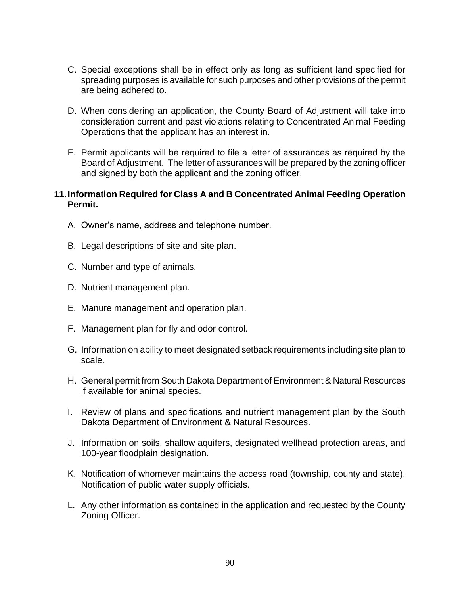- C. Special exceptions shall be in effect only as long as sufficient land specified for spreading purposes is available for such purposes and other provisions of the permit are being adhered to.
- D. When considering an application, the County Board of Adjustment will take into consideration current and past violations relating to Concentrated Animal Feeding Operations that the applicant has an interest in.
- E. Permit applicants will be required to file a letter of assurances as required by the Board of Adjustment. The letter of assurances will be prepared by the zoning officer and signed by both the applicant and the zoning officer.

## **11.Information Required for Class A and B Concentrated Animal Feeding Operation Permit.**

- A. Owner's name, address and telephone number.
- B. Legal descriptions of site and site plan.
- C. Number and type of animals.
- D. Nutrient management plan.
- E. Manure management and operation plan.
- F. Management plan for fly and odor control.
- G. Information on ability to meet designated setback requirements including site plan to scale.
- H. General permit from South Dakota Department of Environment & Natural Resources if available for animal species.
- I. Review of plans and specifications and nutrient management plan by the South Dakota Department of Environment & Natural Resources.
- J. Information on soils, shallow aquifers, designated wellhead protection areas, and 100-year floodplain designation.
- K. Notification of whomever maintains the access road (township, county and state). Notification of public water supply officials.
- L. Any other information as contained in the application and requested by the County Zoning Officer.